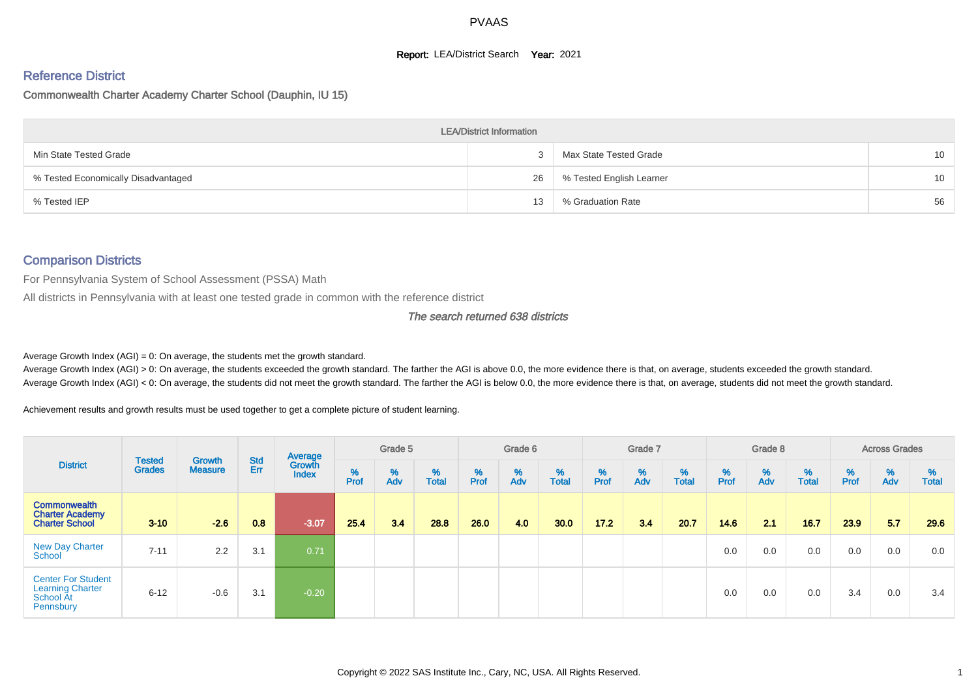# **Report: LEA/District Search Year: 2021**

# Reference District

Commonwealth Charter Academy Charter School (Dauphin, IU 15)

|                                     | <b>LEA/District Information</b> |                          |                 |
|-------------------------------------|---------------------------------|--------------------------|-----------------|
| Min State Tested Grade              |                                 | Max State Tested Grade   | 10 <sup>°</sup> |
| % Tested Economically Disadvantaged | 26                              | % Tested English Learner | 10 <sup>°</sup> |
| % Tested IEP                        | 13                              | % Graduation Rate        | 56              |

#### Comparison Districts

For Pennsylvania System of School Assessment (PSSA) Math

All districts in Pennsylvania with at least one tested grade in common with the reference district

#### The search returned 638 districts

Average Growth Index  $(AGI) = 0$ : On average, the students met the growth standard.

Average Growth Index (AGI) > 0: On average, the students exceeded the growth standard. The farther the AGI is above 0.0, the more evidence there is that, on average, students exceeded the growth standard. Average Growth Index (AGI) < 0: On average, the students did not meet the growth standard. The farther the AGI is below 0.0, the more evidence there is that, on average, students did not meet the growth standard.

Achievement results and growth results must be used together to get a complete picture of student learning.

| <b>District</b>                                                                |                                |                          |                   | Average                |           | Grade 5  |                   |           | Grade 6  |                   |          | Grade 7  |                   |          | Grade 8  |                   |           | <b>Across Grades</b> |                   |
|--------------------------------------------------------------------------------|--------------------------------|--------------------------|-------------------|------------------------|-----------|----------|-------------------|-----------|----------|-------------------|----------|----------|-------------------|----------|----------|-------------------|-----------|----------------------|-------------------|
|                                                                                | <b>Tested</b><br><b>Grades</b> | Growth<br><b>Measure</b> | <b>Std</b><br>Err | Growth<br><b>Index</b> | %<br>Prof | %<br>Adv | %<br><b>Total</b> | %<br>Prof | %<br>Adv | %<br><b>Total</b> | $%$ Prof | %<br>Adv | %<br><b>Total</b> | $%$ Prof | %<br>Adv | %<br><b>Total</b> | %<br>Prof | %<br>Adv             | %<br><b>Total</b> |
| <b>Commonwealth</b><br><b>Charter Academy</b><br><b>Charter School</b>         | $3 - 10$                       | $-2.6$                   | 0.8               | $-3.07$                | 25.4      | 3.4      | 28.8              | 26.0      | 4.0      | 30.0              | 17.2     | 3.4      | 20.7              | 14.6     | 2.1      | 16.7              | 23.9      | 5.7                  | 29.6              |
| <b>New Day Charter</b><br>School                                               | $7 - 11$                       | 2.2                      | 3.1               | 0.71                   |           |          |                   |           |          |                   |          |          |                   | 0.0      | 0.0      | 0.0               | 0.0       | 0.0                  | 0.0               |
| <b>Center For Student</b><br><b>Learning Charter</b><br>School At<br>Pennsbury | $6 - 12$                       | $-0.6$                   | 3.1               | $-0.20$                |           |          |                   |           |          |                   |          |          |                   | 0.0      | 0.0      | 0.0               | 3.4       | 0.0                  | 3.4               |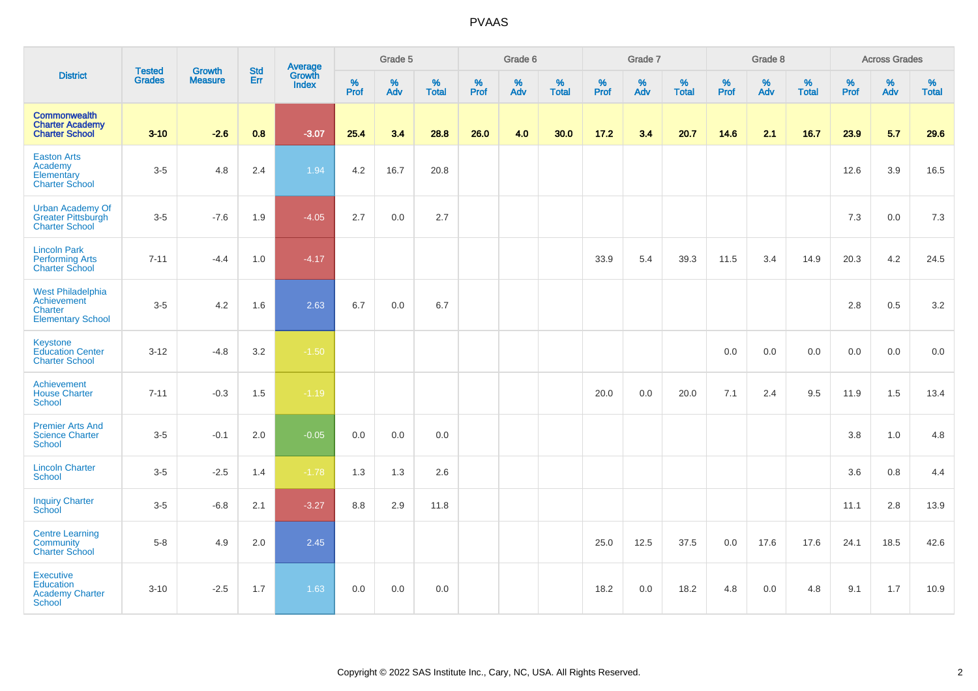| <b>District</b>                                                                       | <b>Tested</b> |                                 | <b>Std</b> | Average                |                  | Grade 5  |                   |           | Grade 6  |                   |           | Grade 7  |                   |              | Grade 8  |                   |                  | <b>Across Grades</b> |                   |
|---------------------------------------------------------------------------------------|---------------|---------------------------------|------------|------------------------|------------------|----------|-------------------|-----------|----------|-------------------|-----------|----------|-------------------|--------------|----------|-------------------|------------------|----------------------|-------------------|
|                                                                                       | <b>Grades</b> | <b>Growth</b><br><b>Measure</b> | <b>Err</b> | Growth<br><b>Index</b> | %<br><b>Prof</b> | %<br>Adv | %<br><b>Total</b> | %<br>Prof | %<br>Adv | %<br><b>Total</b> | %<br>Prof | %<br>Adv | %<br><b>Total</b> | $\%$<br>Prof | %<br>Adv | %<br><b>Total</b> | %<br><b>Prof</b> | %<br>Adv             | %<br><b>Total</b> |
| Commonwealth<br><b>Charter Academy</b><br><b>Charter School</b>                       | $3 - 10$      | $-2.6$                          | 0.8        | $-3.07$                | 25.4             | 3.4      | 28.8              | 26.0      | 4.0      | 30.0              | 17.2      | 3.4      | 20.7              | 14.6         | 2.1      | 16.7              | 23.9             | 5.7                  | 29.6              |
| <b>Easton Arts</b><br>Academy<br>Elementary<br><b>Charter School</b>                  | $3-5$         | 4.8                             | 2.4        | 1.94                   | 4.2              | 16.7     | 20.8              |           |          |                   |           |          |                   |              |          |                   | 12.6             | 3.9                  | 16.5              |
| <b>Urban Academy Of</b><br><b>Greater Pittsburgh</b><br><b>Charter School</b>         | $3-5$         | $-7.6$                          | 1.9        | $-4.05$                | 2.7              | 0.0      | 2.7               |           |          |                   |           |          |                   |              |          |                   | 7.3              | 0.0                  | 7.3               |
| <b>Lincoln Park</b><br><b>Performing Arts</b><br><b>Charter School</b>                | $7 - 11$      | $-4.4$                          | 1.0        | $-4.17$                |                  |          |                   |           |          |                   | 33.9      | 5.4      | 39.3              | 11.5         | 3.4      | 14.9              | 20.3             | 4.2                  | 24.5              |
| <b>West Philadelphia</b><br>Achievement<br><b>Charter</b><br><b>Elementary School</b> | $3-5$         | 4.2                             | 1.6        | 2.63                   | 6.7              | 0.0      | 6.7               |           |          |                   |           |          |                   |              |          |                   | 2.8              | 0.5                  | 3.2               |
| Keystone<br><b>Education Center</b><br><b>Charter School</b>                          | $3 - 12$      | $-4.8$                          | 3.2        | $-1.50$                |                  |          |                   |           |          |                   |           |          |                   | 0.0          | 0.0      | 0.0               | 0.0              | 0.0                  | 0.0               |
| Achievement<br><b>House Charter</b><br><b>School</b>                                  | $7 - 11$      | $-0.3$                          | 1.5        | $-1.19$                |                  |          |                   |           |          |                   | 20.0      | 0.0      | 20.0              | 7.1          | 2.4      | 9.5               | 11.9             | 1.5                  | 13.4              |
| <b>Premier Arts And</b><br><b>Science Charter</b><br>School                           | $3-5$         | $-0.1$                          | $2.0\,$    | $-0.05$                | 0.0              | 0.0      | $0.0\,$           |           |          |                   |           |          |                   |              |          |                   | 3.8              | $1.0$                | 4.8               |
| <b>Lincoln Charter</b><br><b>School</b>                                               | $3-5$         | $-2.5$                          | 1.4        | $-1.78$                | 1.3              | 1.3      | 2.6               |           |          |                   |           |          |                   |              |          |                   | 3.6              | 0.8                  | 4.4               |
| <b>Inquiry Charter</b><br>School                                                      | $3-5$         | $-6.8$                          | 2.1        | $-3.27$                | 8.8              | 2.9      | 11.8              |           |          |                   |           |          |                   |              |          |                   | 11.1             | 2.8                  | 13.9              |
| <b>Centre Learning</b><br>Community<br><b>Charter School</b>                          | $5-8$         | 4.9                             | 2.0        | 2.45                   |                  |          |                   |           |          |                   | 25.0      | 12.5     | 37.5              | 0.0          | 17.6     | 17.6              | 24.1             | 18.5                 | 42.6              |
| <b>Executive</b><br>Education<br><b>Academy Charter</b><br><b>School</b>              | $3 - 10$      | $-2.5$                          | 1.7        | 1.63                   | 0.0              | 0.0      | 0.0               |           |          |                   | 18.2      | 0.0      | 18.2              | 4.8          | 0.0      | 4.8               | 9.1              | 1.7                  | 10.9              |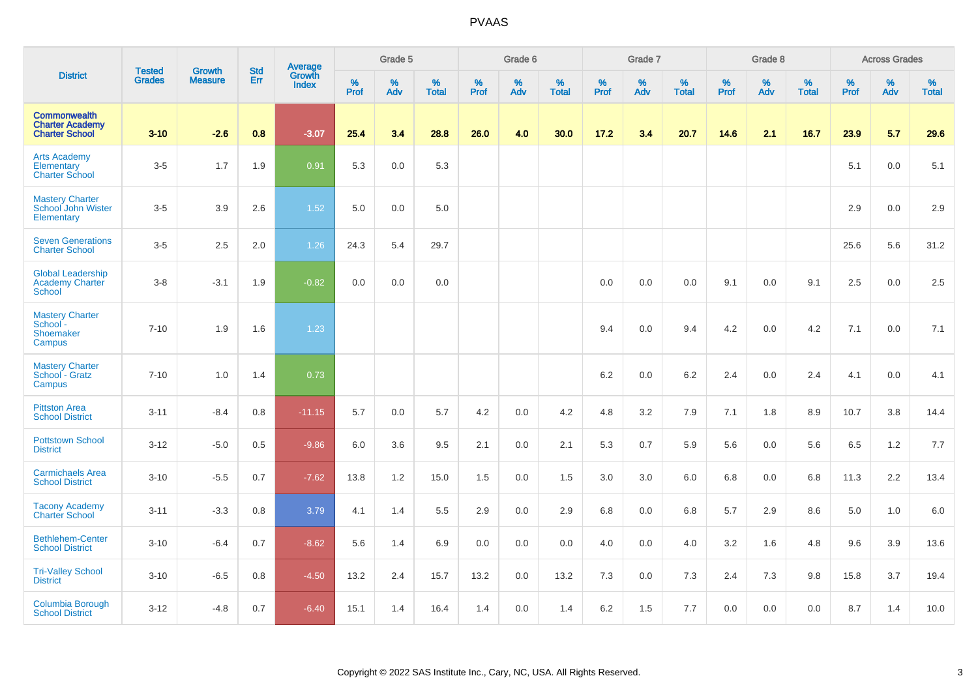|                                                                        |                                |                                 | <b>Std</b> | Average                |           | Grade 5  |                      |           | Grade 6  |                   |           | Grade 7  |                   |           | Grade 8  |                   |                  | <b>Across Grades</b> |                   |
|------------------------------------------------------------------------|--------------------------------|---------------------------------|------------|------------------------|-----------|----------|----------------------|-----------|----------|-------------------|-----------|----------|-------------------|-----------|----------|-------------------|------------------|----------------------|-------------------|
| <b>District</b>                                                        | <b>Tested</b><br><b>Grades</b> | <b>Growth</b><br><b>Measure</b> | Err        | Growth<br><b>Index</b> | %<br>Prof | %<br>Adv | $\%$<br><b>Total</b> | %<br>Prof | %<br>Adv | %<br><b>Total</b> | %<br>Prof | %<br>Adv | %<br><b>Total</b> | %<br>Prof | %<br>Adv | %<br><b>Total</b> | %<br><b>Prof</b> | $\%$<br>Adv          | %<br><b>Total</b> |
| <b>Commonwealth</b><br><b>Charter Academy</b><br><b>Charter School</b> | $3 - 10$                       | $-2.6$                          | 0.8        | $-3.07$                | 25.4      | 3.4      | 28.8                 | 26.0      | 4.0      | 30.0              | 17.2      | 3.4      | 20.7              | 14.6      | 2.1      | 16.7              | 23.9             | 5.7                  | 29.6              |
| <b>Arts Academy</b><br>Elementary<br><b>Charter School</b>             | $3-5$                          | 1.7                             | 1.9        | 0.91                   | 5.3       | 0.0      | 5.3                  |           |          |                   |           |          |                   |           |          |                   | 5.1              | 0.0                  | 5.1               |
| <b>Mastery Charter</b><br>School John Wister<br>Elementary             | $3-5$                          | 3.9                             | 2.6        | 1.52                   | 5.0       | 0.0      | 5.0                  |           |          |                   |           |          |                   |           |          |                   | 2.9              | 0.0                  | 2.9               |
| <b>Seven Generations</b><br><b>Charter School</b>                      | $3-5$                          | 2.5                             | 2.0        | 1.26                   | 24.3      | 5.4      | 29.7                 |           |          |                   |           |          |                   |           |          |                   | 25.6             | 5.6                  | 31.2              |
| <b>Global Leadership</b><br><b>Academy Charter</b><br>School           | $3-8$                          | $-3.1$                          | 1.9        | $-0.82$                | 0.0       | 0.0      | 0.0                  |           |          |                   | 0.0       | 0.0      | 0.0               | 9.1       | 0.0      | 9.1               | 2.5              | 0.0                  | 2.5               |
| <b>Mastery Charter</b><br>School -<br>Shoemaker<br>Campus              | $7 - 10$                       | 1.9                             | 1.6        | 1.23                   |           |          |                      |           |          |                   | 9.4       | 0.0      | 9.4               | 4.2       | 0.0      | 4.2               | 7.1              | 0.0                  | 7.1               |
| <b>Mastery Charter</b><br>School - Gratz<br>Campus                     | $7 - 10$                       | 1.0                             | 1.4        | 0.73                   |           |          |                      |           |          |                   | 6.2       | 0.0      | 6.2               | 2.4       | 0.0      | 2.4               | 4.1              | 0.0                  | 4.1               |
| <b>Pittston Area</b><br><b>School District</b>                         | $3 - 11$                       | $-8.4$                          | 0.8        | $-11.15$               | 5.7       | 0.0      | 5.7                  | 4.2       | 0.0      | 4.2               | 4.8       | 3.2      | 7.9               | 7.1       | 1.8      | 8.9               | 10.7             | 3.8                  | 14.4              |
| <b>Pottstown School</b><br><b>District</b>                             | $3 - 12$                       | $-5.0$                          | 0.5        | $-9.86$                | 6.0       | 3.6      | 9.5                  | 2.1       | 0.0      | 2.1               | 5.3       | 0.7      | 5.9               | 5.6       | 0.0      | 5.6               | 6.5              | 1.2                  | 7.7               |
| <b>Carmichaels Area</b><br><b>School District</b>                      | $3 - 10$                       | $-5.5$                          | 0.7        | $-7.62$                | 13.8      | 1.2      | 15.0                 | 1.5       | 0.0      | 1.5               | 3.0       | 3.0      | 6.0               | 6.8       | 0.0      | 6.8               | 11.3             | 2.2                  | 13.4              |
| <b>Tacony Academy</b><br><b>Charter School</b>                         | $3 - 11$                       | $-3.3$                          | 0.8        | 3.79                   | 4.1       | 1.4      | 5.5                  | 2.9       | 0.0      | 2.9               | 6.8       | 0.0      | 6.8               | 5.7       | 2.9      | 8.6               | 5.0              | 1.0                  | 6.0               |
| <b>Bethlehem-Center</b><br><b>School District</b>                      | $3 - 10$                       | $-6.4$                          | 0.7        | $-8.62$                | 5.6       | 1.4      | 6.9                  | 0.0       | 0.0      | 0.0               | 4.0       | 0.0      | 4.0               | 3.2       | 1.6      | 4.8               | 9.6              | 3.9                  | 13.6              |
| <b>Tri-Valley School</b><br><b>District</b>                            | $3 - 10$                       | $-6.5$                          | 0.8        | $-4.50$                | 13.2      | 2.4      | 15.7                 | 13.2      | 0.0      | 13.2              | 7.3       | 0.0      | 7.3               | 2.4       | 7.3      | 9.8               | 15.8             | 3.7                  | 19.4              |
| Columbia Borough<br><b>School District</b>                             | $3 - 12$                       | $-4.8$                          | 0.7        | $-6.40$                | 15.1      | 1.4      | 16.4                 | 1.4       | 0.0      | 1.4               | 6.2       | 1.5      | 7.7               | 0.0       | 0.0      | 0.0               | 8.7              | 1.4                  | 10.0              |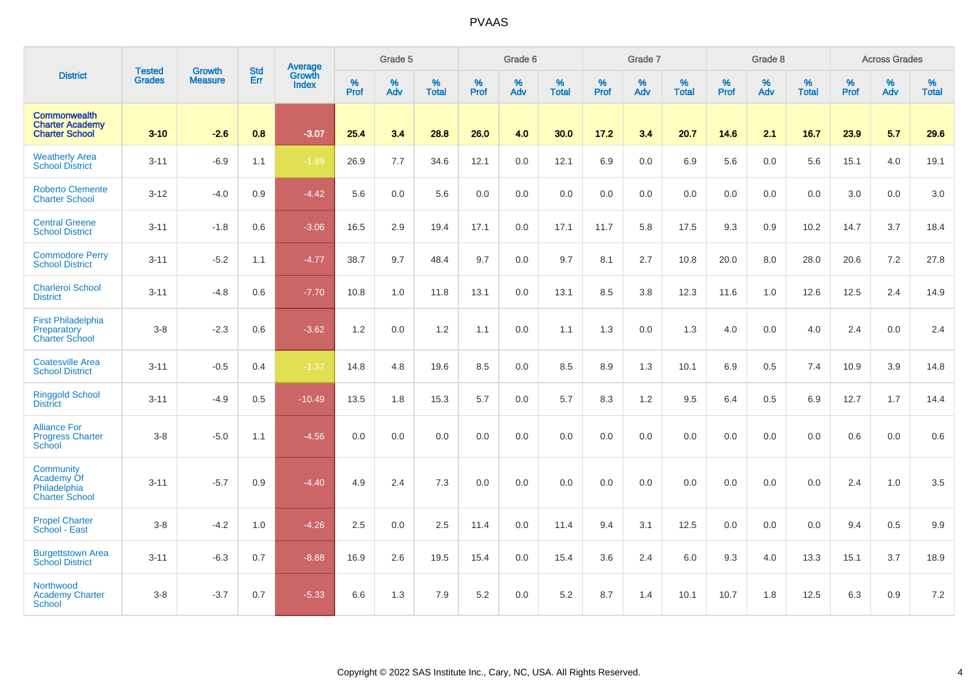|                                                                         |                                |                                 | <b>Std</b> | Average                       |           | Grade 5  |                   |           | Grade 6  |                   |           | Grade 7  |                   |           | Grade 8  |                   |           | <b>Across Grades</b> |                   |
|-------------------------------------------------------------------------|--------------------------------|---------------------------------|------------|-------------------------------|-----------|----------|-------------------|-----------|----------|-------------------|-----------|----------|-------------------|-----------|----------|-------------------|-----------|----------------------|-------------------|
| <b>District</b>                                                         | <b>Tested</b><br><b>Grades</b> | <b>Growth</b><br><b>Measure</b> | <b>Err</b> | <b>Growth</b><br><b>Index</b> | %<br>Prof | %<br>Adv | %<br><b>Total</b> | %<br>Prof | %<br>Adv | %<br><b>Total</b> | %<br>Prof | %<br>Adv | %<br><b>Total</b> | %<br>Prof | %<br>Adv | %<br><b>Total</b> | %<br>Prof | %<br>Adv             | %<br><b>Total</b> |
| <b>Commonwealth</b><br><b>Charter Academy</b><br><b>Charter School</b>  | $3 - 10$                       | $-2.6$                          | 0.8        | $-3.07$                       | 25.4      | 3.4      | 28.8              | 26.0      | 4.0      | 30.0              | 17.2      | 3.4      | 20.7              | 14.6      | 2.1      | 16.7              | 23.9      | 5.7                  | 29.6              |
| <b>Weatherly Area</b><br><b>School District</b>                         | $3 - 11$                       | $-6.9$                          | 1.1        | $-1.89$                       | 26.9      | $7.7\,$  | 34.6              | 12.1      | 0.0      | 12.1              | 6.9       | 0.0      | 6.9               | 5.6       | 0.0      | 5.6               | 15.1      | 4.0                  | 19.1              |
| <b>Roberto Clemente</b><br><b>Charter School</b>                        | $3 - 12$                       | $-4.0$                          | 0.9        | $-4.42$                       | 5.6       | 0.0      | 5.6               | 0.0       | 0.0      | 0.0               | 0.0       | 0.0      | 0.0               | 0.0       | 0.0      | 0.0               | 3.0       | 0.0                  | 3.0               |
| <b>Central Greene</b><br><b>School District</b>                         | $3 - 11$                       | $-1.8$                          | 0.6        | $-3.06$                       | 16.5      | 2.9      | 19.4              | 17.1      | 0.0      | 17.1              | 11.7      | 5.8      | 17.5              | 9.3       | 0.9      | 10.2              | 14.7      | 3.7                  | 18.4              |
| <b>Commodore Perry</b><br><b>School District</b>                        | $3 - 11$                       | $-5.2$                          | 1.1        | $-4.77$                       | 38.7      | 9.7      | 48.4              | 9.7       | $0.0\,$  | 9.7               | 8.1       | 2.7      | 10.8              | 20.0      | 8.0      | 28.0              | 20.6      | $7.2\,$              | 27.8              |
| <b>Charleroi School</b><br><b>District</b>                              | $3 - 11$                       | $-4.8$                          | 0.6        | $-7.70$                       | 10.8      | 1.0      | 11.8              | 13.1      | 0.0      | 13.1              | 8.5       | 3.8      | 12.3              | 11.6      | 1.0      | 12.6              | 12.5      | 2.4                  | 14.9              |
| <b>First Philadelphia</b><br>Preparatory<br><b>Charter School</b>       | $3-8$                          | $-2.3$                          | 0.6        | $-3.62$                       | 1.2       | 0.0      | 1.2               | 1.1       | 0.0      | 1.1               | 1.3       | 0.0      | 1.3               | 4.0       | 0.0      | 4.0               | 2.4       | 0.0                  | 2.4               |
| <b>Coatesville Area</b><br><b>School District</b>                       | $3 - 11$                       | $-0.5$                          | 0.4        | $-1.37$                       | 14.8      | 4.8      | 19.6              | 8.5       | 0.0      | 8.5               | 8.9       | 1.3      | 10.1              | 6.9       | 0.5      | 7.4               | 10.9      | 3.9                  | 14.8              |
| <b>Ringgold School</b><br><b>District</b>                               | $3 - 11$                       | $-4.9$                          | 0.5        | $-10.49$                      | 13.5      | 1.8      | 15.3              | 5.7       | 0.0      | 5.7               | 8.3       | 1.2      | 9.5               | 6.4       | 0.5      | 6.9               | 12.7      | 1.7                  | 14.4              |
| <b>Alliance For</b><br><b>Progress Charter</b><br>School                | $3-8$                          | $-5.0$                          | 1.1        | $-4.56$                       | 0.0       | 0.0      | 0.0               | 0.0       | 0.0      | 0.0               | 0.0       | 0.0      | 0.0               | 0.0       | 0.0      | 0.0               | 0.6       | 0.0                  | 0.6               |
| <b>Community</b><br>Academy Of<br>Philadelphia<br><b>Charter School</b> | $3 - 11$                       | $-5.7$                          | 0.9        | $-4.40$                       | 4.9       | 2.4      | 7.3               | 0.0       | 0.0      | 0.0               | 0.0       | 0.0      | 0.0               | 0.0       | 0.0      | 0.0               | 2.4       | 1.0                  | 3.5               |
| <b>Propel Charter</b><br>School - East                                  | $3-8$                          | $-4.2$                          | 1.0        | $-4.26$                       | 2.5       | 0.0      | 2.5               | 11.4      | 0.0      | 11.4              | 9.4       | 3.1      | 12.5              | 0.0       | 0.0      | 0.0               | 9.4       | 0.5                  | 9.9               |
| <b>Burgettstown Area</b><br><b>School District</b>                      | $3 - 11$                       | $-6.3$                          | 0.7        | $-8.88$                       | 16.9      | 2.6      | 19.5              | 15.4      | 0.0      | 15.4              | 3.6       | 2.4      | 6.0               | 9.3       | 4.0      | 13.3              | 15.1      | 3.7                  | 18.9              |
| Northwood<br><b>Academy Charter</b><br>School                           | $3-8$                          | $-3.7$                          | 0.7        | $-5.33$                       | 6.6       | 1.3      | 7.9               | 5.2       | 0.0      | 5.2               | 8.7       | 1.4      | 10.1              | 10.7      | 1.8      | 12.5              | 6.3       | 0.9                  | 7.2               |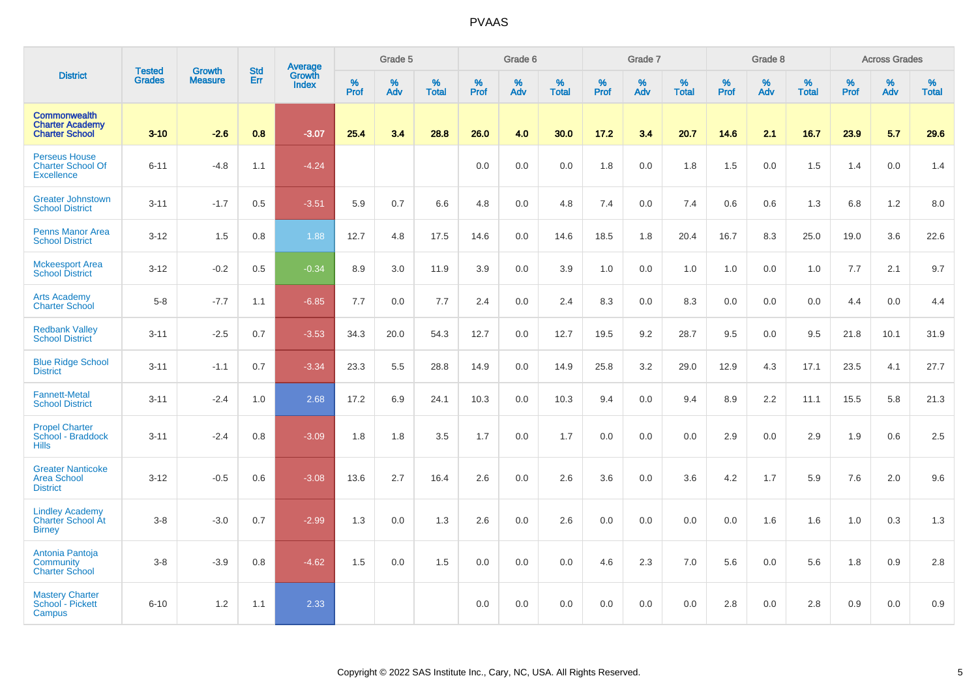| <b>District</b>                                                        |                                |                                 | <b>Std</b> | Average                |                     | Grade 5  |                   |                  | Grade 6  |                   |                  | Grade 7  |                   |           | Grade 8  |                   |           | <b>Across Grades</b> |                   |
|------------------------------------------------------------------------|--------------------------------|---------------------------------|------------|------------------------|---------------------|----------|-------------------|------------------|----------|-------------------|------------------|----------|-------------------|-----------|----------|-------------------|-----------|----------------------|-------------------|
|                                                                        | <b>Tested</b><br><b>Grades</b> | <b>Growth</b><br><b>Measure</b> | Err        | Growth<br><b>Index</b> | $\%$<br><b>Prof</b> | %<br>Adv | %<br><b>Total</b> | %<br><b>Prof</b> | %<br>Adv | %<br><b>Total</b> | %<br><b>Prof</b> | %<br>Adv | %<br><b>Total</b> | %<br>Prof | %<br>Adv | %<br><b>Total</b> | %<br>Prof | %<br>Adv             | %<br><b>Total</b> |
| <b>Commonwealth</b><br><b>Charter Academy</b><br><b>Charter School</b> | $3 - 10$                       | $-2.6$                          | 0.8        | $-3.07$                | 25.4                | 3.4      | 28.8              | 26.0             | 4.0      | 30.0              | 17.2             | 3.4      | 20.7              | 14.6      | 2.1      | 16.7              | 23.9      | 5.7                  | 29.6              |
| <b>Perseus House</b><br><b>Charter School Of</b><br><b>Excellence</b>  | $6 - 11$                       | $-4.8$                          | 1.1        | $-4.24$                |                     |          |                   | 0.0              | 0.0      | 0.0               | 1.8              | 0.0      | 1.8               | 1.5       | 0.0      | 1.5               | 1.4       | 0.0                  | 1.4               |
| <b>Greater Johnstown</b><br><b>School District</b>                     | $3 - 11$                       | $-1.7$                          | 0.5        | $-3.51$                | 5.9                 | 0.7      | 6.6               | 4.8              | 0.0      | 4.8               | 7.4              | 0.0      | 7.4               | 0.6       | 0.6      | 1.3               | 6.8       | 1.2                  | 8.0               |
| <b>Penns Manor Area</b><br><b>School District</b>                      | $3 - 12$                       | 1.5                             | 0.8        | 1.88                   | 12.7                | 4.8      | 17.5              | 14.6             | 0.0      | 14.6              | 18.5             | 1.8      | 20.4              | 16.7      | 8.3      | 25.0              | 19.0      | 3.6                  | 22.6              |
| <b>Mckeesport Area</b><br><b>School District</b>                       | $3 - 12$                       | $-0.2$                          | 0.5        | $-0.34$                | 8.9                 | $3.0\,$  | 11.9              | 3.9              | 0.0      | 3.9               | 1.0              | 0.0      | 1.0               | 1.0       | 0.0      | 1.0               | 7.7       | 2.1                  | 9.7               |
| <b>Arts Academy</b><br><b>Charter School</b>                           | $5 - 8$                        | $-7.7$                          | 1.1        | $-6.85$                | 7.7                 | 0.0      | 7.7               | 2.4              | 0.0      | 2.4               | 8.3              | 0.0      | 8.3               | 0.0       | 0.0      | 0.0               | 4.4       | 0.0                  | 4.4               |
| <b>Redbank Valley</b><br><b>School District</b>                        | $3 - 11$                       | $-2.5$                          | 0.7        | $-3.53$                | 34.3                | 20.0     | 54.3              | 12.7             | 0.0      | 12.7              | 19.5             | 9.2      | 28.7              | 9.5       | 0.0      | 9.5               | 21.8      | 10.1                 | 31.9              |
| <b>Blue Ridge School</b><br><b>District</b>                            | $3 - 11$                       | $-1.1$                          | 0.7        | $-3.34$                | 23.3                | 5.5      | 28.8              | 14.9             | 0.0      | 14.9              | 25.8             | 3.2      | 29.0              | 12.9      | 4.3      | 17.1              | 23.5      | 4.1                  | 27.7              |
| <b>Fannett-Metal</b><br><b>School District</b>                         | $3 - 11$                       | $-2.4$                          | 1.0        | 2.68                   | 17.2                | 6.9      | 24.1              | 10.3             | 0.0      | 10.3              | 9.4              | 0.0      | 9.4               | 8.9       | 2.2      | 11.1              | 15.5      | 5.8                  | 21.3              |
| <b>Propel Charter</b><br>School - Braddock<br><b>Hills</b>             | $3 - 11$                       | $-2.4$                          | 0.8        | $-3.09$                | 1.8                 | 1.8      | 3.5               | 1.7              | 0.0      | 1.7               | 0.0              | 0.0      | 0.0               | 2.9       | 0.0      | 2.9               | 1.9       | 0.6                  | 2.5               |
| <b>Greater Nanticoke</b><br><b>Area School</b><br><b>District</b>      | $3 - 12$                       | $-0.5$                          | 0.6        | $-3.08$                | 13.6                | 2.7      | 16.4              | 2.6              | 0.0      | 2.6               | 3.6              | 0.0      | 3.6               | 4.2       | 1.7      | 5.9               | 7.6       | 2.0                  | 9.6               |
| <b>Lindley Academy</b><br>Charter School At<br><b>Birney</b>           | $3 - 8$                        | $-3.0$                          | 0.7        | $-2.99$                | 1.3                 | 0.0      | 1.3               | 2.6              | 0.0      | 2.6               | 0.0              | 0.0      | 0.0               | 0.0       | 1.6      | 1.6               | 1.0       | 0.3                  | 1.3               |
| Antonia Pantoja<br><b>Community</b><br><b>Charter School</b>           | $3 - 8$                        | $-3.9$                          | 0.8        | $-4.62$                | 1.5                 | 0.0      | 1.5               | 0.0              | 0.0      | 0.0               | 4.6              | 2.3      | 7.0               | 5.6       | 0.0      | 5.6               | 1.8       | 0.9                  | 2.8               |
| <b>Mastery Charter</b><br>School - Pickett<br>Campus                   | $6 - 10$                       | 1.2                             | 1.1        | 2.33                   |                     |          |                   | 0.0              | 0.0      | 0.0               | 0.0              | 0.0      | 0.0               | 2.8       | 0.0      | 2.8               | 0.9       | $0.0\,$              | 0.9               |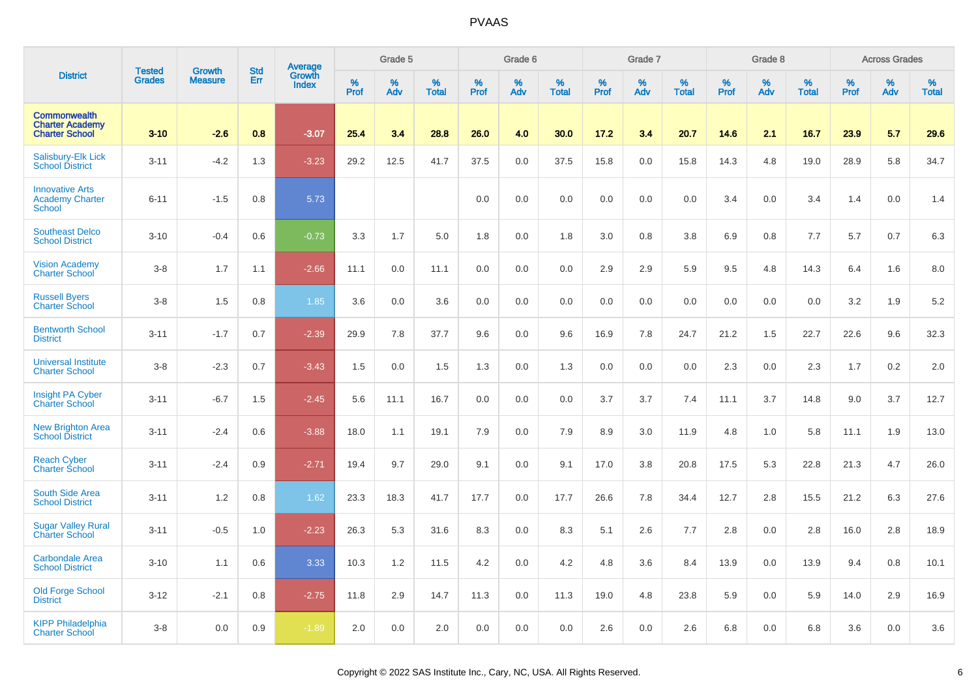|                                                                        | <b>Tested</b> | Growth         | <b>Std</b> | Average                |                  | Grade 5  |                   |           | Grade 6  |                   |           | Grade 7  |                   |           | Grade 8  |                   |           | <b>Across Grades</b> |                   |
|------------------------------------------------------------------------|---------------|----------------|------------|------------------------|------------------|----------|-------------------|-----------|----------|-------------------|-----------|----------|-------------------|-----------|----------|-------------------|-----------|----------------------|-------------------|
| <b>District</b>                                                        | <b>Grades</b> | <b>Measure</b> | Err        | Growth<br><b>Index</b> | %<br><b>Prof</b> | %<br>Adv | %<br><b>Total</b> | %<br>Prof | %<br>Adv | %<br><b>Total</b> | %<br>Prof | %<br>Adv | %<br><b>Total</b> | %<br>Prof | %<br>Adv | %<br><b>Total</b> | %<br>Prof | %<br>Adv             | %<br><b>Total</b> |
| <b>Commonwealth</b><br><b>Charter Academy</b><br><b>Charter School</b> | $3 - 10$      | $-2.6$         | 0.8        | $-3.07$                | 25.4             | 3.4      | 28.8              | 26.0      | 4.0      | 30.0              | 17.2      | 3.4      | 20.7              | 14.6      | 2.1      | 16.7              | 23.9      | 5.7                  | 29.6              |
| Salisbury-Elk Lick<br><b>School District</b>                           | $3 - 11$      | $-4.2$         | 1.3        | $-3.23$                | 29.2             | 12.5     | 41.7              | 37.5      | 0.0      | 37.5              | 15.8      | 0.0      | 15.8              | 14.3      | 4.8      | 19.0              | 28.9      | 5.8                  | 34.7              |
| <b>Innovative Arts</b><br><b>Academy Charter</b><br><b>School</b>      | $6 - 11$      | $-1.5$         | 0.8        | 5.73                   |                  |          |                   | 0.0       | 0.0      | 0.0               | 0.0       | 0.0      | 0.0               | 3.4       | 0.0      | 3.4               | 1.4       | 0.0                  | 1.4               |
| <b>Southeast Delco</b><br><b>School District</b>                       | $3 - 10$      | $-0.4$         | 0.6        | $-0.73$                | 3.3              | 1.7      | 5.0               | 1.8       | 0.0      | 1.8               | 3.0       | 0.8      | 3.8               | 6.9       | 0.8      | 7.7               | 5.7       | 0.7                  | $6.3\,$           |
| <b>Vision Academy</b><br><b>Charter School</b>                         | $3-8$         | 1.7            | 1.1        | $-2.66$                | 11.1             | 0.0      | 11.1              | 0.0       | 0.0      | 0.0               | 2.9       | 2.9      | 5.9               | 9.5       | 4.8      | 14.3              | 6.4       | 1.6                  | 8.0               |
| <b>Russell Byers</b><br><b>Charter School</b>                          | $3 - 8$       | 1.5            | 0.8        | 1.85                   | 3.6              | 0.0      | 3.6               | $0.0\,$   | 0.0      | 0.0               | 0.0       | 0.0      | 0.0               | 0.0       | 0.0      | 0.0               | 3.2       | 1.9                  | 5.2               |
| <b>Bentworth School</b><br><b>District</b>                             | $3 - 11$      | $-1.7$         | 0.7        | $-2.39$                | 29.9             | 7.8      | 37.7              | 9.6       | 0.0      | 9.6               | 16.9      | 7.8      | 24.7              | 21.2      | 1.5      | 22.7              | 22.6      | 9.6                  | 32.3              |
| <b>Universal Institute</b><br><b>Charter School</b>                    | $3 - 8$       | $-2.3$         | 0.7        | $-3.43$                | 1.5              | 0.0      | 1.5               | 1.3       | 0.0      | 1.3               | 0.0       | 0.0      | 0.0               | 2.3       | 0.0      | 2.3               | 1.7       | 0.2                  | 2.0               |
| Insight PA Cyber<br><b>Charter School</b>                              | $3 - 11$      | $-6.7$         | 1.5        | $-2.45$                | 5.6              | 11.1     | 16.7              | 0.0       | 0.0      | 0.0               | 3.7       | 3.7      | 7.4               | 11.1      | 3.7      | 14.8              | 9.0       | 3.7                  | 12.7              |
| <b>New Brighton Area</b><br><b>School District</b>                     | $3 - 11$      | $-2.4$         | 0.6        | $-3.88$                | 18.0             | 1.1      | 19.1              | 7.9       | 0.0      | 7.9               | 8.9       | 3.0      | 11.9              | 4.8       | 1.0      | 5.8               | 11.1      | 1.9                  | 13.0              |
| <b>Reach Cyber</b><br><b>Charter School</b>                            | $3 - 11$      | $-2.4$         | 0.9        | $-2.71$                | 19.4             | 9.7      | 29.0              | 9.1       | 0.0      | 9.1               | 17.0      | 3.8      | 20.8              | 17.5      | 5.3      | 22.8              | 21.3      | 4.7                  | 26.0              |
| <b>South Side Area</b><br><b>School District</b>                       | $3 - 11$      | 1.2            | 0.8        | 1.62                   | 23.3             | 18.3     | 41.7              | 17.7      | 0.0      | 17.7              | 26.6      | 7.8      | 34.4              | 12.7      | 2.8      | 15.5              | 21.2      | 6.3                  | 27.6              |
| <b>Sugar Valley Rural</b><br><b>Charter School</b>                     | $3 - 11$      | $-0.5$         | 1.0        | $-2.23$                | 26.3             | 5.3      | 31.6              | 8.3       | 0.0      | 8.3               | 5.1       | 2.6      | 7.7               | 2.8       | 0.0      | 2.8               | 16.0      | 2.8                  | 18.9              |
| <b>Carbondale Area</b><br><b>School District</b>                       | $3 - 10$      | 1.1            | 0.6        | 3.33                   | 10.3             | 1.2      | 11.5              | 4.2       | 0.0      | 4.2               | 4.8       | 3.6      | 8.4               | 13.9      | 0.0      | 13.9              | 9.4       | 0.8                  | 10.1              |
| <b>Old Forge School</b><br><b>District</b>                             | $3 - 12$      | $-2.1$         | 0.8        | $-2.75$                | 11.8             | 2.9      | 14.7              | 11.3      | 0.0      | 11.3              | 19.0      | 4.8      | 23.8              | 5.9       | 0.0      | 5.9               | 14.0      | 2.9                  | 16.9              |
| <b>KIPP Philadelphia</b><br><b>Charter School</b>                      | $3 - 8$       | 0.0            | 0.9        | $-1.89$                | 2.0              | 0.0      | 2.0               | 0.0       | 0.0      | 0.0               | 2.6       | 0.0      | 2.6               | 6.8       | 0.0      | 6.8               | 3.6       | 0.0                  | 3.6               |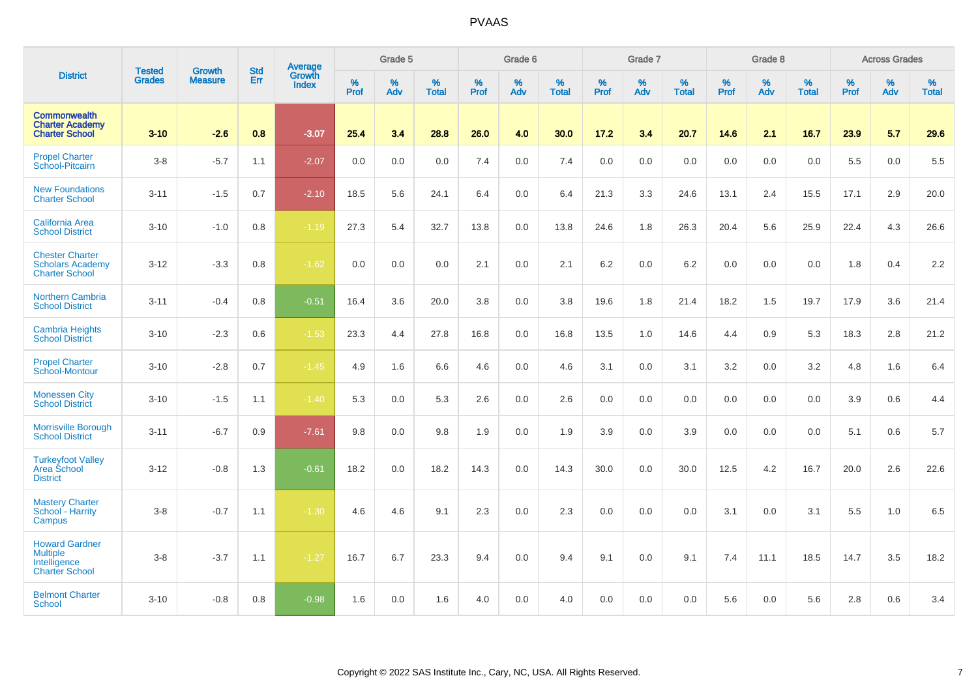|                                                                                   |                                |                                 | <b>Std</b> | <b>Average</b>         |           | Grade 5  |                   |           | Grade 6  |                   |           | Grade 7  |                   |           | Grade 8  |                   |           | <b>Across Grades</b> |                   |
|-----------------------------------------------------------------------------------|--------------------------------|---------------------------------|------------|------------------------|-----------|----------|-------------------|-----------|----------|-------------------|-----------|----------|-------------------|-----------|----------|-------------------|-----------|----------------------|-------------------|
| <b>District</b>                                                                   | <b>Tested</b><br><b>Grades</b> | <b>Growth</b><br><b>Measure</b> | Err        | Growth<br><b>Index</b> | %<br>Prof | %<br>Adv | %<br><b>Total</b> | %<br>Prof | %<br>Adv | %<br><b>Total</b> | %<br>Prof | %<br>Adv | %<br><b>Total</b> | %<br>Prof | %<br>Adv | %<br><b>Total</b> | %<br>Prof | %<br>Adv             | %<br><b>Total</b> |
| <b>Commonwealth</b><br><b>Charter Academy</b><br><b>Charter School</b>            | $3 - 10$                       | $-2.6$                          | 0.8        | $-3.07$                | 25.4      | 3.4      | 28.8              | 26.0      | 4.0      | 30.0              | 17.2      | 3.4      | 20.7              | 14.6      | 2.1      | 16.7              | 23.9      | 5.7                  | 29.6              |
| <b>Propel Charter</b><br>School-Pitcairn                                          | $3-8$                          | $-5.7$                          | 1.1        | $-2.07$                | 0.0       | 0.0      | 0.0               | 7.4       | 0.0      | 7.4               | 0.0       | 0.0      | 0.0               | 0.0       | 0.0      | 0.0               | 5.5       | 0.0                  | 5.5               |
| <b>New Foundations</b><br><b>Charter School</b>                                   | $3 - 11$                       | $-1.5$                          | 0.7        | $-2.10$                | 18.5      | 5.6      | 24.1              | 6.4       | 0.0      | 6.4               | 21.3      | 3.3      | 24.6              | 13.1      | 2.4      | 15.5              | 17.1      | 2.9                  | 20.0              |
| <b>California Area</b><br><b>School District</b>                                  | $3 - 10$                       | $-1.0$                          | 0.8        | $-1.19$                | 27.3      | 5.4      | 32.7              | 13.8      | 0.0      | 13.8              | 24.6      | 1.8      | 26.3              | 20.4      | 5.6      | 25.9              | 22.4      | 4.3                  | 26.6              |
| <b>Chester Charter</b><br><b>Scholars Academy</b><br><b>Charter School</b>        | $3 - 12$                       | $-3.3$                          | 0.8        | $-1.62$                | 0.0       | 0.0      | 0.0               | 2.1       | 0.0      | 2.1               | 6.2       | 0.0      | 6.2               | 0.0       | 0.0      | 0.0               | 1.8       | 0.4                  | 2.2               |
| <b>Northern Cambria</b><br><b>School District</b>                                 | $3 - 11$                       | $-0.4$                          | 0.8        | $-0.51$                | 16.4      | 3.6      | 20.0              | 3.8       | 0.0      | 3.8               | 19.6      | 1.8      | 21.4              | 18.2      | 1.5      | 19.7              | 17.9      | 3.6                  | 21.4              |
| <b>Cambria Heights</b><br><b>School District</b>                                  | $3 - 10$                       | $-2.3$                          | 0.6        | $-1.53$                | 23.3      | 4.4      | 27.8              | 16.8      | 0.0      | 16.8              | 13.5      | 1.0      | 14.6              | 4.4       | 0.9      | 5.3               | 18.3      | 2.8                  | 21.2              |
| <b>Propel Charter</b><br>School-Montour                                           | $3 - 10$                       | $-2.8$                          | 0.7        | $-1.45$                | 4.9       | 1.6      | 6.6               | 4.6       | 0.0      | 4.6               | 3.1       | 0.0      | 3.1               | 3.2       | 0.0      | 3.2               | 4.8       | 1.6                  | 6.4               |
| <b>Monessen City</b><br><b>School District</b>                                    | $3 - 10$                       | $-1.5$                          | 1.1        | $-1.40$                | 5.3       | 0.0      | 5.3               | 2.6       | 0.0      | 2.6               | 0.0       | 0.0      | 0.0               | 0.0       | 0.0      | 0.0               | 3.9       | 0.6                  | 4.4               |
| <b>Morrisville Borough</b><br><b>School District</b>                              | $3 - 11$                       | $-6.7$                          | 0.9        | $-7.61$                | 9.8       | 0.0      | 9.8               | 1.9       | 0.0      | 1.9               | 3.9       | 0.0      | 3.9               | 0.0       | 0.0      | 0.0               | 5.1       | 0.6                  | 5.7               |
| <b>Turkeyfoot Valley</b><br>Area School<br><b>District</b>                        | $3 - 12$                       | $-0.8$                          | 1.3        | $-0.61$                | 18.2      | 0.0      | 18.2              | 14.3      | 0.0      | 14.3              | 30.0      | 0.0      | 30.0              | 12.5      | 4.2      | 16.7              | 20.0      | 2.6                  | 22.6              |
| <b>Mastery Charter</b><br>School - Harrity<br>Campus                              | $3 - 8$                        | $-0.7$                          | 1.1        | $-1.30$                | 4.6       | 4.6      | 9.1               | 2.3       | 0.0      | 2.3               | 0.0       | 0.0      | 0.0               | 3.1       | 0.0      | 3.1               | 5.5       | 1.0                  | 6.5               |
| <b>Howard Gardner</b><br><b>Multiple</b><br>Intelligence<br><b>Charter School</b> | $3-8$                          | $-3.7$                          | 1.1        | $-1.27$                | 16.7      | 6.7      | 23.3              | 9.4       | 0.0      | 9.4               | 9.1       | 0.0      | 9.1               | 7.4       | 11.1     | 18.5              | 14.7      | 3.5                  | 18.2              |
| <b>Belmont Charter</b><br><b>School</b>                                           | $3 - 10$                       | $-0.8$                          | 0.8        | $-0.98$                | 1.6       | 0.0      | 1.6               | 4.0       | 0.0      | 4.0               | 0.0       | 0.0      | 0.0               | 5.6       | 0.0      | 5.6               | 2.8       | 0.6                  | 3.4               |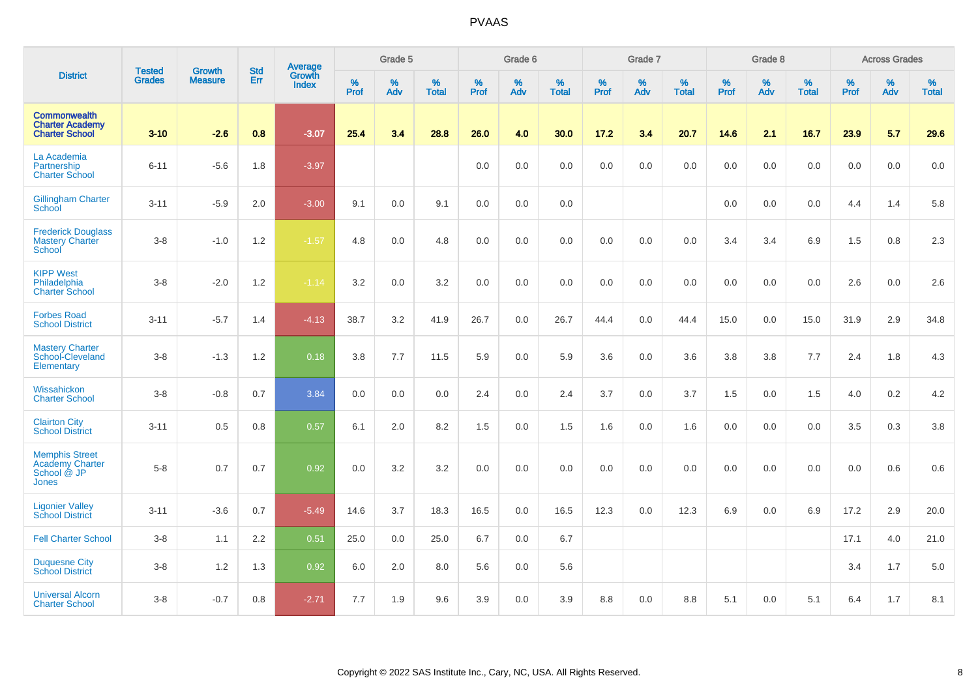| <b>District</b>                                                         |                                |                                 | <b>Std</b> | Average                |           | Grade 5  |                   |           | Grade 6  |                   |           | Grade 7  |                   |           | Grade 8  |                   |           | <b>Across Grades</b> |                   |
|-------------------------------------------------------------------------|--------------------------------|---------------------------------|------------|------------------------|-----------|----------|-------------------|-----------|----------|-------------------|-----------|----------|-------------------|-----------|----------|-------------------|-----------|----------------------|-------------------|
|                                                                         | <b>Tested</b><br><b>Grades</b> | <b>Growth</b><br><b>Measure</b> | Err        | Growth<br><b>Index</b> | %<br>Prof | %<br>Adv | %<br><b>Total</b> | %<br>Prof | %<br>Adv | %<br><b>Total</b> | %<br>Prof | %<br>Adv | %<br><b>Total</b> | %<br>Prof | %<br>Adv | %<br><b>Total</b> | %<br>Prof | %<br>Adv             | %<br><b>Total</b> |
| <b>Commonwealth</b><br><b>Charter Academy</b><br><b>Charter School</b>  | $3 - 10$                       | $-2.6$                          | 0.8        | $-3.07$                | 25.4      | 3.4      | 28.8              | 26.0      | 4.0      | 30.0              | 17.2      | 3.4      | 20.7              | 14.6      | 2.1      | 16.7              | 23.9      | 5.7                  | 29.6              |
| La Academia<br>Partnership<br><b>Charter School</b>                     | $6 - 11$                       | $-5.6$                          | 1.8        | $-3.97$                |           |          |                   | 0.0       | 0.0      | 0.0               | 0.0       | 0.0      | 0.0               | 0.0       | 0.0      | 0.0               | 0.0       | 0.0                  | 0.0               |
| <b>Gillingham Charter</b><br>School                                     | $3 - 11$                       | $-5.9$                          | 2.0        | $-3.00$                | 9.1       | 0.0      | 9.1               | 0.0       | 0.0      | 0.0               |           |          |                   | 0.0       | 0.0      | 0.0               | 4.4       | 1.4                  | 5.8               |
| <b>Frederick Douglass</b><br><b>Mastery Charter</b><br>School           | $3-8$                          | $-1.0$                          | 1.2        | $-1.57$                | 4.8       | 0.0      | 4.8               | 0.0       | 0.0      | 0.0               | 0.0       | 0.0      | 0.0               | 3.4       | 3.4      | 6.9               | 1.5       | 0.8                  | 2.3               |
| <b>KIPP West</b><br>Philadelphia<br><b>Charter School</b>               | $3-8$                          | $-2.0$                          | 1.2        | $-1.14$                | 3.2       | 0.0      | 3.2               | 0.0       | 0.0      | 0.0               | 0.0       | 0.0      | 0.0               | 0.0       | 0.0      | 0.0               | 2.6       | 0.0                  | 2.6               |
| <b>Forbes Road</b><br><b>School District</b>                            | $3 - 11$                       | $-5.7$                          | 1.4        | $-4.13$                | 38.7      | 3.2      | 41.9              | 26.7      | 0.0      | 26.7              | 44.4      | 0.0      | 44.4              | 15.0      | 0.0      | 15.0              | 31.9      | 2.9                  | 34.8              |
| <b>Mastery Charter</b><br>School-Cleveland<br>Elementary                | $3-8$                          | $-1.3$                          | 1.2        | 0.18                   | 3.8       | 7.7      | 11.5              | 5.9       | 0.0      | 5.9               | 3.6       | 0.0      | 3.6               | 3.8       | 3.8      | 7.7               | 2.4       | 1.8                  | 4.3               |
| Wissahickon<br><b>Charter School</b>                                    | $3-8$                          | $-0.8$                          | 0.7        | 3.84                   | 0.0       | 0.0      | 0.0               | 2.4       | 0.0      | 2.4               | 3.7       | 0.0      | 3.7               | 1.5       | 0.0      | 1.5               | 4.0       | 0.2                  | 4.2               |
| <b>Clairton City</b><br><b>School District</b>                          | $3 - 11$                       | 0.5                             | 0.8        | 0.57                   | 6.1       | 2.0      | 8.2               | 1.5       | 0.0      | 1.5               | 1.6       | 0.0      | 1.6               | 0.0       | 0.0      | 0.0               | 3.5       | 0.3                  | 3.8               |
| <b>Memphis Street</b><br><b>Academy Charter</b><br>School @ JP<br>Jones | $5-8$                          | 0.7                             | 0.7        | 0.92                   | 0.0       | 3.2      | 3.2               | 0.0       | 0.0      | 0.0               | 0.0       | 0.0      | 0.0               | 0.0       | 0.0      | 0.0               | 0.0       | 0.6                  | 0.6               |
| <b>Ligonier Valley</b><br><b>School District</b>                        | $3 - 11$                       | $-3.6$                          | 0.7        | $-5.49$                | 14.6      | 3.7      | 18.3              | 16.5      | 0.0      | 16.5              | 12.3      | 0.0      | 12.3              | 6.9       | 0.0      | 6.9               | 17.2      | 2.9                  | 20.0              |
| <b>Fell Charter School</b>                                              | $3-8$                          | 1.1                             | 2.2        | 0.51                   | 25.0      | 0.0      | 25.0              | 6.7       | 0.0      | 6.7               |           |          |                   |           |          |                   | 17.1      | 4.0                  | 21.0              |
| <b>Duquesne City</b><br><b>School District</b>                          | $3-8$                          | 1.2                             | 1.3        | 0.92                   | 6.0       | 2.0      | 8.0               | 5.6       | 0.0      | 5.6               |           |          |                   |           |          |                   | 3.4       | 1.7                  | 5.0               |
| <b>Universal Alcorn</b><br><b>Charter School</b>                        | $3-8$                          | $-0.7$                          | 0.8        | $-2.71$                | 7.7       | 1.9      | 9.6               | 3.9       | 0.0      | 3.9               | 8.8       | 0.0      | 8.8               | 5.1       | 0.0      | 5.1               | 6.4       | 1.7                  | 8.1               |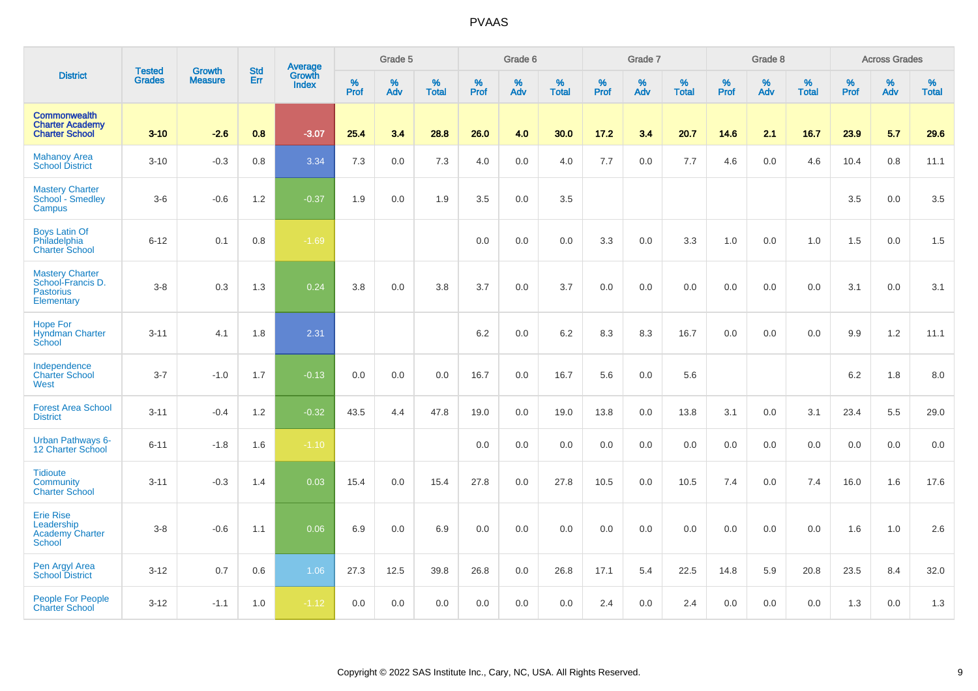|                                                                               | <b>Tested</b> | <b>Growth</b>  | <b>Std</b> | Average                |                     | Grade 5  |                   |           | Grade 6  |                   |           | Grade 7  |                   |           | Grade 8  |                   |           | <b>Across Grades</b> |                   |
|-------------------------------------------------------------------------------|---------------|----------------|------------|------------------------|---------------------|----------|-------------------|-----------|----------|-------------------|-----------|----------|-------------------|-----------|----------|-------------------|-----------|----------------------|-------------------|
| <b>District</b>                                                               | <b>Grades</b> | <b>Measure</b> | Err        | Growth<br><b>Index</b> | $\%$<br><b>Prof</b> | %<br>Adv | %<br><b>Total</b> | %<br>Prof | %<br>Adv | %<br><b>Total</b> | %<br>Prof | %<br>Adv | %<br><b>Total</b> | %<br>Prof | %<br>Adv | %<br><b>Total</b> | %<br>Prof | %<br>Adv             | %<br><b>Total</b> |
| <b>Commonwealth</b><br><b>Charter Academy</b><br><b>Charter School</b>        | $3 - 10$      | $-2.6$         | 0.8        | $-3.07$                | 25.4                | 3.4      | 28.8              | 26.0      | 4.0      | 30.0              | 17.2      | 3.4      | 20.7              | 14.6      | 2.1      | 16.7              | 23.9      | 5.7                  | 29.6              |
| <b>Mahanoy Area</b><br><b>School District</b>                                 | $3 - 10$      | $-0.3$         | 0.8        | 3.34                   | 7.3                 | 0.0      | 7.3               | 4.0       | 0.0      | 4.0               | 7.7       | 0.0      | 7.7               | 4.6       | $0.0\,$  | 4.6               | 10.4      | 0.8                  | 11.1              |
| <b>Mastery Charter</b><br><b>School - Smedley</b><br>Campus                   | $3-6$         | $-0.6$         | 1.2        | $-0.37$                | 1.9                 | 0.0      | 1.9               | 3.5       | 0.0      | 3.5               |           |          |                   |           |          |                   | 3.5       | 0.0                  | 3.5               |
| <b>Boys Latin Of</b><br>Philadelphia<br><b>Charter School</b>                 | $6 - 12$      | 0.1            | 0.8        | $-1.69$                |                     |          |                   | 0.0       | 0.0      | 0.0               | 3.3       | 0.0      | 3.3               | 1.0       | 0.0      | 1.0               | 1.5       | 0.0                  | 1.5               |
| <b>Mastery Charter</b><br>School-Francis D.<br><b>Pastorius</b><br>Elementary | $3 - 8$       | 0.3            | 1.3        | 0.24                   | 3.8                 | 0.0      | 3.8               | 3.7       | 0.0      | 3.7               | 0.0       | 0.0      | 0.0               | 0.0       | 0.0      | 0.0               | 3.1       | 0.0                  | 3.1               |
| <b>Hope For</b><br><b>Hyndman Charter</b><br>School                           | $3 - 11$      | 4.1            | 1.8        | 2.31                   |                     |          |                   | 6.2       | 0.0      | 6.2               | 8.3       | 8.3      | 16.7              | 0.0       | 0.0      | 0.0               | 9.9       | 1.2                  | 11.1              |
| Independence<br><b>Charter School</b><br>West                                 | $3 - 7$       | $-1.0$         | 1.7        | $-0.13$                | 0.0                 | 0.0      | 0.0               | 16.7      | 0.0      | 16.7              | 5.6       | 0.0      | 5.6               |           |          |                   | 6.2       | 1.8                  | 8.0               |
| <b>Forest Area School</b><br><b>District</b>                                  | $3 - 11$      | $-0.4$         | 1.2        | $-0.32$                | 43.5                | 4.4      | 47.8              | 19.0      | 0.0      | 19.0              | 13.8      | 0.0      | 13.8              | 3.1       | 0.0      | 3.1               | 23.4      | 5.5                  | 29.0              |
| <b>Urban Pathways 6-</b><br>12 Charter School                                 | $6 - 11$      | $-1.8$         | 1.6        | $-1.10$                |                     |          |                   | 0.0       | 0.0      | 0.0               | 0.0       | 0.0      | 0.0               | 0.0       | 0.0      | 0.0               | 0.0       | 0.0                  | 0.0               |
| <b>Tidioute</b><br><b>Community</b><br><b>Charter School</b>                  | $3 - 11$      | $-0.3$         | 1.4        | 0.03                   | 15.4                | 0.0      | 15.4              | 27.8      | 0.0      | 27.8              | 10.5      | 0.0      | 10.5              | 7.4       | 0.0      | 7.4               | 16.0      | 1.6                  | 17.6              |
| <b>Erie Rise</b><br>Leadership<br><b>Academy Charter</b><br><b>School</b>     | $3 - 8$       | $-0.6$         | 1.1        | 0.06                   | 6.9                 | 0.0      | 6.9               | 0.0       | 0.0      | 0.0               | 0.0       | 0.0      | 0.0               | 0.0       | 0.0      | 0.0               | 1.6       | 1.0                  | 2.6               |
| Pen Argyl Area<br>School District                                             | $3 - 12$      | 0.7            | 0.6        | 1.06                   | 27.3                | 12.5     | 39.8              | 26.8      | 0.0      | 26.8              | 17.1      | 5.4      | 22.5              | 14.8      | 5.9      | 20.8              | 23.5      | 8.4                  | 32.0              |
| <b>People For People</b><br><b>Charter School</b>                             | $3 - 12$      | $-1.1$         | 1.0        | $-1.12$                | 0.0                 | 0.0      | 0.0               | 0.0       | 0.0      | 0.0               | 2.4       | 0.0      | 2.4               | 0.0       | 0.0      | 0.0               | 1.3       | 0.0                  | 1.3               |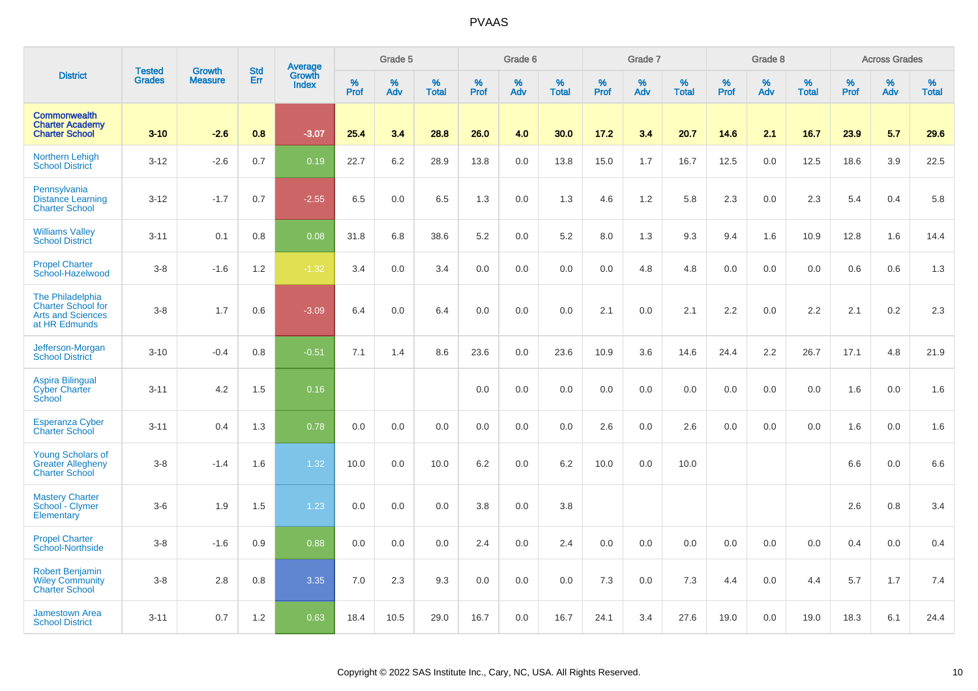|                                                                                            | <b>Tested</b> | <b>Growth</b>  | <b>Std</b> | Average                |           | Grade 5  |                   |           | Grade 6  |                   |           | Grade 7  |                   |           | Grade 8  |                   |           | <b>Across Grades</b> |                   |
|--------------------------------------------------------------------------------------------|---------------|----------------|------------|------------------------|-----------|----------|-------------------|-----------|----------|-------------------|-----------|----------|-------------------|-----------|----------|-------------------|-----------|----------------------|-------------------|
| <b>District</b>                                                                            | <b>Grades</b> | <b>Measure</b> | Err        | Growth<br><b>Index</b> | %<br>Prof | %<br>Adv | %<br><b>Total</b> | %<br>Prof | %<br>Adv | %<br><b>Total</b> | %<br>Prof | %<br>Adv | %<br><b>Total</b> | %<br>Prof | %<br>Adv | %<br><b>Total</b> | %<br>Prof | %<br>Adv             | %<br><b>Total</b> |
| <b>Commonwealth</b><br><b>Charter Academy</b><br><b>Charter School</b>                     | $3 - 10$      | $-2.6$         | 0.8        | $-3.07$                | 25.4      | 3.4      | 28.8              | 26.0      | 4.0      | 30.0              | 17.2      | 3.4      | 20.7              | 14.6      | 2.1      | 16.7              | 23.9      | 5.7                  | 29.6              |
| <b>Northern Lehigh</b><br><b>School District</b>                                           | $3 - 12$      | $-2.6$         | 0.7        | 0.19                   | 22.7      | 6.2      | 28.9              | 13.8      | 0.0      | 13.8              | 15.0      | 1.7      | 16.7              | 12.5      | 0.0      | 12.5              | 18.6      | 3.9                  | 22.5              |
| Pennsylvania<br><b>Distance Learning</b><br><b>Charter School</b>                          | $3 - 12$      | $-1.7$         | 0.7        | $-2.55$                | 6.5       | 0.0      | 6.5               | 1.3       | 0.0      | 1.3               | 4.6       | 1.2      | 5.8               | 2.3       | 0.0      | 2.3               | 5.4       | 0.4                  | 5.8               |
| <b>Williams Valley</b><br><b>School District</b>                                           | $3 - 11$      | 0.1            | 0.8        | 0.08                   | 31.8      | 6.8      | 38.6              | 5.2       | 0.0      | 5.2               | 8.0       | 1.3      | 9.3               | 9.4       | 1.6      | 10.9              | 12.8      | 1.6                  | 14.4              |
| <b>Propel Charter</b><br>School-Hazelwood                                                  | $3-8$         | $-1.6$         | 1.2        | $-1.32$                | 3.4       | 0.0      | 3.4               | 0.0       | 0.0      | 0.0               | 0.0       | 4.8      | 4.8               | 0.0       | 0.0      | 0.0               | 0.6       | 0.6                  | 1.3               |
| The Philadelphia<br><b>Charter School for</b><br><b>Arts and Sciences</b><br>at HR Edmunds | $3-8$         | 1.7            | 0.6        | $-3.09$                | 6.4       | 0.0      | 6.4               | 0.0       | 0.0      | 0.0               | 2.1       | 0.0      | 2.1               | 2.2       | 0.0      | 2.2               | 2.1       | 0.2                  | 2.3               |
| Jefferson-Morgan<br><b>School District</b>                                                 | $3 - 10$      | $-0.4$         | 0.8        | $-0.51$                | 7.1       | 1.4      | 8.6               | 23.6      | 0.0      | 23.6              | 10.9      | 3.6      | 14.6              | 24.4      | 2.2      | 26.7              | 17.1      | 4.8                  | 21.9              |
| Aspira Bilingual<br><b>Cyber Charter</b><br>School                                         | $3 - 11$      | 4.2            | 1.5        | 0.16                   |           |          |                   | 0.0       | 0.0      | 0.0               | 0.0       | 0.0      | 0.0               | 0.0       | 0.0      | 0.0               | 1.6       | 0.0                  | 1.6               |
| <b>Esperanza Cyber</b><br><b>Charter School</b>                                            | $3 - 11$      | 0.4            | 1.3        | 0.78                   | 0.0       | 0.0      | 0.0               | 0.0       | 0.0      | 0.0               | 2.6       | 0.0      | 2.6               | 0.0       | 0.0      | 0.0               | 1.6       | 0.0                  | 1.6               |
| <b>Young Scholars of</b><br><b>Greater Allegheny</b><br><b>Charter School</b>              | $3-8$         | $-1.4$         | 1.6        | 1.32                   | 10.0      | 0.0      | 10.0              | 6.2       | 0.0      | 6.2               | 10.0      | 0.0      | 10.0              |           |          |                   | 6.6       | 0.0                  | 6.6               |
| <b>Mastery Charter</b><br>School - Clymer<br>Elementary                                    | $3-6$         | 1.9            | 1.5        | 1.23                   | 0.0       | 0.0      | 0.0               | 3.8       | 0.0      | 3.8               |           |          |                   |           |          |                   | 2.6       | 0.8                  | 3.4               |
| <b>Propel Charter</b><br><b>School-Northside</b>                                           | $3-8$         | $-1.6$         | 0.9        | 0.88                   | 0.0       | 0.0      | 0.0               | 2.4       | 0.0      | 2.4               | 0.0       | 0.0      | 0.0               | 0.0       | 0.0      | 0.0               | 0.4       | 0.0                  | 0.4               |
| <b>Robert Benjamin</b><br><b>Wiley Community</b><br><b>Charter School</b>                  | $3-8$         | 2.8            | 0.8        | 3.35                   | 7.0       | 2.3      | 9.3               | 0.0       | 0.0      | 0.0               | 7.3       | 0.0      | 7.3               | 4.4       | 0.0      | 4.4               | 5.7       | 1.7                  | 7.4               |
| <b>Jamestown Area</b><br><b>School District</b>                                            | $3 - 11$      | 0.7            | 1.2        | 0.63                   | 18.4      | 10.5     | 29.0              | 16.7      | 0.0      | 16.7              | 24.1      | 3.4      | 27.6              | 19.0      | 0.0      | 19.0              | 18.3      | 6.1                  | 24.4              |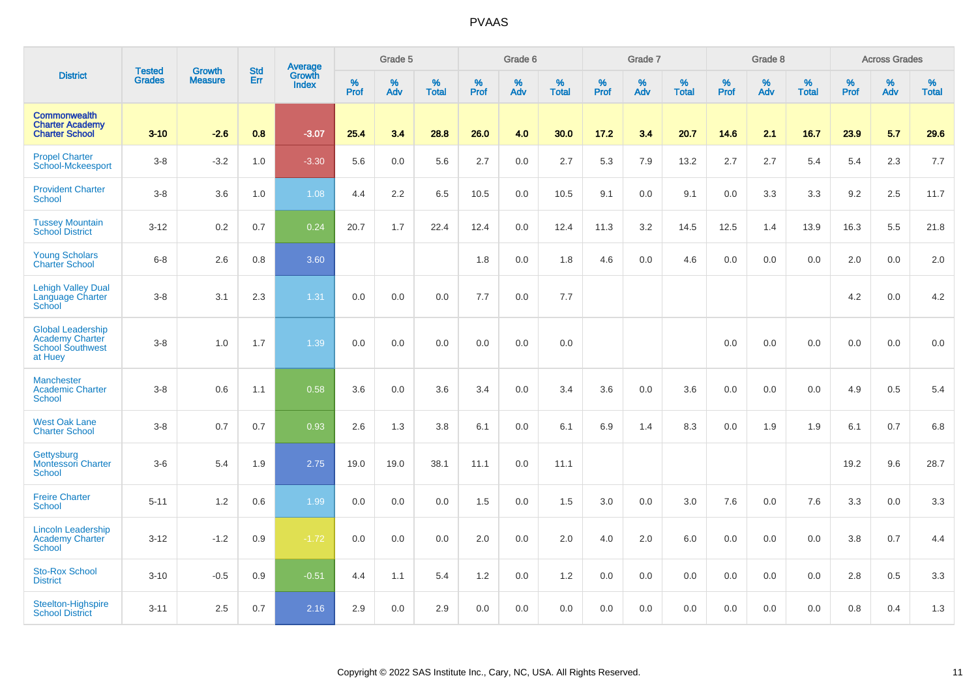|                                                                                          |                                |                                 | <b>Std</b> | Average                |           | Grade 5     |                   |           | Grade 6  |                   |           | Grade 7  |                   |           | Grade 8  |                   |           | <b>Across Grades</b> |                   |
|------------------------------------------------------------------------------------------|--------------------------------|---------------------------------|------------|------------------------|-----------|-------------|-------------------|-----------|----------|-------------------|-----------|----------|-------------------|-----------|----------|-------------------|-----------|----------------------|-------------------|
| <b>District</b>                                                                          | <b>Tested</b><br><b>Grades</b> | <b>Growth</b><br><b>Measure</b> | Err        | Growth<br><b>Index</b> | %<br>Prof | $\%$<br>Adv | %<br><b>Total</b> | %<br>Prof | %<br>Adv | %<br><b>Total</b> | %<br>Prof | %<br>Adv | %<br><b>Total</b> | %<br>Prof | %<br>Adv | %<br><b>Total</b> | %<br>Prof | %<br>Adv             | %<br><b>Total</b> |
| <b>Commonwealth</b><br><b>Charter Academy</b><br><b>Charter School</b>                   | $3 - 10$                       | $-2.6$                          | 0.8        | $-3.07$                | 25.4      | 3.4         | 28.8              | 26.0      | 4.0      | 30.0              | 17.2      | 3.4      | 20.7              | 14.6      | 2.1      | 16.7              | 23.9      | 5.7                  | 29.6              |
| <b>Propel Charter</b><br>School-Mckeesport                                               | $3-8$                          | $-3.2$                          | 1.0        | $-3.30$                | 5.6       | 0.0         | 5.6               | 2.7       | 0.0      | 2.7               | 5.3       | 7.9      | 13.2              | 2.7       | 2.7      | 5.4               | 5.4       | 2.3                  | 7.7               |
| <b>Provident Charter</b><br>School                                                       | $3-8$                          | 3.6                             | 1.0        | 1.08                   | 4.4       | 2.2         | 6.5               | 10.5      | 0.0      | 10.5              | 9.1       | 0.0      | 9.1               | 0.0       | 3.3      | 3.3               | 9.2       | 2.5                  | 11.7              |
| <b>Tussey Mountain</b><br><b>School District</b>                                         | $3 - 12$                       | 0.2                             | 0.7        | 0.24                   | 20.7      | 1.7         | 22.4              | 12.4      | 0.0      | 12.4              | 11.3      | 3.2      | 14.5              | 12.5      | 1.4      | 13.9              | 16.3      | 5.5                  | 21.8              |
| <b>Young Scholars</b><br><b>Charter School</b>                                           | $6-8$                          | 2.6                             | 0.8        | 3.60                   |           |             |                   | 1.8       | $0.0\,$  | 1.8               | 4.6       | 0.0      | 4.6               | $0.0\,$   | 0.0      | 0.0               | 2.0       | $0.0\,$              | 2.0               |
| <b>Lehigh Valley Dual</b><br>Language Charter<br>School                                  | $3-8$                          | 3.1                             | 2.3        | 1.31                   | 0.0       | 0.0         | 0.0               | 7.7       | 0.0      | 7.7               |           |          |                   |           |          |                   | 4.2       | 0.0                  | 4.2               |
| <b>Global Leadership</b><br><b>Academy Charter</b><br><b>School Southwest</b><br>at Huey | $3 - 8$                        | 1.0                             | 1.7        | 1.39                   | 0.0       | 0.0         | 0.0               | 0.0       | 0.0      | 0.0               |           |          |                   | 0.0       | 0.0      | 0.0               | 0.0       | 0.0                  | 0.0               |
| <b>Manchester</b><br><b>Academic Charter</b><br><b>School</b>                            | $3-8$                          | 0.6                             | 1.1        | 0.58                   | 3.6       | 0.0         | 3.6               | 3.4       | 0.0      | 3.4               | 3.6       | 0.0      | 3.6               | 0.0       | 0.0      | 0.0               | 4.9       | 0.5                  | 5.4               |
| <b>West Oak Lane</b><br><b>Charter School</b>                                            | $3-8$                          | 0.7                             | 0.7        | 0.93                   | 2.6       | 1.3         | 3.8               | 6.1       | 0.0      | 6.1               | 6.9       | 1.4      | 8.3               | 0.0       | 1.9      | 1.9               | 6.1       | 0.7                  | 6.8               |
| Gettysburg<br>Montessori Charter<br>School                                               | $3-6$                          | 5.4                             | 1.9        | 2.75                   | 19.0      | 19.0        | 38.1              | 11.1      | 0.0      | 11.1              |           |          |                   |           |          |                   | 19.2      | 9.6                  | 28.7              |
| <b>Freire Charter</b><br>School                                                          | $5 - 11$                       | 1.2                             | 0.6        | 1.99                   | 0.0       | 0.0         | 0.0               | 1.5       | 0.0      | 1.5               | 3.0       | 0.0      | 3.0               | 7.6       | 0.0      | 7.6               | 3.3       | 0.0                  | 3.3               |
| <b>Lincoln Leadership</b><br><b>Academy Charter</b><br><b>School</b>                     | $3 - 12$                       | $-1.2$                          | 0.9        | $-1.72$                | 0.0       | 0.0         | 0.0               | 2.0       | 0.0      | 2.0               | 4.0       | 2.0      | 6.0               | 0.0       | 0.0      | 0.0               | 3.8       | 0.7                  | 4.4               |
| <b>Sto-Rox School</b><br><b>District</b>                                                 | $3 - 10$                       | $-0.5$                          | 0.9        | $-0.51$                | 4.4       | 1.1         | 5.4               | 1.2       | 0.0      | 1.2               | 0.0       | 0.0      | 0.0               | 0.0       | 0.0      | 0.0               | 2.8       | 0.5                  | 3.3               |
| Steelton-Highspire<br><b>School District</b>                                             | $3 - 11$                       | 2.5                             | 0.7        | 2.16                   | 2.9       | 0.0         | 2.9               | 0.0       | 0.0      | 0.0               | 0.0       | 0.0      | 0.0               | 0.0       | 0.0      | 0.0               | 0.8       | 0.4                  | 1.3               |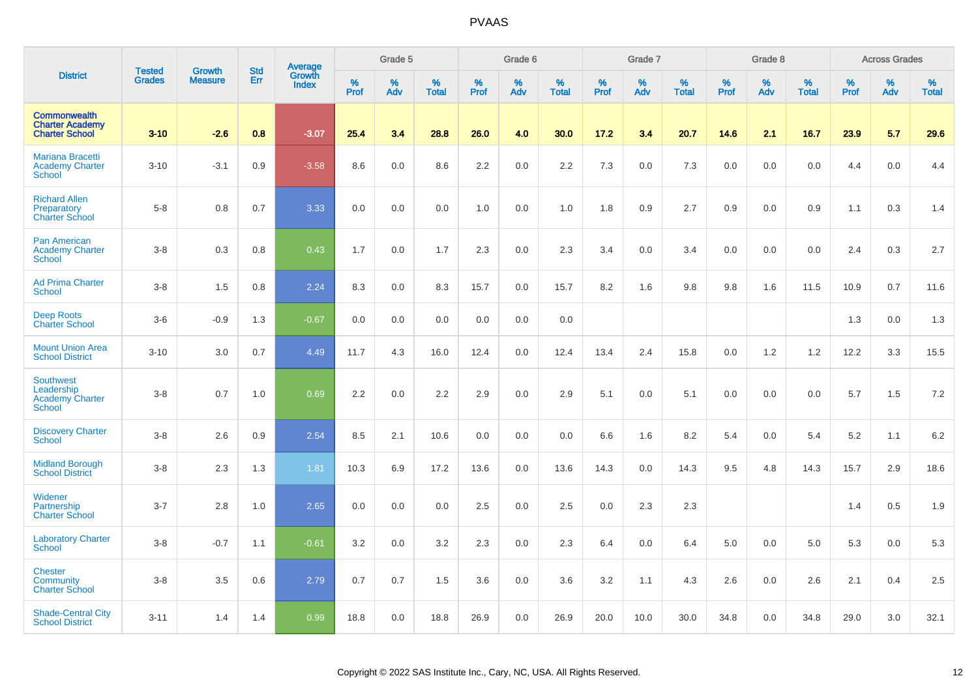|                                                                           | <b>Tested</b> | <b>Growth</b>  | <b>Std</b> | Average                |                     | Grade 5     |                      |                  | Grade 6  |                      |                     | Grade 7  |                      |                     | Grade 8  |                      |                     | <b>Across Grades</b> |                      |
|---------------------------------------------------------------------------|---------------|----------------|------------|------------------------|---------------------|-------------|----------------------|------------------|----------|----------------------|---------------------|----------|----------------------|---------------------|----------|----------------------|---------------------|----------------------|----------------------|
| <b>District</b>                                                           | <b>Grades</b> | <b>Measure</b> | Err        | Growth<br><b>Index</b> | $\%$<br><b>Prof</b> | $\%$<br>Adv | $\%$<br><b>Total</b> | %<br><b>Prof</b> | %<br>Adv | $\%$<br><b>Total</b> | $\%$<br><b>Prof</b> | %<br>Adv | $\%$<br><b>Total</b> | $\%$<br><b>Prof</b> | %<br>Adv | $\%$<br><b>Total</b> | $\%$<br><b>Prof</b> | $\%$<br>Adv          | $\%$<br><b>Total</b> |
| <b>Commonwealth</b><br><b>Charter Academy</b><br><b>Charter School</b>    | $3 - 10$      | $-2.6$         | 0.8        | $-3.07$                | 25.4                | 3.4         | 28.8                 | 26.0             | 4.0      | 30.0                 | 17.2                | 3.4      | 20.7                 | 14.6                | 2.1      | 16.7                 | 23.9                | 5.7                  | 29.6                 |
| <b>Mariana Bracetti</b><br><b>Academy Charter</b><br><b>School</b>        | $3 - 10$      | $-3.1$         | 0.9        | $-3.58$                | 8.6                 | 0.0         | 8.6                  | 2.2              | 0.0      | 2.2                  | 7.3                 | 0.0      | 7.3                  | 0.0                 | 0.0      | 0.0                  | 4.4                 | 0.0                  | 4.4                  |
| <b>Richard Allen</b><br>Preparatory<br><b>Charter School</b>              | $5-8$         | 0.8            | 0.7        | 3.33                   | 0.0                 | 0.0         | 0.0                  | 1.0              | 0.0      | 1.0                  | 1.8                 | 0.9      | 2.7                  | 0.9                 | 0.0      | 0.9                  | 1.1                 | 0.3                  | 1.4                  |
| <b>Pan American</b><br><b>Academy Charter</b><br><b>School</b>            | $3-8$         | 0.3            | 0.8        | 0.43                   | 1.7                 | 0.0         | 1.7                  | 2.3              | 0.0      | 2.3                  | 3.4                 | 0.0      | 3.4                  | 0.0                 | 0.0      | 0.0                  | 2.4                 | 0.3                  | 2.7                  |
| <b>Ad Prima Charter</b><br><b>School</b>                                  | $3 - 8$       | 1.5            | 0.8        | 2.24                   | 8.3                 | 0.0         | 8.3                  | 15.7             | 0.0      | 15.7                 | 8.2                 | 1.6      | 9.8                  | 9.8                 | 1.6      | 11.5                 | 10.9                | 0.7                  | 11.6                 |
| <b>Deep Roots</b><br><b>Charter School</b>                                | $3-6$         | $-0.9$         | 1.3        | $-0.67$                | 0.0                 | 0.0         | 0.0                  | 0.0              | 0.0      | 0.0                  |                     |          |                      |                     |          |                      | 1.3                 | 0.0                  | 1.3                  |
| <b>Mount Union Area</b><br><b>School District</b>                         | $3 - 10$      | 3.0            | 0.7        | 4.49                   | 11.7                | 4.3         | 16.0                 | 12.4             | 0.0      | 12.4                 | 13.4                | 2.4      | 15.8                 | 0.0                 | 1.2      | 1.2                  | 12.2                | 3.3                  | 15.5                 |
| <b>Southwest</b><br>Leadership<br><b>Academy Charter</b><br><b>School</b> | $3 - 8$       | 0.7            | 1.0        | 0.69                   | 2.2                 | 0.0         | 2.2                  | 2.9              | 0.0      | 2.9                  | 5.1                 | 0.0      | 5.1                  | 0.0                 | 0.0      | 0.0                  | 5.7                 | 1.5                  | $7.2\,$              |
| <b>Discovery Charter</b><br><b>School</b>                                 | $3 - 8$       | 2.6            | 0.9        | 2.54                   | 8.5                 | 2.1         | 10.6                 | 0.0              | 0.0      | 0.0                  | 6.6                 | 1.6      | 8.2                  | 5.4                 | 0.0      | 5.4                  | 5.2                 | 1.1                  | 6.2                  |
| <b>Midland Borough</b><br><b>School District</b>                          | $3-8$         | 2.3            | 1.3        | 1.81                   | 10.3                | 6.9         | 17.2                 | 13.6             | 0.0      | 13.6                 | 14.3                | 0.0      | 14.3                 | 9.5                 | 4.8      | 14.3                 | 15.7                | 2.9                  | 18.6                 |
| Widener<br>Partnership<br><b>Charter School</b>                           | $3 - 7$       | 2.8            | 1.0        | 2.65                   | 0.0                 | 0.0         | 0.0                  | 2.5              | 0.0      | 2.5                  | 0.0                 | 2.3      | 2.3                  |                     |          |                      | 1.4                 | 0.5                  | 1.9                  |
| <b>Laboratory Charter</b><br><b>School</b>                                | $3-8$         | $-0.7$         | 1.1        | $-0.61$                | 3.2                 | 0.0         | 3.2                  | 2.3              | 0.0      | 2.3                  | 6.4                 | 0.0      | 6.4                  | 5.0                 | 0.0      | 5.0                  | 5.3                 | 0.0                  | 5.3                  |
| <b>Chester</b><br>Community<br><b>Charter School</b>                      | $3 - 8$       | 3.5            | 0.6        | 2.79                   | 0.7                 | 0.7         | 1.5                  | 3.6              | 0.0      | 3.6                  | 3.2                 | 1.1      | 4.3                  | 2.6                 | 0.0      | 2.6                  | 2.1                 | 0.4                  | 2.5                  |
| <b>Shade-Central City</b><br><b>School District</b>                       | $3 - 11$      | 1.4            | 1.4        | 0.99                   | 18.8                | 0.0         | 18.8                 | 26.9             | 0.0      | 26.9                 | 20.0                | 10.0     | 30.0                 | 34.8                | 0.0      | 34.8                 | 29.0                | 3.0                  | 32.1                 |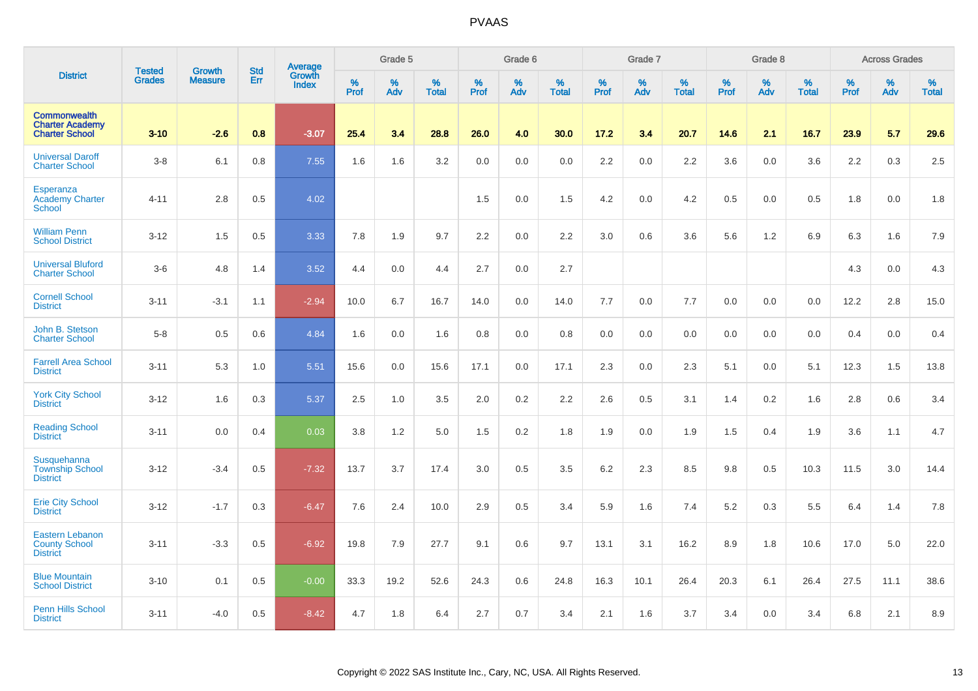|                                                                        | <b>Tested</b> | <b>Growth</b>  | <b>Std</b> | <b>Average</b><br>Growth |                     | Grade 5  |                   |              | Grade 6  |                   |              | Grade 7  |                   |              | Grade 8  |                   |              | <b>Across Grades</b> |                   |
|------------------------------------------------------------------------|---------------|----------------|------------|--------------------------|---------------------|----------|-------------------|--------------|----------|-------------------|--------------|----------|-------------------|--------------|----------|-------------------|--------------|----------------------|-------------------|
| <b>District</b>                                                        | <b>Grades</b> | <b>Measure</b> | Err        | Index                    | $\%$<br><b>Prof</b> | %<br>Adv | %<br><b>Total</b> | $\%$<br>Prof | %<br>Adv | %<br><b>Total</b> | $\%$<br>Prof | %<br>Adv | %<br><b>Total</b> | $\%$<br>Prof | %<br>Adv | %<br><b>Total</b> | $\%$<br>Prof | $\%$<br>Adv          | %<br><b>Total</b> |
| <b>Commonwealth</b><br><b>Charter Academy</b><br><b>Charter School</b> | $3 - 10$      | $-2.6$         | 0.8        | $-3.07$                  | 25.4                | 3.4      | 28.8              | 26.0         | 4.0      | 30.0              | 17.2         | 3.4      | 20.7              | 14.6         | 2.1      | 16.7              | 23.9         | 5.7                  | 29.6              |
| <b>Universal Daroff</b><br><b>Charter School</b>                       | $3-8$         | 6.1            | 0.8        | 7.55                     | 1.6                 | 1.6      | 3.2               | 0.0          | 0.0      | 0.0               | 2.2          | 0.0      | 2.2               | 3.6          | 0.0      | 3.6               | 2.2          | 0.3                  | 2.5               |
| Esperanza<br><b>Academy Charter</b><br><b>School</b>                   | $4 - 11$      | 2.8            | 0.5        | 4.02                     |                     |          |                   | 1.5          | 0.0      | 1.5               | 4.2          | 0.0      | 4.2               | 0.5          | 0.0      | 0.5               | 1.8          | 0.0                  | 1.8               |
| <b>William Penn</b><br><b>School District</b>                          | $3 - 12$      | 1.5            | 0.5        | 3.33                     | 7.8                 | 1.9      | 9.7               | 2.2          | 0.0      | 2.2               | 3.0          | 0.6      | 3.6               | 5.6          | 1.2      | 6.9               | 6.3          | 1.6                  | 7.9               |
| <b>Universal Bluford</b><br><b>Charter School</b>                      | $3-6$         | 4.8            | 1.4        | 3.52                     | 4.4                 | 0.0      | 4.4               | 2.7          | 0.0      | 2.7               |              |          |                   |              |          |                   | 4.3          | 0.0                  | 4.3               |
| <b>Cornell School</b><br><b>District</b>                               | $3 - 11$      | $-3.1$         | 1.1        | $-2.94$                  | 10.0                | 6.7      | 16.7              | 14.0         | 0.0      | 14.0              | 7.7          | 0.0      | 7.7               | 0.0          | 0.0      | 0.0               | 12.2         | 2.8                  | 15.0              |
| John B. Stetson<br><b>Charter School</b>                               | $5-8$         | 0.5            | 0.6        | 4.84                     | 1.6                 | 0.0      | 1.6               | 0.8          | 0.0      | 0.8               | 0.0          | 0.0      | 0.0               | 0.0          | 0.0      | 0.0               | 0.4          | 0.0                  | 0.4               |
| <b>Farrell Area School</b><br><b>District</b>                          | $3 - 11$      | 5.3            | 1.0        | 5.51                     | 15.6                | 0.0      | 15.6              | 17.1         | 0.0      | 17.1              | 2.3          | 0.0      | 2.3               | 5.1          | 0.0      | 5.1               | 12.3         | 1.5                  | 13.8              |
| <b>York City School</b><br><b>District</b>                             | $3 - 12$      | 1.6            | 0.3        | 5.37                     | 2.5                 | 1.0      | 3.5               | 2.0          | 0.2      | 2.2               | 2.6          | 0.5      | 3.1               | 1.4          | 0.2      | 1.6               | 2.8          | 0.6                  | 3.4               |
| <b>Reading School</b><br><b>District</b>                               | $3 - 11$      | 0.0            | 0.4        | 0.03                     | 3.8                 | 1.2      | 5.0               | 1.5          | $0.2\,$  | 1.8               | 1.9          | 0.0      | 1.9               | 1.5          | 0.4      | 1.9               | 3.6          | 1.1                  | 4.7               |
| Susquehanna<br><b>Township School</b><br><b>District</b>               | $3 - 12$      | $-3.4$         | 0.5        | $-7.32$                  | 13.7                | 3.7      | 17.4              | 3.0          | 0.5      | 3.5               | 6.2          | 2.3      | 8.5               | 9.8          | 0.5      | 10.3              | 11.5         | 3.0                  | 14.4              |
| <b>Erie City School</b><br><b>District</b>                             | $3 - 12$      | $-1.7$         | 0.3        | $-6.47$                  | 7.6                 | 2.4      | 10.0              | 2.9          | 0.5      | 3.4               | 5.9          | 1.6      | 7.4               | 5.2          | 0.3      | 5.5               | 6.4          | 1.4                  | 7.8               |
| <b>Eastern Lebanon</b><br><b>County School</b><br><b>District</b>      | $3 - 11$      | $-3.3$         | $0.5\,$    | $-6.92$                  | 19.8                | 7.9      | 27.7              | 9.1          | 0.6      | 9.7               | 13.1         | 3.1      | 16.2              | 8.9          | 1.8      | 10.6              | 17.0         | 5.0                  | 22.0              |
| <b>Blue Mountain</b><br><b>School District</b>                         | $3 - 10$      | 0.1            | 0.5        | $-0.00$                  | 33.3                | 19.2     | 52.6              | 24.3         | 0.6      | 24.8              | 16.3         | 10.1     | 26.4              | 20.3         | 6.1      | 26.4              | 27.5         | 11.1                 | 38.6              |
| Penn Hills School<br><b>District</b>                                   | $3 - 11$      | $-4.0$         | 0.5        | $-8.42$                  | 4.7                 | 1.8      | 6.4               | 2.7          | 0.7      | 3.4               | 2.1          | 1.6      | 3.7               | 3.4          | 0.0      | 3.4               | 6.8          | 2.1                  | 8.9               |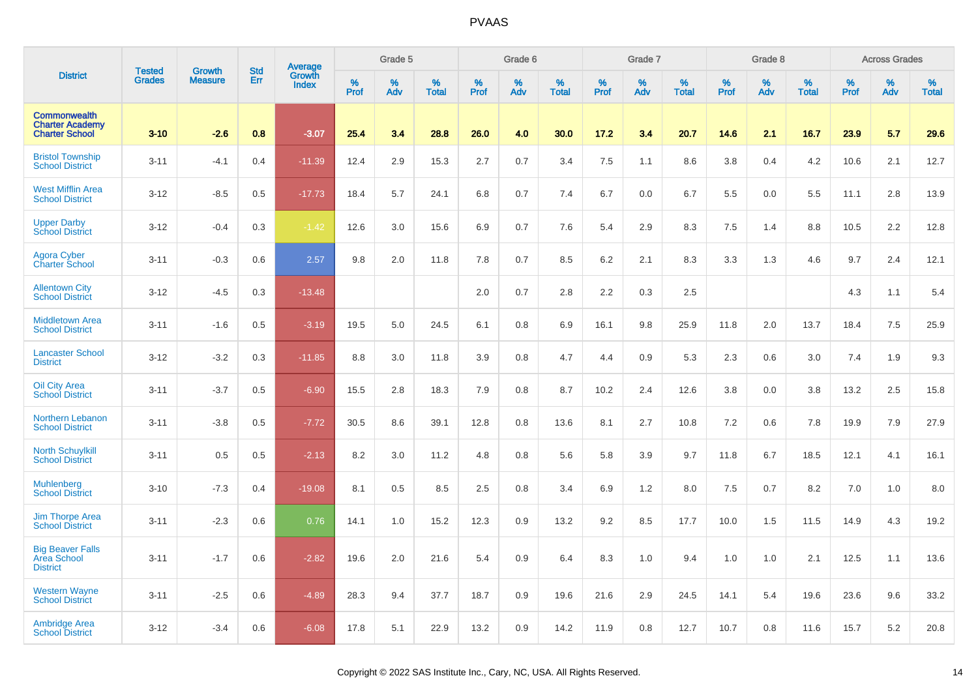|                                                                        | <b>Tested</b> |                                 | <b>Std</b> |                                   |              | Grade 5  |                   |              | Grade 6  |                   |              | Grade 7  |                   |              | Grade 8  |                   |           | <b>Across Grades</b> |                   |
|------------------------------------------------------------------------|---------------|---------------------------------|------------|-----------------------------------|--------------|----------|-------------------|--------------|----------|-------------------|--------------|----------|-------------------|--------------|----------|-------------------|-----------|----------------------|-------------------|
| <b>District</b>                                                        | <b>Grades</b> | <b>Growth</b><br><b>Measure</b> | Err        | Average<br>Growth<br><b>Index</b> | $\%$<br>Prof | %<br>Adv | %<br><b>Total</b> | $\%$<br>Prof | %<br>Adv | %<br><b>Total</b> | $\%$<br>Prof | %<br>Adv | %<br><b>Total</b> | $\%$<br>Prof | %<br>Adv | %<br><b>Total</b> | %<br>Prof | $\%$<br>Adv          | %<br><b>Total</b> |
| <b>Commonwealth</b><br><b>Charter Academy</b><br><b>Charter School</b> | $3 - 10$      | $-2.6$                          | 0.8        | $-3.07$                           | 25.4         | 3.4      | 28.8              | 26.0         | 4.0      | 30.0              | 17.2         | 3.4      | 20.7              | 14.6         | 2.1      | 16.7              | 23.9      | 5.7                  | 29.6              |
| <b>Bristol Township</b><br><b>School District</b>                      | $3 - 11$      | $-4.1$                          | 0.4        | $-11.39$                          | 12.4         | 2.9      | 15.3              | 2.7          | 0.7      | 3.4               | 7.5          | 1.1      | 8.6               | 3.8          | 0.4      | 4.2               | 10.6      | 2.1                  | 12.7              |
| <b>West Mifflin Area</b><br><b>School District</b>                     | $3 - 12$      | $-8.5$                          | 0.5        | $-17.73$                          | 18.4         | 5.7      | 24.1              | 6.8          | 0.7      | 7.4               | 6.7          | 0.0      | 6.7               | 5.5          | 0.0      | 5.5               | 11.1      | 2.8                  | 13.9              |
| <b>Upper Darby</b><br><b>School District</b>                           | $3 - 12$      | $-0.4$                          | 0.3        | $-1.42$                           | 12.6         | 3.0      | 15.6              | 6.9          | 0.7      | 7.6               | 5.4          | 2.9      | 8.3               | 7.5          | 1.4      | 8.8               | 10.5      | 2.2                  | 12.8              |
| <b>Agora Cyber</b><br>Charter School                                   | $3 - 11$      | $-0.3$                          | 0.6        | 2.57                              | 9.8          | 2.0      | 11.8              | 7.8          | 0.7      | 8.5               | 6.2          | 2.1      | 8.3               | 3.3          | 1.3      | 4.6               | 9.7       | 2.4                  | 12.1              |
| <b>Allentown City</b><br><b>School District</b>                        | $3-12$        | $-4.5$                          | 0.3        | $-13.48$                          |              |          |                   | 2.0          | 0.7      | 2.8               | 2.2          | 0.3      | 2.5               |              |          |                   | 4.3       | 1.1                  | 5.4               |
| <b>Middletown Area</b><br><b>School District</b>                       | $3 - 11$      | $-1.6$                          | 0.5        | $-3.19$                           | 19.5         | 5.0      | 24.5              | 6.1          | 0.8      | 6.9               | 16.1         | 9.8      | 25.9              | 11.8         | 2.0      | 13.7              | 18.4      | 7.5                  | 25.9              |
| <b>Lancaster School</b><br><b>District</b>                             | $3 - 12$      | $-3.2$                          | 0.3        | $-11.85$                          | 8.8          | 3.0      | 11.8              | 3.9          | 0.8      | 4.7               | 4.4          | 0.9      | 5.3               | 2.3          | 0.6      | 3.0               | 7.4       | 1.9                  | 9.3               |
| <b>Oil City Area</b><br><b>School District</b>                         | $3 - 11$      | $-3.7$                          | 0.5        | $-6.90$                           | 15.5         | 2.8      | 18.3              | 7.9          | 0.8      | 8.7               | 10.2         | 2.4      | 12.6              | 3.8          | 0.0      | 3.8               | 13.2      | 2.5                  | 15.8              |
| <b>Northern Lebanon</b><br><b>School District</b>                      | $3 - 11$      | $-3.8$                          | 0.5        | $-7.72$                           | 30.5         | 8.6      | 39.1              | 12.8         | 0.8      | 13.6              | 8.1          | 2.7      | 10.8              | 7.2          | 0.6      | 7.8               | 19.9      | 7.9                  | 27.9              |
| <b>North Schuylkill</b><br><b>School District</b>                      | $3 - 11$      | 0.5                             | 0.5        | $-2.13$                           | 8.2          | 3.0      | 11.2              | 4.8          | 0.8      | 5.6               | 5.8          | 3.9      | 9.7               | 11.8         | 6.7      | 18.5              | 12.1      | 4.1                  | 16.1              |
| Muhlenberg<br><b>School District</b>                                   | $3 - 10$      | $-7.3$                          | 0.4        | $-19.08$                          | 8.1          | 0.5      | 8.5               | 2.5          | 0.8      | 3.4               | 6.9          | 1.2      | 8.0               | 7.5          | 0.7      | 8.2               | 7.0       | 1.0                  | 8.0               |
| <b>Jim Thorpe Area</b><br><b>School District</b>                       | $3 - 11$      | $-2.3$                          | 0.6        | 0.76                              | 14.1         | 1.0      | 15.2              | 12.3         | 0.9      | 13.2              | 9.2          | 8.5      | 17.7              | 10.0         | 1.5      | 11.5              | 14.9      | 4.3                  | 19.2              |
| <b>Big Beaver Falls</b><br>Area School<br><b>District</b>              | $3 - 11$      | $-1.7$                          | 0.6        | $-2.82$                           | 19.6         | 2.0      | 21.6              | 5.4          | 0.9      | 6.4               | 8.3          | 1.0      | 9.4               | 1.0          | 1.0      | 2.1               | 12.5      | 1.1                  | 13.6              |
| <b>Western Wayne</b><br><b>School District</b>                         | $3 - 11$      | $-2.5$                          | 0.6        | $-4.89$                           | 28.3         | 9.4      | 37.7              | 18.7         | 0.9      | 19.6              | 21.6         | 2.9      | 24.5              | 14.1         | 5.4      | 19.6              | 23.6      | 9.6                  | 33.2              |
| <b>Ambridge Area</b><br><b>School District</b>                         | $3 - 12$      | $-3.4$                          | 0.6        | $-6.08$                           | 17.8         | 5.1      | 22.9              | 13.2         | 0.9      | 14.2              | 11.9         | 0.8      | 12.7              | 10.7         | 0.8      | 11.6              | 15.7      | 5.2                  | 20.8              |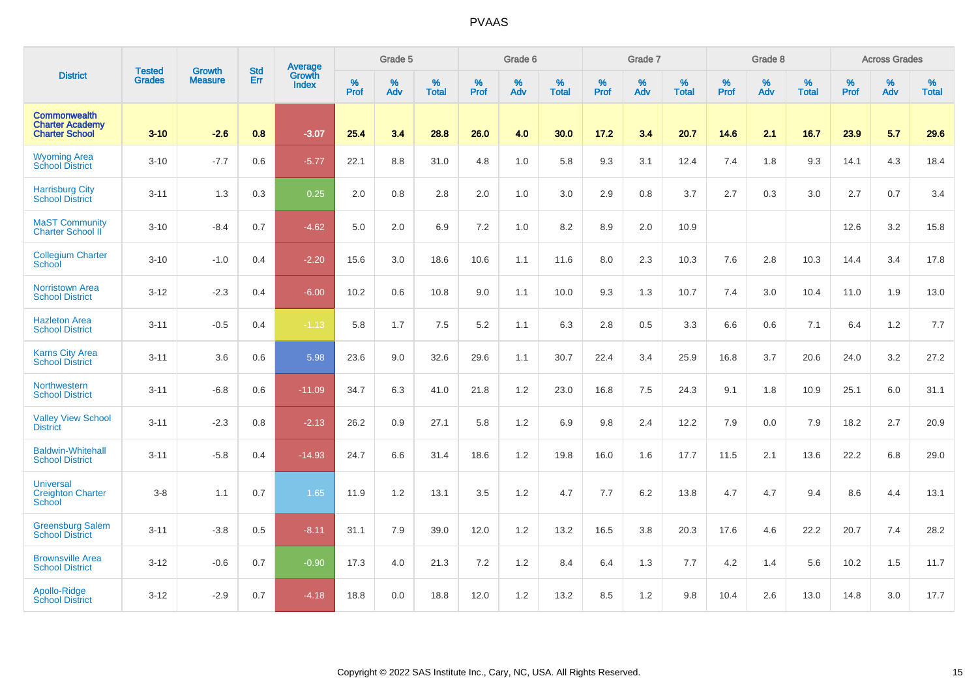|                                                                        | <b>Tested</b> | <b>Growth</b>  | <b>Std</b> | Average                |                  | Grade 5  |                   |           | Grade 6  |                   |           | Grade 7  |                   |           | Grade 8  |                   |           | <b>Across Grades</b> |                   |
|------------------------------------------------------------------------|---------------|----------------|------------|------------------------|------------------|----------|-------------------|-----------|----------|-------------------|-----------|----------|-------------------|-----------|----------|-------------------|-----------|----------------------|-------------------|
| <b>District</b>                                                        | <b>Grades</b> | <b>Measure</b> | <b>Err</b> | Growth<br><b>Index</b> | %<br><b>Prof</b> | %<br>Adv | %<br><b>Total</b> | %<br>Prof | %<br>Adv | %<br><b>Total</b> | %<br>Prof | %<br>Adv | %<br><b>Total</b> | %<br>Prof | %<br>Adv | %<br><b>Total</b> | %<br>Prof | %<br>Adv             | %<br><b>Total</b> |
| <b>Commonwealth</b><br><b>Charter Academy</b><br><b>Charter School</b> | $3 - 10$      | $-2.6$         | 0.8        | $-3.07$                | 25.4             | 3.4      | 28.8              | 26.0      | 4.0      | 30.0              | 17.2      | 3.4      | 20.7              | 14.6      | 2.1      | 16.7              | 23.9      | 5.7                  | 29.6              |
| <b>Wyoming Area</b><br><b>School District</b>                          | $3 - 10$      | $-7.7$         | 0.6        | $-5.77$                | 22.1             | 8.8      | 31.0              | 4.8       | 1.0      | 5.8               | 9.3       | 3.1      | 12.4              | 7.4       | 1.8      | 9.3               | 14.1      | 4.3                  | 18.4              |
| <b>Harrisburg City</b><br><b>School District</b>                       | $3 - 11$      | 1.3            | 0.3        | 0.25                   | 2.0              | 0.8      | 2.8               | 2.0       | 1.0      | 3.0               | 2.9       | 0.8      | 3.7               | 2.7       | 0.3      | 3.0               | 2.7       | 0.7                  | 3.4               |
| <b>MaST Community</b><br>Charter School II                             | $3 - 10$      | $-8.4$         | 0.7        | $-4.62$                | 5.0              | 2.0      | 6.9               | 7.2       | 1.0      | 8.2               | 8.9       | 2.0      | 10.9              |           |          |                   | 12.6      | 3.2                  | 15.8              |
| <b>Collegium Charter</b><br>School                                     | $3 - 10$      | $-1.0$         | 0.4        | $-2.20$                | 15.6             | 3.0      | 18.6              | 10.6      | 1.1      | 11.6              | 8.0       | 2.3      | 10.3              | 7.6       | 2.8      | 10.3              | 14.4      | 3.4                  | 17.8              |
| <b>Norristown Area</b><br><b>School District</b>                       | $3 - 12$      | $-2.3$         | 0.4        | $-6.00$                | 10.2             | 0.6      | 10.8              | 9.0       | 1.1      | 10.0              | 9.3       | 1.3      | 10.7              | 7.4       | 3.0      | 10.4              | 11.0      | 1.9                  | 13.0              |
| <b>Hazleton Area</b><br><b>School District</b>                         | $3 - 11$      | $-0.5$         | 0.4        | $-1.13$                | 5.8              | 1.7      | 7.5               | 5.2       | 1.1      | 6.3               | 2.8       | 0.5      | 3.3               | 6.6       | 0.6      | 7.1               | 6.4       | 1.2                  | 7.7               |
| <b>Karns City Area</b><br><b>School District</b>                       | $3 - 11$      | 3.6            | 0.6        | 5.98                   | 23.6             | 9.0      | 32.6              | 29.6      | 1.1      | 30.7              | 22.4      | 3.4      | 25.9              | 16.8      | 3.7      | 20.6              | 24.0      | 3.2                  | 27.2              |
| <b>Northwestern</b><br><b>School District</b>                          | $3 - 11$      | $-6.8$         | 0.6        | $-11.09$               | 34.7             | 6.3      | 41.0              | 21.8      | 1.2      | 23.0              | 16.8      | 7.5      | 24.3              | 9.1       | 1.8      | 10.9              | 25.1      | 6.0                  | 31.1              |
| <b>Valley View School</b><br><b>District</b>                           | $3 - 11$      | $-2.3$         | 0.8        | $-2.13$                | 26.2             | 0.9      | 27.1              | 5.8       | 1.2      | 6.9               | 9.8       | 2.4      | 12.2              | 7.9       | 0.0      | 7.9               | 18.2      | 2.7                  | 20.9              |
| <b>Baldwin-Whitehall</b><br><b>School District</b>                     | $3 - 11$      | $-5.8$         | 0.4        | $-14.93$               | 24.7             | 6.6      | 31.4              | 18.6      | 1.2      | 19.8              | 16.0      | 1.6      | 17.7              | 11.5      | 2.1      | 13.6              | 22.2      | 6.8                  | 29.0              |
| <b>Universal</b><br><b>Creighton Charter</b><br><b>School</b>          | $3-8$         | 1.1            | 0.7        | 1.65                   | 11.9             | 1.2      | 13.1              | 3.5       | 1.2      | 4.7               | 7.7       | 6.2      | 13.8              | 4.7       | 4.7      | 9.4               | 8.6       | 4.4                  | 13.1              |
| <b>Greensburg Salem</b><br><b>School District</b>                      | $3 - 11$      | $-3.8$         | 0.5        | $-8.11$                | 31.1             | 7.9      | 39.0              | 12.0      | 1.2      | 13.2              | 16.5      | 3.8      | 20.3              | 17.6      | 4.6      | 22.2              | 20.7      | 7.4                  | 28.2              |
| <b>Brownsville Area</b><br><b>School District</b>                      | $3 - 12$      | $-0.6$         | 0.7        | $-0.90$                | 17.3             | 4.0      | 21.3              | 7.2       | 1.2      | 8.4               | 6.4       | 1.3      | 7.7               | 4.2       | 1.4      | 5.6               | 10.2      | 1.5                  | 11.7              |
| Apollo-Ridge<br><b>School District</b>                                 | $3 - 12$      | $-2.9$         | 0.7        | $-4.18$                | 18.8             | 0.0      | 18.8              | 12.0      | 1.2      | 13.2              | 8.5       | 1.2      | 9.8               | 10.4      | 2.6      | 13.0              | 14.8      | 3.0                  | 17.7              |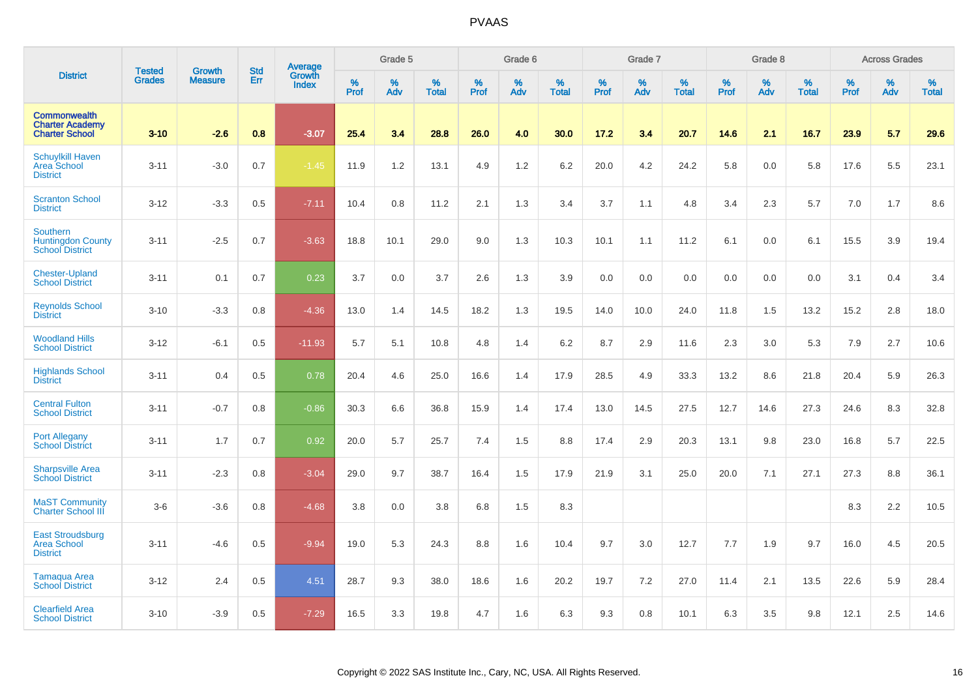|                                                                        | <b>Tested</b> | <b>Growth</b>  | <b>Std</b> | Average                |              | Grade 5  |                   |              | Grade 6  |                   |              | Grade 7  |                   |              | Grade 8  |                   |           | <b>Across Grades</b> |                   |
|------------------------------------------------------------------------|---------------|----------------|------------|------------------------|--------------|----------|-------------------|--------------|----------|-------------------|--------------|----------|-------------------|--------------|----------|-------------------|-----------|----------------------|-------------------|
| <b>District</b>                                                        | <b>Grades</b> | <b>Measure</b> | Err        | Growth<br><b>Index</b> | $\%$<br>Prof | %<br>Adv | %<br><b>Total</b> | $\%$<br>Prof | %<br>Adv | %<br><b>Total</b> | $\%$<br>Prof | %<br>Adv | %<br><b>Total</b> | $\%$<br>Prof | %<br>Adv | %<br><b>Total</b> | %<br>Prof | %<br>Adv             | %<br><b>Total</b> |
| <b>Commonwealth</b><br><b>Charter Academy</b><br><b>Charter School</b> | $3 - 10$      | $-2.6$         | 0.8        | $-3.07$                | 25.4         | 3.4      | 28.8              | 26.0         | 4.0      | 30.0              | 17.2         | 3.4      | 20.7              | 14.6         | 2.1      | 16.7              | 23.9      | 5.7                  | 29.6              |
| <b>Schuylkill Haven</b><br>Area School<br><b>District</b>              | $3 - 11$      | $-3.0$         | 0.7        | $-1.45$                | 11.9         | 1.2      | 13.1              | 4.9          | $1.2$    | 6.2               | 20.0         | 4.2      | 24.2              | 5.8          | 0.0      | 5.8               | 17.6      | 5.5                  | 23.1              |
| <b>Scranton School</b><br><b>District</b>                              | $3 - 12$      | $-3.3$         | 0.5        | $-7.11$                | 10.4         | 0.8      | 11.2              | 2.1          | 1.3      | 3.4               | 3.7          | 1.1      | 4.8               | 3.4          | 2.3      | 5.7               | 7.0       | 1.7                  | 8.6               |
| Southern<br><b>Huntingdon County</b><br><b>School District</b>         | $3 - 11$      | $-2.5$         | 0.7        | $-3.63$                | 18.8         | 10.1     | 29.0              | 9.0          | 1.3      | 10.3              | 10.1         | 1.1      | 11.2              | 6.1          | 0.0      | 6.1               | 15.5      | 3.9                  | 19.4              |
| <b>Chester-Upland</b><br><b>School District</b>                        | $3 - 11$      | 0.1            | 0.7        | 0.23                   | 3.7          | 0.0      | 3.7               | 2.6          | 1.3      | 3.9               | 0.0          | 0.0      | 0.0               | 0.0          | 0.0      | 0.0               | 3.1       | 0.4                  | 3.4               |
| <b>Reynolds School</b><br><b>District</b>                              | $3 - 10$      | $-3.3$         | 0.8        | $-4.36$                | 13.0         | 1.4      | 14.5              | 18.2         | 1.3      | 19.5              | 14.0         | 10.0     | 24.0              | 11.8         | 1.5      | 13.2              | 15.2      | 2.8                  | 18.0              |
| <b>Woodland Hills</b><br><b>School District</b>                        | $3 - 12$      | $-6.1$         | 0.5        | $-11.93$               | 5.7          | 5.1      | 10.8              | 4.8          | 1.4      | 6.2               | 8.7          | 2.9      | 11.6              | 2.3          | 3.0      | 5.3               | 7.9       | 2.7                  | 10.6              |
| <b>Highlands School</b><br><b>District</b>                             | $3 - 11$      | 0.4            | 0.5        | 0.78                   | 20.4         | $4.6\,$  | 25.0              | 16.6         | 1.4      | 17.9              | 28.5         | 4.9      | 33.3              | 13.2         | 8.6      | 21.8              | 20.4      | 5.9                  | 26.3              |
| <b>Central Fulton</b><br><b>School District</b>                        | $3 - 11$      | $-0.7$         | 0.8        | $-0.86$                | 30.3         | 6.6      | 36.8              | 15.9         | 1.4      | 17.4              | 13.0         | 14.5     | 27.5              | 12.7         | 14.6     | 27.3              | 24.6      | 8.3                  | 32.8              |
| <b>Port Allegany</b><br><b>School District</b>                         | $3 - 11$      | 1.7            | 0.7        | 0.92                   | 20.0         | 5.7      | 25.7              | 7.4          | 1.5      | 8.8               | 17.4         | 2.9      | 20.3              | 13.1         | 9.8      | 23.0              | 16.8      | 5.7                  | 22.5              |
| <b>Sharpsville Area</b><br><b>School District</b>                      | $3 - 11$      | $-2.3$         | 0.8        | $-3.04$                | 29.0         | 9.7      | 38.7              | 16.4         | 1.5      | 17.9              | 21.9         | 3.1      | 25.0              | 20.0         | 7.1      | 27.1              | 27.3      | 8.8                  | 36.1              |
| <b>MaST Community</b><br><b>Charter School III</b>                     | $3-6$         | $-3.6$         | 0.8        | $-4.68$                | 3.8          | 0.0      | 3.8               | 6.8          | 1.5      | 8.3               |              |          |                   |              |          |                   | 8.3       | 2.2                  | 10.5              |
| <b>East Stroudsburg</b><br><b>Area School</b><br><b>District</b>       | $3 - 11$      | $-4.6$         | 0.5        | $-9.94$                | 19.0         | 5.3      | 24.3              | 8.8          | 1.6      | 10.4              | 9.7          | 3.0      | 12.7              | 7.7          | 1.9      | 9.7               | 16.0      | 4.5                  | 20.5              |
| <b>Tamaqua Area</b><br><b>School District</b>                          | $3 - 12$      | 2.4            | 0.5        | 4.51                   | 28.7         | 9.3      | 38.0              | 18.6         | 1.6      | 20.2              | 19.7         | 7.2      | 27.0              | 11.4         | 2.1      | 13.5              | 22.6      | 5.9                  | 28.4              |
| <b>Clearfield Area</b><br><b>School District</b>                       | $3 - 10$      | $-3.9$         | 0.5        | $-7.29$                | 16.5         | 3.3      | 19.8              | 4.7          | 1.6      | 6.3               | 9.3          | 0.8      | 10.1              | 6.3          | 3.5      | 9.8               | 12.1      | 2.5                  | 14.6              |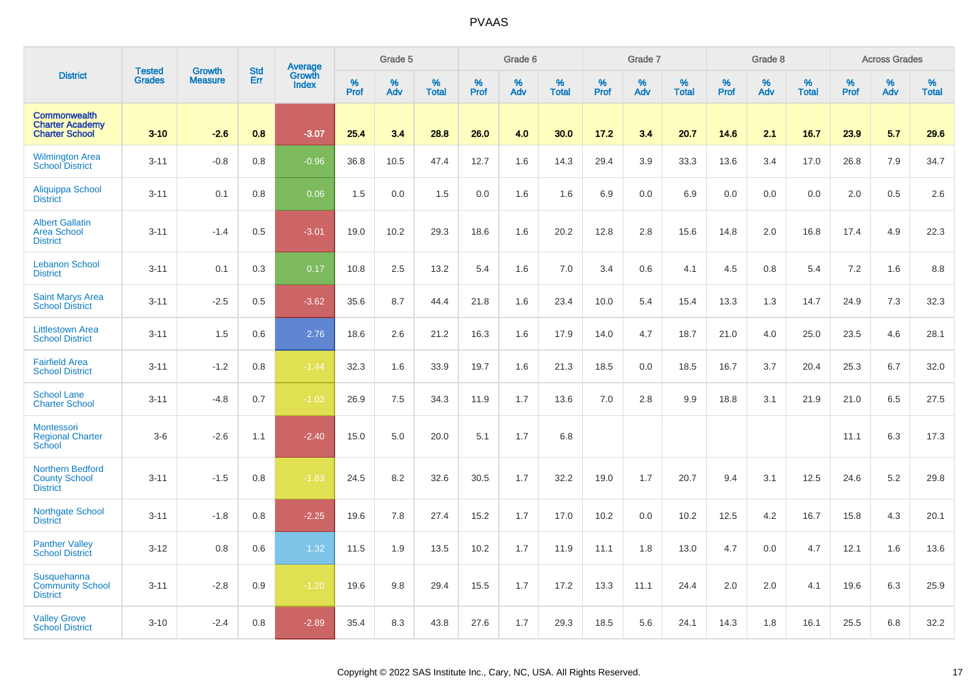|                                                                        |                                | <b>Growth</b>  | <b>Std</b> | <b>Average</b><br>Growth |                     | Grade 5  |                   |           | Grade 6  |                   |           | Grade 7  |                   |           | Grade 8  |                   |              | <b>Across Grades</b> |                   |
|------------------------------------------------------------------------|--------------------------------|----------------|------------|--------------------------|---------------------|----------|-------------------|-----------|----------|-------------------|-----------|----------|-------------------|-----------|----------|-------------------|--------------|----------------------|-------------------|
| <b>District</b>                                                        | <b>Tested</b><br><b>Grades</b> | <b>Measure</b> | Err        | <b>Index</b>             | $\%$<br><b>Prof</b> | %<br>Adv | %<br><b>Total</b> | %<br>Prof | %<br>Adv | %<br><b>Total</b> | %<br>Prof | %<br>Adv | %<br><b>Total</b> | %<br>Prof | %<br>Adv | %<br><b>Total</b> | $\%$<br>Prof | %<br>Adv             | %<br><b>Total</b> |
| <b>Commonwealth</b><br><b>Charter Academy</b><br><b>Charter School</b> | $3 - 10$                       | $-2.6$         | 0.8        | $-3.07$                  | 25.4                | 3.4      | 28.8              | 26.0      | 4.0      | 30.0              | 17.2      | 3.4      | 20.7              | 14.6      | 2.1      | 16.7              | 23.9         | 5.7                  | 29.6              |
| <b>Wilmington Area</b><br><b>School District</b>                       | $3 - 11$                       | $-0.8$         | 0.8        | $-0.96$                  | 36.8                | 10.5     | 47.4              | 12.7      | 1.6      | 14.3              | 29.4      | 3.9      | 33.3              | 13.6      | 3.4      | 17.0              | 26.8         | 7.9                  | 34.7              |
| Aliquippa School<br><b>District</b>                                    | $3 - 11$                       | 0.1            | 0.8        | 0.06                     | 1.5                 | 0.0      | 1.5               | 0.0       | 1.6      | 1.6               | 6.9       | 0.0      | 6.9               | 0.0       | 0.0      | 0.0               | 2.0          | 0.5                  | 2.6               |
| <b>Albert Gallatin</b><br><b>Area School</b><br><b>District</b>        | $3 - 11$                       | $-1.4$         | 0.5        | $-3.01$                  | 19.0                | 10.2     | 29.3              | 18.6      | 1.6      | 20.2              | 12.8      | 2.8      | 15.6              | 14.8      | 2.0      | 16.8              | 17.4         | 4.9                  | 22.3              |
| <b>Lebanon School</b><br><b>District</b>                               | $3 - 11$                       | 0.1            | 0.3        | 0.17                     | 10.8                | 2.5      | 13.2              | 5.4       | 1.6      | 7.0               | 3.4       | 0.6      | 4.1               | 4.5       | 0.8      | 5.4               | 7.2          | 1.6                  | 8.8               |
| <b>Saint Marys Area</b><br><b>School District</b>                      | $3 - 11$                       | $-2.5$         | 0.5        | $-3.62$                  | 35.6                | 8.7      | 44.4              | 21.8      | 1.6      | 23.4              | 10.0      | 5.4      | 15.4              | 13.3      | 1.3      | 14.7              | 24.9         | 7.3                  | 32.3              |
| <b>Littlestown Area</b><br><b>School District</b>                      | $3 - 11$                       | 1.5            | 0.6        | 2.76                     | 18.6                | 2.6      | 21.2              | 16.3      | 1.6      | 17.9              | 14.0      | 4.7      | 18.7              | 21.0      | 4.0      | 25.0              | 23.5         | 4.6                  | 28.1              |
| <b>Fairfield Area</b><br><b>School District</b>                        | $3 - 11$                       | $-1.2$         | 0.8        | $-1.44$                  | 32.3                | 1.6      | 33.9              | 19.7      | 1.6      | 21.3              | 18.5      | 0.0      | 18.5              | 16.7      | 3.7      | 20.4              | 25.3         | 6.7                  | 32.0              |
| <b>School Lane</b><br><b>Charter School</b>                            | $3 - 11$                       | $-4.8$         | 0.7        | $-1.03$                  | 26.9                | 7.5      | 34.3              | 11.9      | 1.7      | 13.6              | 7.0       | 2.8      | 9.9               | 18.8      | 3.1      | 21.9              | 21.0         | 6.5                  | 27.5              |
| <b>Montessori</b><br><b>Regional Charter</b><br>School                 | $3-6$                          | $-2.6$         | 1.1        | $-2.40$                  | 15.0                | 5.0      | 20.0              | 5.1       | 1.7      | 6.8               |           |          |                   |           |          |                   | 11.1         | 6.3                  | 17.3              |
| <b>Northern Bedford</b><br><b>County School</b><br><b>District</b>     | $3 - 11$                       | $-1.5$         | 0.8        | $-1.83$                  | 24.5                | 8.2      | 32.6              | 30.5      | 1.7      | 32.2              | 19.0      | 1.7      | 20.7              | 9.4       | 3.1      | 12.5              | 24.6         | 5.2                  | 29.8              |
| <b>Northgate School</b><br><b>District</b>                             | $3 - 11$                       | $-1.8$         | 0.8        | $-2.25$                  | 19.6                | 7.8      | 27.4              | 15.2      | 1.7      | 17.0              | 10.2      | 0.0      | 10.2              | 12.5      | 4.2      | 16.7              | 15.8         | 4.3                  | 20.1              |
| <b>Panther Valley</b><br><b>School District</b>                        | $3 - 12$                       | 0.8            | 0.6        | 1.32                     | 11.5                | 1.9      | 13.5              | 10.2      | 1.7      | 11.9              | 11.1      | 1.8      | 13.0              | 4.7       | 0.0      | 4.7               | 12.1         | 1.6                  | 13.6              |
| Susquehanna<br><b>Community School</b><br><b>District</b>              | $3 - 11$                       | $-2.8$         | 0.9        | $-1.20$                  | 19.6                | 9.8      | 29.4              | 15.5      | 1.7      | 17.2              | 13.3      | 11.1     | 24.4              | 2.0       | 2.0      | 4.1               | 19.6         | 6.3                  | 25.9              |
| <b>Valley Grove</b><br><b>School District</b>                          | $3 - 10$                       | $-2.4$         | 0.8        | $-2.89$                  | 35.4                | 8.3      | 43.8              | 27.6      | 1.7      | 29.3              | 18.5      | 5.6      | 24.1              | 14.3      | 1.8      | 16.1              | 25.5         | 6.8                  | 32.2              |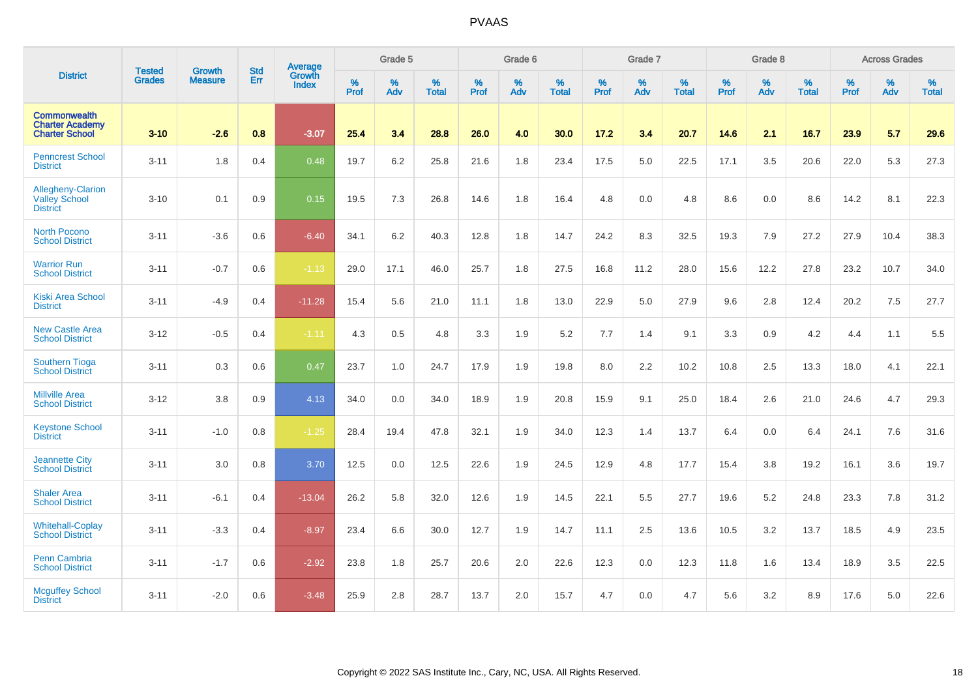|                                                                        | <b>Tested</b> | <b>Growth</b>  | <b>Std</b> | Average                       |           | Grade 5  |                   |           | Grade 6  |                   |           | Grade 7  |                   |           | Grade 8  |                   |           | <b>Across Grades</b> |                   |
|------------------------------------------------------------------------|---------------|----------------|------------|-------------------------------|-----------|----------|-------------------|-----------|----------|-------------------|-----------|----------|-------------------|-----------|----------|-------------------|-----------|----------------------|-------------------|
| <b>District</b>                                                        | <b>Grades</b> | <b>Measure</b> | Err        | <b>Growth</b><br><b>Index</b> | %<br>Prof | %<br>Adv | %<br><b>Total</b> | %<br>Prof | %<br>Adv | %<br><b>Total</b> | %<br>Prof | %<br>Adv | %<br><b>Total</b> | %<br>Prof | %<br>Adv | %<br><b>Total</b> | %<br>Prof | %<br>Adv             | %<br><b>Total</b> |
| <b>Commonwealth</b><br><b>Charter Academy</b><br><b>Charter School</b> | $3 - 10$      | $-2.6$         | 0.8        | $-3.07$                       | 25.4      | 3.4      | 28.8              | 26.0      | 4.0      | 30.0              | 17.2      | 3.4      | 20.7              | 14.6      | 2.1      | 16.7              | 23.9      | 5.7                  | 29.6              |
| <b>Penncrest School</b><br><b>District</b>                             | $3 - 11$      | 1.8            | 0.4        | 0.48                          | 19.7      | 6.2      | 25.8              | 21.6      | 1.8      | 23.4              | 17.5      | 5.0      | 22.5              | 17.1      | 3.5      | 20.6              | 22.0      | 5.3                  | 27.3              |
| <b>Allegheny-Clarion</b><br><b>Valley School</b><br><b>District</b>    | $3 - 10$      | 0.1            | 0.9        | 0.15                          | 19.5      | 7.3      | 26.8              | 14.6      | 1.8      | 16.4              | 4.8       | 0.0      | 4.8               | 8.6       | 0.0      | 8.6               | 14.2      | 8.1                  | 22.3              |
| <b>North Pocono</b><br><b>School District</b>                          | $3 - 11$      | $-3.6$         | 0.6        | $-6.40$                       | 34.1      | 6.2      | 40.3              | 12.8      | 1.8      | 14.7              | 24.2      | 8.3      | 32.5              | 19.3      | 7.9      | 27.2              | 27.9      | 10.4                 | 38.3              |
| <b>Warrior Run</b><br><b>School District</b>                           | $3 - 11$      | $-0.7$         | 0.6        | $-1.13$                       | 29.0      | 17.1     | 46.0              | 25.7      | 1.8      | 27.5              | 16.8      | 11.2     | 28.0              | 15.6      | 12.2     | 27.8              | 23.2      | 10.7                 | 34.0              |
| <b>Kiski Area School</b><br><b>District</b>                            | $3 - 11$      | $-4.9$         | 0.4        | $-11.28$                      | 15.4      | 5.6      | 21.0              | 11.1      | 1.8      | 13.0              | 22.9      | 5.0      | 27.9              | 9.6       | 2.8      | 12.4              | 20.2      | 7.5                  | 27.7              |
| <b>New Castle Area</b><br><b>School District</b>                       | $3 - 12$      | $-0.5$         | 0.4        | $-1.11$                       | 4.3       | 0.5      | 4.8               | 3.3       | 1.9      | 5.2               | 7.7       | 1.4      | 9.1               | 3.3       | 0.9      | 4.2               | 4.4       | 1.1                  | 5.5               |
| <b>Southern Tioga</b><br><b>School District</b>                        | $3 - 11$      | 0.3            | 0.6        | 0.47                          | 23.7      | 1.0      | 24.7              | 17.9      | 1.9      | 19.8              | 8.0       | 2.2      | 10.2              | 10.8      | 2.5      | 13.3              | 18.0      | 4.1                  | 22.1              |
| <b>Millville Area</b><br><b>School District</b>                        | $3 - 12$      | 3.8            | 0.9        | 4.13                          | 34.0      | 0.0      | 34.0              | 18.9      | 1.9      | 20.8              | 15.9      | 9.1      | 25.0              | 18.4      | 2.6      | 21.0              | 24.6      | 4.7                  | 29.3              |
| <b>Keystone School</b><br><b>District</b>                              | $3 - 11$      | $-1.0$         | 0.8        | $-1.25$                       | 28.4      | 19.4     | 47.8              | 32.1      | 1.9      | 34.0              | 12.3      | 1.4      | 13.7              | 6.4       | 0.0      | 6.4               | 24.1      | 7.6                  | 31.6              |
| <b>Jeannette City</b><br><b>School District</b>                        | $3 - 11$      | 3.0            | 0.8        | 3.70                          | 12.5      | 0.0      | 12.5              | 22.6      | 1.9      | 24.5              | 12.9      | 4.8      | 17.7              | 15.4      | 3.8      | 19.2              | 16.1      | 3.6                  | 19.7              |
| <b>Shaler Area</b><br><b>School District</b>                           | $3 - 11$      | $-6.1$         | 0.4        | $-13.04$                      | 26.2      | 5.8      | 32.0              | 12.6      | 1.9      | 14.5              | 22.1      | 5.5      | 27.7              | 19.6      | 5.2      | 24.8              | 23.3      | 7.8                  | 31.2              |
| <b>Whitehall-Coplay</b><br><b>School District</b>                      | $3 - 11$      | $-3.3$         | 0.4        | $-8.97$                       | 23.4      | 6.6      | 30.0              | 12.7      | 1.9      | 14.7              | 11.1      | 2.5      | 13.6              | 10.5      | 3.2      | 13.7              | 18.5      | 4.9                  | 23.5              |
| Penn Cambria<br><b>School District</b>                                 | $3 - 11$      | $-1.7$         | 0.6        | $-2.92$                       | 23.8      | 1.8      | 25.7              | 20.6      | 2.0      | 22.6              | 12.3      | 0.0      | 12.3              | 11.8      | 1.6      | 13.4              | 18.9      | 3.5                  | 22.5              |
| <b>Mcguffey School</b><br><b>District</b>                              | $3 - 11$      | $-2.0$         | 0.6        | $-3.48$                       | 25.9      | 2.8      | 28.7              | 13.7      | 2.0      | 15.7              | 4.7       | 0.0      | 4.7               | 5.6       | 3.2      | 8.9               | 17.6      | 5.0                  | 22.6              |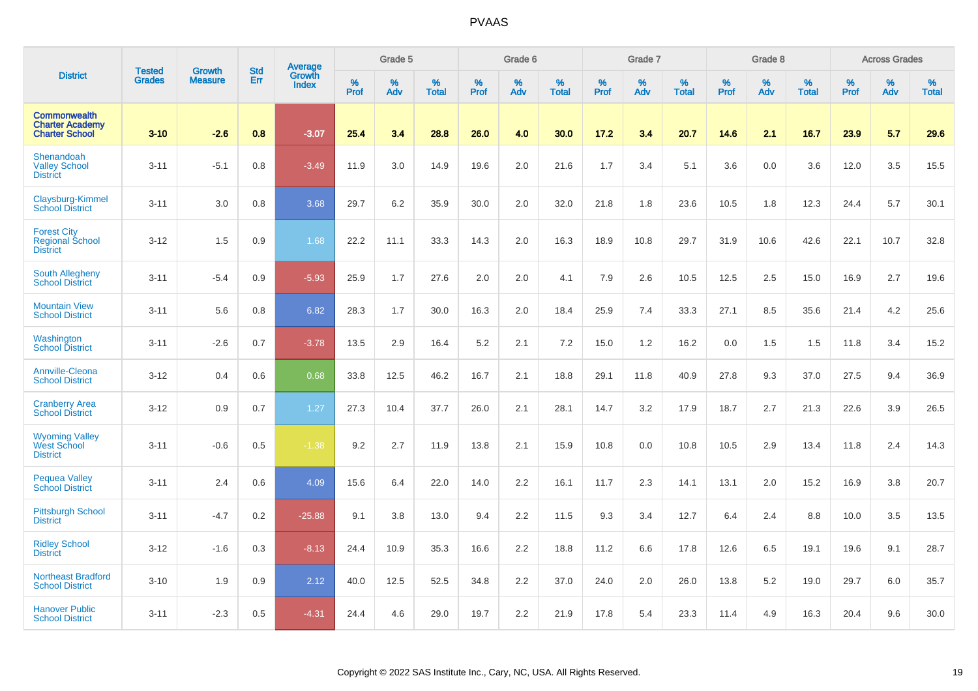|                                                                        |                                |                                 | <b>Std</b> | Average                |              | Grade 5  |                   |           | Grade 6  |                   |           | Grade 7  |                   |           | Grade 8  |                   |           | <b>Across Grades</b> |                   |
|------------------------------------------------------------------------|--------------------------------|---------------------------------|------------|------------------------|--------------|----------|-------------------|-----------|----------|-------------------|-----------|----------|-------------------|-----------|----------|-------------------|-----------|----------------------|-------------------|
| <b>District</b>                                                        | <b>Tested</b><br><b>Grades</b> | <b>Growth</b><br><b>Measure</b> | Err        | Growth<br><b>Index</b> | $\%$<br>Prof | %<br>Adv | %<br><b>Total</b> | %<br>Prof | %<br>Adv | %<br><b>Total</b> | %<br>Prof | %<br>Adv | %<br><b>Total</b> | %<br>Prof | %<br>Adv | %<br><b>Total</b> | %<br>Prof | %<br>Adv             | %<br><b>Total</b> |
| <b>Commonwealth</b><br><b>Charter Academy</b><br><b>Charter School</b> | $3 - 10$                       | $-2.6$                          | 0.8        | $-3.07$                | 25.4         | 3.4      | 28.8              | 26.0      | 4.0      | 30.0              | 17.2      | 3.4      | 20.7              | 14.6      | 2.1      | 16.7              | 23.9      | 5.7                  | 29.6              |
| Shenandoah<br><b>Valley School</b><br><b>District</b>                  | $3 - 11$                       | $-5.1$                          | 0.8        | $-3.49$                | 11.9         | 3.0      | 14.9              | 19.6      | 2.0      | 21.6              | 1.7       | 3.4      | 5.1               | 3.6       | 0.0      | 3.6               | 12.0      | 3.5                  | 15.5              |
| Claysburg-Kimmel<br><b>School District</b>                             | $3 - 11$                       | 3.0                             | 0.8        | 3.68                   | 29.7         | 6.2      | 35.9              | 30.0      | 2.0      | 32.0              | 21.8      | 1.8      | 23.6              | 10.5      | 1.8      | 12.3              | 24.4      | 5.7                  | 30.1              |
| <b>Forest City</b><br><b>Regional School</b><br><b>District</b>        | $3 - 12$                       | 1.5                             | 0.9        | 1.68                   | 22.2         | 11.1     | 33.3              | 14.3      | 2.0      | 16.3              | 18.9      | 10.8     | 29.7              | 31.9      | 10.6     | 42.6              | 22.1      | 10.7                 | 32.8              |
| South Allegheny<br><b>School District</b>                              | $3 - 11$                       | $-5.4$                          | 0.9        | $-5.93$                | 25.9         | 1.7      | 27.6              | 2.0       | 2.0      | 4.1               | 7.9       | 2.6      | 10.5              | 12.5      | 2.5      | 15.0              | 16.9      | 2.7                  | 19.6              |
| <b>Mountain View</b><br><b>School District</b>                         | $3 - 11$                       | 5.6                             | 0.8        | 6.82                   | 28.3         | 1.7      | 30.0              | 16.3      | 2.0      | 18.4              | 25.9      | 7.4      | 33.3              | 27.1      | 8.5      | 35.6              | 21.4      | 4.2                  | 25.6              |
| Washington<br><b>School District</b>                                   | $3 - 11$                       | $-2.6$                          | 0.7        | $-3.78$                | 13.5         | 2.9      | 16.4              | 5.2       | 2.1      | 7.2               | 15.0      | 1.2      | 16.2              | 0.0       | 1.5      | 1.5               | 11.8      | 3.4                  | 15.2              |
| Annville-Cleona<br><b>School District</b>                              | $3 - 12$                       | 0.4                             | 0.6        | 0.68                   | 33.8         | 12.5     | 46.2              | 16.7      | 2.1      | 18.8              | 29.1      | 11.8     | 40.9              | 27.8      | 9.3      | 37.0              | 27.5      | 9.4                  | 36.9              |
| <b>Cranberry Area</b><br><b>School District</b>                        | $3 - 12$                       | 0.9                             | 0.7        | 1.27                   | 27.3         | 10.4     | 37.7              | 26.0      | 2.1      | 28.1              | 14.7      | 3.2      | 17.9              | 18.7      | 2.7      | 21.3              | 22.6      | 3.9                  | 26.5              |
| <b>Wyoming Valley</b><br>West School<br><b>District</b>                | $3 - 11$                       | $-0.6$                          | 0.5        | $-1.38$                | 9.2          | 2.7      | 11.9              | 13.8      | 2.1      | 15.9              | 10.8      | 0.0      | 10.8              | 10.5      | 2.9      | 13.4              | 11.8      | 2.4                  | 14.3              |
| <b>Pequea Valley</b><br><b>School District</b>                         | $3 - 11$                       | 2.4                             | 0.6        | 4.09                   | 15.6         | 6.4      | 22.0              | 14.0      | 2.2      | 16.1              | 11.7      | 2.3      | 14.1              | 13.1      | 2.0      | 15.2              | 16.9      | 3.8                  | 20.7              |
| <b>Pittsburgh School</b><br><b>District</b>                            | $3 - 11$                       | $-4.7$                          | 0.2        | $-25.88$               | 9.1          | 3.8      | 13.0              | 9.4       | 2.2      | 11.5              | 9.3       | 3.4      | 12.7              | 6.4       | 2.4      | 8.8               | 10.0      | 3.5                  | 13.5              |
| <b>Ridley School</b><br><b>District</b>                                | $3 - 12$                       | $-1.6$                          | 0.3        | $-8.13$                | 24.4         | 10.9     | 35.3              | 16.6      | 2.2      | 18.8              | 11.2      | 6.6      | 17.8              | 12.6      | 6.5      | 19.1              | 19.6      | 9.1                  | 28.7              |
| <b>Northeast Bradford</b><br><b>School District</b>                    | $3 - 10$                       | 1.9                             | 0.9        | 2.12                   | 40.0         | 12.5     | 52.5              | 34.8      | 2.2      | 37.0              | 24.0      | 2.0      | 26.0              | 13.8      | 5.2      | 19.0              | 29.7      | 6.0                  | 35.7              |
| <b>Hanover Public</b><br><b>School District</b>                        | $3 - 11$                       | $-2.3$                          | 0.5        | $-4.31$                | 24.4         | 4.6      | 29.0              | 19.7      | 2.2      | 21.9              | 17.8      | 5.4      | 23.3              | 11.4      | 4.9      | 16.3              | 20.4      | 9.6                  | 30.0              |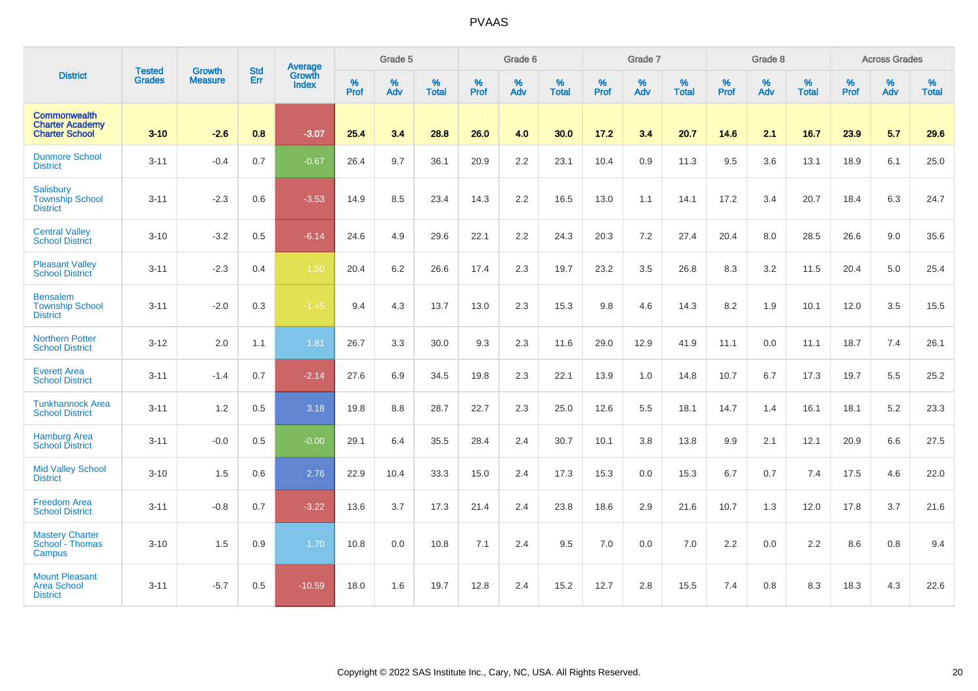|                                                                        |                                |                          | <b>Std</b> | Average                |                     | Grade 5  |                   |           | Grade 6  |                   |           | Grade 7  |                   |                  | Grade 8  |                   |                  | <b>Across Grades</b> |                   |
|------------------------------------------------------------------------|--------------------------------|--------------------------|------------|------------------------|---------------------|----------|-------------------|-----------|----------|-------------------|-----------|----------|-------------------|------------------|----------|-------------------|------------------|----------------------|-------------------|
| <b>District</b>                                                        | <b>Tested</b><br><b>Grades</b> | Growth<br><b>Measure</b> | Err        | Growth<br><b>Index</b> | $\%$<br><b>Prof</b> | %<br>Adv | %<br><b>Total</b> | %<br>Prof | %<br>Adv | %<br><b>Total</b> | %<br>Prof | %<br>Adv | %<br><b>Total</b> | %<br><b>Prof</b> | %<br>Adv | %<br><b>Total</b> | %<br><b>Prof</b> | %<br>Adv             | %<br><b>Total</b> |
| <b>Commonwealth</b><br><b>Charter Academy</b><br><b>Charter School</b> | $3 - 10$                       | $-2.6$                   | 0.8        | $-3.07$                | 25.4                | 3.4      | 28.8              | 26.0      | 4.0      | 30.0              | 17.2      | 3.4      | 20.7              | 14.6             | 2.1      | 16.7              | 23.9             | 5.7                  | 29.6              |
| <b>Dunmore School</b><br><b>District</b>                               | $3 - 11$                       | $-0.4$                   | 0.7        | $-0.67$                | 26.4                | 9.7      | 36.1              | 20.9      | 2.2      | 23.1              | 10.4      | 0.9      | 11.3              | 9.5              | 3.6      | 13.1              | 18.9             | 6.1                  | 25.0              |
| Salisbury<br><b>Township School</b><br><b>District</b>                 | $3 - 11$                       | $-2.3$                   | 0.6        | $-3.53$                | 14.9                | 8.5      | 23.4              | 14.3      | 2.2      | 16.5              | 13.0      | 1.1      | 14.1              | 17.2             | 3.4      | 20.7              | 18.4             | 6.3                  | 24.7              |
| <b>Central Valley</b><br><b>School District</b>                        | $3 - 10$                       | $-3.2$                   | 0.5        | $-6.14$                | 24.6                | 4.9      | 29.6              | 22.1      | 2.2      | 24.3              | 20.3      | 7.2      | 27.4              | 20.4             | 8.0      | 28.5              | 26.6             | 9.0                  | 35.6              |
| <b>Pleasant Valley</b><br><b>School District</b>                       | $3 - 11$                       | $-2.3$                   | 0.4        | $-1.50$                | 20.4                | 6.2      | 26.6              | 17.4      | 2.3      | 19.7              | 23.2      | 3.5      | 26.8              | 8.3              | 3.2      | 11.5              | 20.4             | 5.0                  | 25.4              |
| <b>Bensalem</b><br><b>Township School</b><br><b>District</b>           | $3 - 11$                       | $-2.0$                   | 0.3        | $-1.45$                | 9.4                 | 4.3      | 13.7              | 13.0      | 2.3      | 15.3              | 9.8       | 4.6      | 14.3              | 8.2              | 1.9      | 10.1              | 12.0             | 3.5                  | 15.5              |
| <b>Northern Potter</b><br><b>School District</b>                       | $3 - 12$                       | 2.0                      | 1.1        | 1.81                   | 26.7                | 3.3      | 30.0              | 9.3       | 2.3      | 11.6              | 29.0      | 12.9     | 41.9              | 11.1             | 0.0      | 11.1              | 18.7             | 7.4                  | 26.1              |
| <b>Everett Area</b><br><b>School District</b>                          | $3 - 11$                       | $-1.4$                   | 0.7        | $-2.14$                | 27.6                | 6.9      | 34.5              | 19.8      | 2.3      | 22.1              | 13.9      | 1.0      | 14.8              | 10.7             | 6.7      | 17.3              | 19.7             | 5.5                  | 25.2              |
| <b>Tunkhannock Area</b><br><b>School District</b>                      | $3 - 11$                       | 1.2                      | 0.5        | 3.18                   | 19.8                | 8.8      | 28.7              | 22.7      | 2.3      | 25.0              | 12.6      | 5.5      | 18.1              | 14.7             | 1.4      | 16.1              | 18.1             | 5.2                  | 23.3              |
| <b>Hamburg Area</b><br><b>School District</b>                          | $3 - 11$                       | $-0.0$                   | 0.5        | $-0.00$                | 29.1                | 6.4      | 35.5              | 28.4      | 2.4      | 30.7              | 10.1      | 3.8      | 13.8              | 9.9              | 2.1      | 12.1              | 20.9             | 6.6                  | 27.5              |
| <b>Mid Valley School</b><br><b>District</b>                            | $3 - 10$                       | 1.5                      | 0.6        | 2.76                   | 22.9                | 10.4     | 33.3              | 15.0      | 2.4      | 17.3              | 15.3      | 0.0      | 15.3              | 6.7              | 0.7      | 7.4               | 17.5             | 4.6                  | 22.0              |
| <b>Freedom Area</b><br><b>School District</b>                          | $3 - 11$                       | $-0.8$                   | 0.7        | $-3.22$                | 13.6                | 3.7      | 17.3              | 21.4      | 2.4      | 23.8              | 18.6      | 2.9      | 21.6              | 10.7             | 1.3      | 12.0              | 17.8             | 3.7                  | 21.6              |
| <b>Mastery Charter</b><br>School - Thomas<br>Campus                    | $3 - 10$                       | 1.5                      | 0.9        | 1.70                   | 10.8                | 0.0      | 10.8              | 7.1       | 2.4      | 9.5               | 7.0       | 0.0      | 7.0               | 2.2              | 0.0      | 2.2               | 8.6              | 0.8                  | 9.4               |
| <b>Mount Pleasant</b><br><b>Area School</b><br><b>District</b>         | $3 - 11$                       | $-5.7$                   | 0.5        | $-10.59$               | 18.0                | 1.6      | 19.7              | 12.8      | 2.4      | 15.2              | 12.7      | 2.8      | 15.5              | 7.4              | 0.8      | 8.3               | 18.3             | 4.3                  | 22.6              |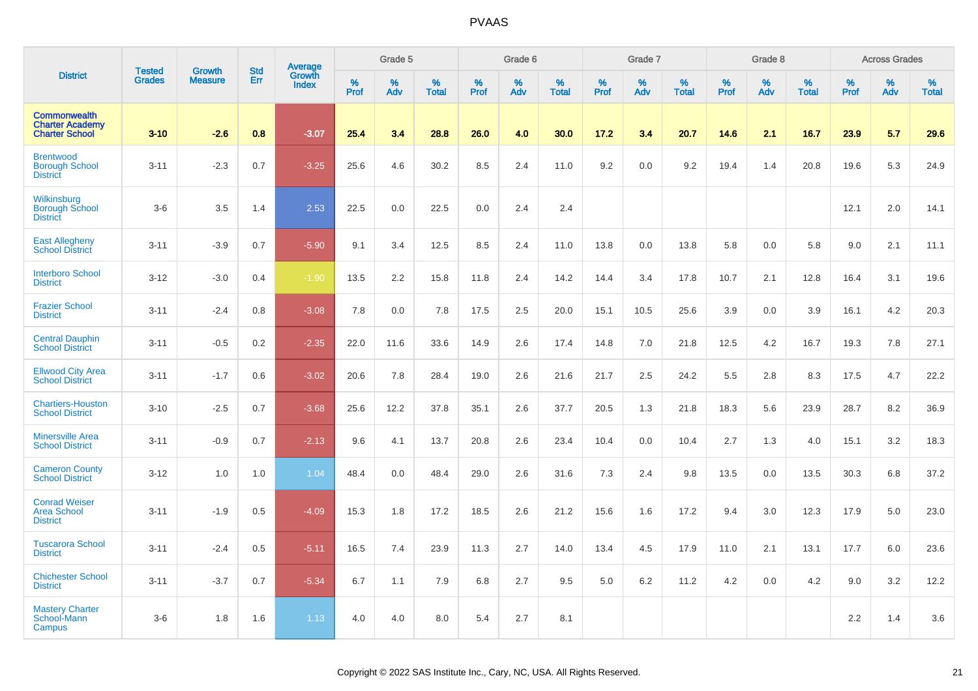|                                                                        | <b>Tested</b> | Growth         | <b>Std</b> | Average                |              | Grade 5  |                   |                  | Grade 6  |                   |                  | Grade 7  |                   |           | Grade 8  |                   |           | <b>Across Grades</b> |                   |
|------------------------------------------------------------------------|---------------|----------------|------------|------------------------|--------------|----------|-------------------|------------------|----------|-------------------|------------------|----------|-------------------|-----------|----------|-------------------|-----------|----------------------|-------------------|
| <b>District</b>                                                        | <b>Grades</b> | <b>Measure</b> | Err        | Growth<br><b>Index</b> | $\%$<br>Prof | %<br>Adv | %<br><b>Total</b> | %<br><b>Prof</b> | %<br>Adv | %<br><b>Total</b> | %<br><b>Prof</b> | %<br>Adv | %<br><b>Total</b> | %<br>Prof | %<br>Adv | %<br><b>Total</b> | %<br>Prof | %<br>Adv             | %<br><b>Total</b> |
| <b>Commonwealth</b><br><b>Charter Academy</b><br><b>Charter School</b> | $3 - 10$      | $-2.6$         | 0.8        | $-3.07$                | 25.4         | 3.4      | 28.8              | 26.0             | 4.0      | 30.0              | 17.2             | 3.4      | 20.7              | 14.6      | 2.1      | 16.7              | 23.9      | 5.7                  | 29.6              |
| <b>Brentwood</b><br><b>Borough School</b><br><b>District</b>           | $3 - 11$      | $-2.3$         | 0.7        | $-3.25$                | 25.6         | 4.6      | 30.2              | 8.5              | 2.4      | 11.0              | 9.2              | 0.0      | 9.2               | 19.4      | 1.4      | 20.8              | 19.6      | 5.3                  | 24.9              |
| Wilkinsburg<br><b>Borough School</b><br><b>District</b>                | $3-6$         | 3.5            | 1.4        | 2.53                   | 22.5         | 0.0      | 22.5              | 0.0              | 2.4      | 2.4               |                  |          |                   |           |          |                   | 12.1      | 2.0                  | 14.1              |
| <b>East Allegheny</b><br><b>School District</b>                        | $3 - 11$      | $-3.9$         | 0.7        | $-5.90$                | 9.1          | 3.4      | 12.5              | 8.5              | 2.4      | 11.0              | 13.8             | 0.0      | 13.8              | 5.8       | 0.0      | 5.8               | 9.0       | 2.1                  | 11.1              |
| <b>Interboro School</b><br><b>District</b>                             | $3 - 12$      | $-3.0$         | 0.4        | $-1.90$                | 13.5         | 2.2      | 15.8              | 11.8             | 2.4      | 14.2              | 14.4             | 3.4      | 17.8              | 10.7      | 2.1      | 12.8              | 16.4      | 3.1                  | 19.6              |
| <b>Frazier School</b><br><b>District</b>                               | $3 - 11$      | $-2.4$         | 0.8        | $-3.08$                | 7.8          | 0.0      | 7.8               | 17.5             | 2.5      | 20.0              | 15.1             | 10.5     | 25.6              | 3.9       | 0.0      | 3.9               | 16.1      | 4.2                  | 20.3              |
| <b>Central Dauphin</b><br><b>School District</b>                       | $3 - 11$      | $-0.5$         | 0.2        | $-2.35$                | 22.0         | 11.6     | 33.6              | 14.9             | 2.6      | 17.4              | 14.8             | 7.0      | 21.8              | 12.5      | 4.2      | 16.7              | 19.3      | 7.8                  | 27.1              |
| <b>Ellwood City Area</b><br><b>School District</b>                     | $3 - 11$      | $-1.7$         | 0.6        | $-3.02$                | 20.6         | 7.8      | 28.4              | 19.0             | 2.6      | 21.6              | 21.7             | 2.5      | 24.2              | 5.5       | 2.8      | 8.3               | 17.5      | 4.7                  | 22.2              |
| <b>Chartiers-Houston</b><br><b>School District</b>                     | $3 - 10$      | $-2.5$         | 0.7        | $-3.68$                | 25.6         | 12.2     | 37.8              | 35.1             | 2.6      | 37.7              | 20.5             | 1.3      | 21.8              | 18.3      | 5.6      | 23.9              | 28.7      | 8.2                  | 36.9              |
| <b>Minersville Area</b><br><b>School District</b>                      | $3 - 11$      | $-0.9$         | 0.7        | $-2.13$                | 9.6          | 4.1      | 13.7              | 20.8             | 2.6      | 23.4              | 10.4             | 0.0      | 10.4              | 2.7       | 1.3      | 4.0               | 15.1      | 3.2                  | 18.3              |
| <b>Cameron County</b><br><b>School District</b>                        | $3 - 12$      | 1.0            | 1.0        | 1.04                   | 48.4         | 0.0      | 48.4              | 29.0             | 2.6      | 31.6              | 7.3              | 2.4      | 9.8               | 13.5      | 0.0      | 13.5              | 30.3      | 6.8                  | 37.2              |
| <b>Conrad Weiser</b><br><b>Area School</b><br><b>District</b>          | $3 - 11$      | $-1.9$         | 0.5        | $-4.09$                | 15.3         | 1.8      | 17.2              | 18.5             | 2.6      | 21.2              | 15.6             | 1.6      | 17.2              | 9.4       | 3.0      | 12.3              | 17.9      | 5.0                  | 23.0              |
| <b>Tuscarora School</b><br><b>District</b>                             | $3 - 11$      | $-2.4$         | 0.5        | $-5.11$                | 16.5         | 7.4      | 23.9              | 11.3             | 2.7      | 14.0              | 13.4             | 4.5      | 17.9              | 11.0      | 2.1      | 13.1              | 17.7      | 6.0                  | 23.6              |
| <b>Chichester School</b><br><b>District</b>                            | $3 - 11$      | $-3.7$         | 0.7        | $-5.34$                | 6.7          | 1.1      | 7.9               | 6.8              | 2.7      | 9.5               | 5.0              | 6.2      | 11.2              | 4.2       | 0.0      | 4.2               | 9.0       | 3.2                  | 12.2              |
| <b>Mastery Charter</b><br>School-Mann<br>Campus                        | $3-6$         | 1.8            | 1.6        | 1.13                   | 4.0          | 4.0      | 8.0               | 5.4              | 2.7      | 8.1               |                  |          |                   |           |          |                   | 2.2       | 1.4                  | 3.6               |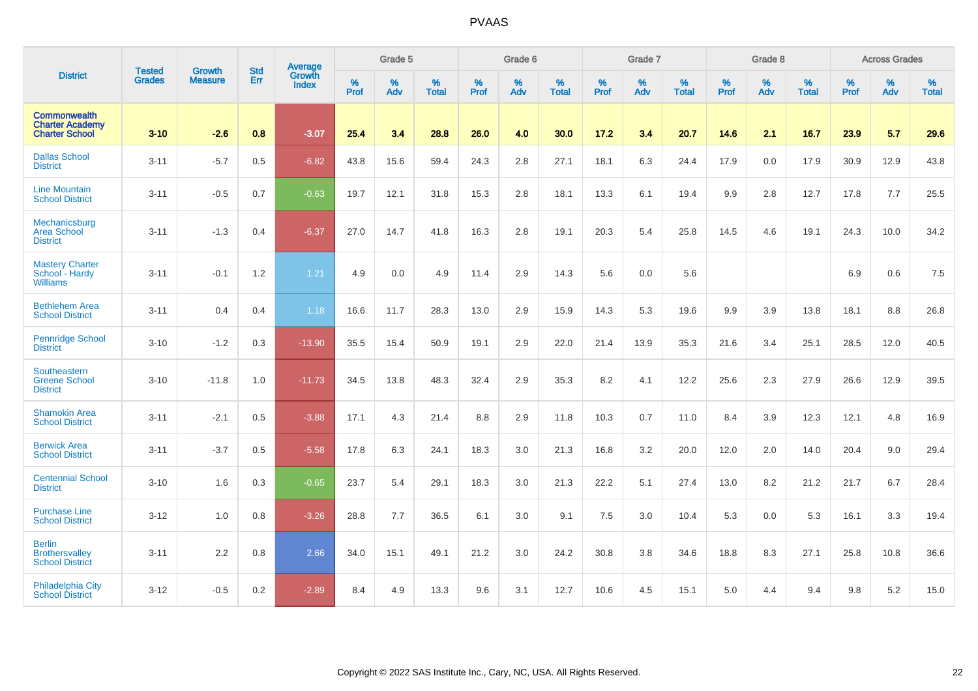|                                                                        | <b>Tested</b> | <b>Growth</b>  | <b>Std</b> | Average                |                     | Grade 5  |                   |                     | Grade 6  |                   |                     | Grade 7  |                   |                     | Grade 8  |                   |                     | <b>Across Grades</b> |                   |
|------------------------------------------------------------------------|---------------|----------------|------------|------------------------|---------------------|----------|-------------------|---------------------|----------|-------------------|---------------------|----------|-------------------|---------------------|----------|-------------------|---------------------|----------------------|-------------------|
| <b>District</b>                                                        | <b>Grades</b> | <b>Measure</b> | Err        | Growth<br><b>Index</b> | $\%$<br><b>Prof</b> | %<br>Adv | %<br><b>Total</b> | $\%$<br><b>Prof</b> | %<br>Adv | %<br><b>Total</b> | $\%$<br><b>Prof</b> | %<br>Adv | %<br><b>Total</b> | $\%$<br><b>Prof</b> | %<br>Adv | %<br><b>Total</b> | $\%$<br><b>Prof</b> | %<br>Adv             | %<br><b>Total</b> |
| <b>Commonwealth</b><br><b>Charter Academy</b><br><b>Charter School</b> | $3 - 10$      | $-2.6$         | 0.8        | $-3.07$                | 25.4                | 3.4      | 28.8              | 26.0                | 4.0      | 30.0              | 17.2                | 3.4      | 20.7              | 14.6                | 2.1      | 16.7              | 23.9                | 5.7                  | 29.6              |
| <b>Dallas School</b><br><b>District</b>                                | $3 - 11$      | $-5.7$         | 0.5        | $-6.82$                | 43.8                | 15.6     | 59.4              | 24.3                | 2.8      | 27.1              | 18.1                | 6.3      | 24.4              | 17.9                | 0.0      | 17.9              | 30.9                | 12.9                 | 43.8              |
| <b>Line Mountain</b><br><b>School District</b>                         | $3 - 11$      | $-0.5$         | 0.7        | $-0.63$                | 19.7                | 12.1     | 31.8              | 15.3                | 2.8      | 18.1              | 13.3                | 6.1      | 19.4              | 9.9                 | 2.8      | 12.7              | 17.8                | 7.7                  | 25.5              |
| Mechanicsburg<br><b>Area School</b><br><b>District</b>                 | $3 - 11$      | $-1.3$         | 0.4        | $-6.37$                | 27.0                | 14.7     | 41.8              | 16.3                | 2.8      | 19.1              | 20.3                | 5.4      | 25.8              | 14.5                | 4.6      | 19.1              | 24.3                | 10.0                 | 34.2              |
| <b>Mastery Charter</b><br>School - Hardy<br><b>Williams</b>            | $3 - 11$      | $-0.1$         | 1.2        | 1.21                   | 4.9                 | 0.0      | 4.9               | 11.4                | 2.9      | 14.3              | 5.6                 | 0.0      | 5.6               |                     |          |                   | 6.9                 | 0.6                  | 7.5               |
| <b>Bethlehem Area</b><br><b>School District</b>                        | $3 - 11$      | 0.4            | 0.4        | 1.18                   | 16.6                | 11.7     | 28.3              | 13.0                | 2.9      | 15.9              | 14.3                | 5.3      | 19.6              | 9.9                 | 3.9      | 13.8              | 18.1                | 8.8                  | 26.8              |
| <b>Pennridge School</b><br><b>District</b>                             | $3 - 10$      | $-1.2$         | 0.3        | $-13.90$               | 35.5                | 15.4     | 50.9              | 19.1                | 2.9      | 22.0              | 21.4                | 13.9     | 35.3              | 21.6                | 3.4      | 25.1              | 28.5                | 12.0                 | 40.5              |
| Southeastern<br><b>Greene School</b><br><b>District</b>                | $3 - 10$      | $-11.8$        | 1.0        | $-11.73$               | 34.5                | 13.8     | 48.3              | 32.4                | 2.9      | 35.3              | 8.2                 | 4.1      | 12.2              | 25.6                | 2.3      | 27.9              | 26.6                | 12.9                 | 39.5              |
| <b>Shamokin Area</b><br><b>School District</b>                         | $3 - 11$      | $-2.1$         | 0.5        | $-3.88$                | 17.1                | 4.3      | 21.4              | 8.8                 | 2.9      | 11.8              | 10.3                | 0.7      | 11.0              | 8.4                 | 3.9      | 12.3              | 12.1                | 4.8                  | 16.9              |
| <b>Berwick Area</b><br><b>School District</b>                          | $3 - 11$      | $-3.7$         | 0.5        | $-5.58$                | 17.8                | 6.3      | 24.1              | 18.3                | 3.0      | 21.3              | 16.8                | 3.2      | 20.0              | 12.0                | 2.0      | 14.0              | 20.4                | 9.0                  | 29.4              |
| <b>Centennial School</b><br><b>District</b>                            | $3 - 10$      | 1.6            | 0.3        | $-0.65$                | 23.7                | 5.4      | 29.1              | 18.3                | 3.0      | 21.3              | 22.2                | 5.1      | 27.4              | 13.0                | 8.2      | 21.2              | 21.7                | 6.7                  | 28.4              |
| <b>Purchase Line</b><br><b>School District</b>                         | $3 - 12$      | 1.0            | 0.8        | $-3.26$                | 28.8                | 7.7      | 36.5              | 6.1                 | 3.0      | 9.1               | 7.5                 | 3.0      | 10.4              | 5.3                 | 0.0      | 5.3               | 16.1                | 3.3                  | 19.4              |
| <b>Berlin</b><br><b>Brothersvalley</b><br><b>School District</b>       | $3 - 11$      | 2.2            | 0.8        | 2.66                   | 34.0                | 15.1     | 49.1              | 21.2                | 3.0      | 24.2              | 30.8                | 3.8      | 34.6              | 18.8                | 8.3      | 27.1              | 25.8                | 10.8                 | 36.6              |
| <b>Philadelphia City</b><br><b>School District</b>                     | $3 - 12$      | $-0.5$         | 0.2        | $-2.89$                | 8.4                 | 4.9      | 13.3              | 9.6                 | 3.1      | 12.7              | 10.6                | 4.5      | 15.1              | 5.0                 | 4.4      | 9.4               | 9.8                 | 5.2                  | 15.0              |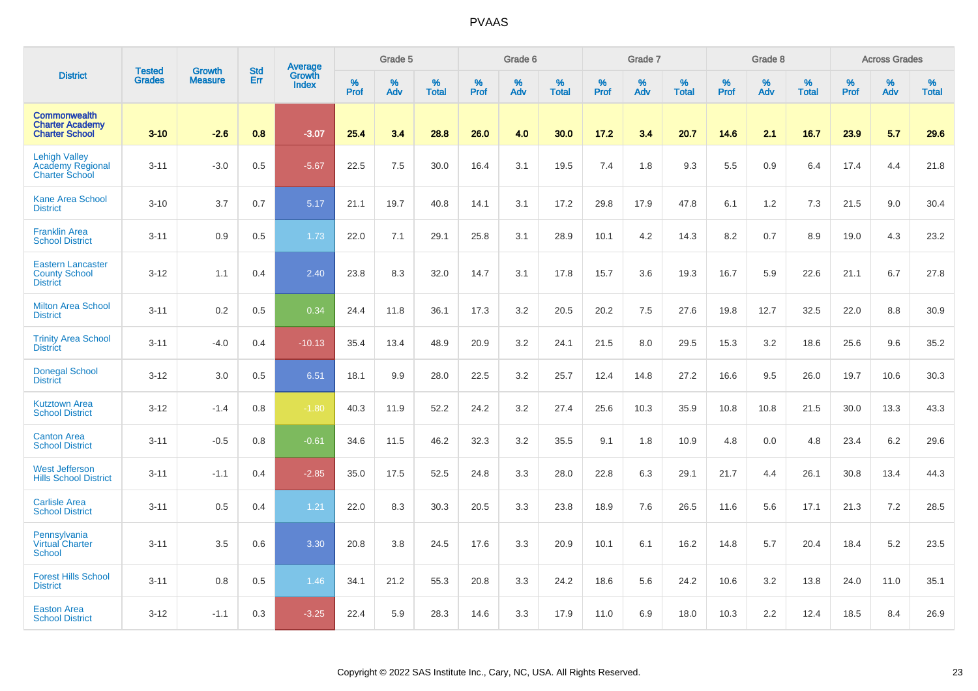|                                                                          |                                |                                 | <b>Std</b> | Average                |              | Grade 5  |                   |           | Grade 6  |                   |           | Grade 7  |                   |           | Grade 8  |                   |           | <b>Across Grades</b> |                   |
|--------------------------------------------------------------------------|--------------------------------|---------------------------------|------------|------------------------|--------------|----------|-------------------|-----------|----------|-------------------|-----------|----------|-------------------|-----------|----------|-------------------|-----------|----------------------|-------------------|
| <b>District</b>                                                          | <b>Tested</b><br><b>Grades</b> | <b>Growth</b><br><b>Measure</b> | Err        | Growth<br><b>Index</b> | $\%$<br>Prof | %<br>Adv | %<br><b>Total</b> | %<br>Prof | %<br>Adv | %<br><b>Total</b> | %<br>Prof | %<br>Adv | %<br><b>Total</b> | %<br>Prof | %<br>Adv | %<br><b>Total</b> | %<br>Prof | %<br>Adv             | %<br><b>Total</b> |
| <b>Commonwealth</b><br><b>Charter Academy</b><br><b>Charter School</b>   | $3 - 10$                       | $-2.6$                          | 0.8        | $-3.07$                | 25.4         | 3.4      | 28.8              | 26.0      | 4.0      | 30.0              | 17.2      | 3.4      | 20.7              | 14.6      | 2.1      | 16.7              | 23.9      | 5.7                  | 29.6              |
| <b>Lehigh Valley</b><br><b>Academy Regional</b><br><b>Charter School</b> | $3 - 11$                       | $-3.0$                          | 0.5        | $-5.67$                | 22.5         | 7.5      | 30.0              | 16.4      | 3.1      | 19.5              | 7.4       | 1.8      | 9.3               | 5.5       | 0.9      | 6.4               | 17.4      | 4.4                  | 21.8              |
| <b>Kane Area School</b><br><b>District</b>                               | $3 - 10$                       | 3.7                             | 0.7        | 5.17                   | 21.1         | 19.7     | 40.8              | 14.1      | 3.1      | 17.2              | 29.8      | 17.9     | 47.8              | 6.1       | 1.2      | 7.3               | 21.5      | 9.0                  | 30.4              |
| <b>Franklin Area</b><br><b>School District</b>                           | $3 - 11$                       | 0.9                             | 0.5        | 1.73                   | 22.0         | 7.1      | 29.1              | 25.8      | 3.1      | 28.9              | 10.1      | 4.2      | 14.3              | 8.2       | 0.7      | 8.9               | 19.0      | 4.3                  | 23.2              |
| <b>Eastern Lancaster</b><br><b>County School</b><br><b>District</b>      | $3 - 12$                       | 1.1                             | 0.4        | 2.40                   | 23.8         | 8.3      | 32.0              | 14.7      | 3.1      | 17.8              | 15.7      | 3.6      | 19.3              | 16.7      | 5.9      | 22.6              | 21.1      | 6.7                  | 27.8              |
| <b>Milton Area School</b><br><b>District</b>                             | $3 - 11$                       | 0.2                             | 0.5        | 0.34                   | 24.4         | 11.8     | 36.1              | 17.3      | 3.2      | 20.5              | 20.2      | 7.5      | 27.6              | 19.8      | 12.7     | 32.5              | 22.0      | 8.8                  | 30.9              |
| <b>Trinity Area School</b><br><b>District</b>                            | $3 - 11$                       | $-4.0$                          | 0.4        | $-10.13$               | 35.4         | 13.4     | 48.9              | 20.9      | 3.2      | 24.1              | 21.5      | 8.0      | 29.5              | 15.3      | 3.2      | 18.6              | 25.6      | 9.6                  | 35.2              |
| <b>Donegal School</b><br><b>District</b>                                 | $3 - 12$                       | 3.0                             | 0.5        | 6.51                   | 18.1         | 9.9      | 28.0              | 22.5      | 3.2      | 25.7              | 12.4      | 14.8     | 27.2              | 16.6      | 9.5      | 26.0              | 19.7      | 10.6                 | 30.3              |
| <b>Kutztown Area</b><br><b>School District</b>                           | $3 - 12$                       | $-1.4$                          | 0.8        | $-1.80$                | 40.3         | 11.9     | 52.2              | 24.2      | 3.2      | 27.4              | 25.6      | 10.3     | 35.9              | 10.8      | 10.8     | 21.5              | 30.0      | 13.3                 | 43.3              |
| <b>Canton Area</b><br><b>School District</b>                             | $3 - 11$                       | $-0.5$                          | 0.8        | $-0.61$                | 34.6         | 11.5     | 46.2              | 32.3      | 3.2      | 35.5              | 9.1       | 1.8      | 10.9              | 4.8       | 0.0      | 4.8               | 23.4      | 6.2                  | 29.6              |
| <b>West Jefferson</b><br><b>Hills School District</b>                    | $3 - 11$                       | $-1.1$                          | 0.4        | $-2.85$                | 35.0         | 17.5     | 52.5              | 24.8      | 3.3      | 28.0              | 22.8      | 6.3      | 29.1              | 21.7      | 4.4      | 26.1              | 30.8      | 13.4                 | 44.3              |
| <b>Carlisle Area</b><br><b>School District</b>                           | $3 - 11$                       | 0.5                             | 0.4        | 1.21                   | 22.0         | 8.3      | 30.3              | 20.5      | 3.3      | 23.8              | 18.9      | 7.6      | 26.5              | 11.6      | 5.6      | 17.1              | 21.3      | 7.2                  | 28.5              |
| Pennsylvania<br><b>Virtual Charter</b><br><b>School</b>                  | $3 - 11$                       | 3.5                             | 0.6        | 3.30                   | 20.8         | 3.8      | 24.5              | 17.6      | 3.3      | 20.9              | 10.1      | 6.1      | 16.2              | 14.8      | 5.7      | 20.4              | 18.4      | 5.2                  | 23.5              |
| <b>Forest Hills School</b><br><b>District</b>                            | $3 - 11$                       | 0.8                             | 0.5        | 1.46                   | 34.1         | 21.2     | 55.3              | 20.8      | 3.3      | 24.2              | 18.6      | 5.6      | 24.2              | 10.6      | 3.2      | 13.8              | 24.0      | 11.0                 | 35.1              |
| <b>Easton Area</b><br><b>School District</b>                             | $3 - 12$                       | $-1.1$                          | 0.3        | $-3.25$                | 22.4         | 5.9      | 28.3              | 14.6      | 3.3      | 17.9              | 11.0      | 6.9      | 18.0              | 10.3      | 2.2      | 12.4              | 18.5      | 8.4                  | 26.9              |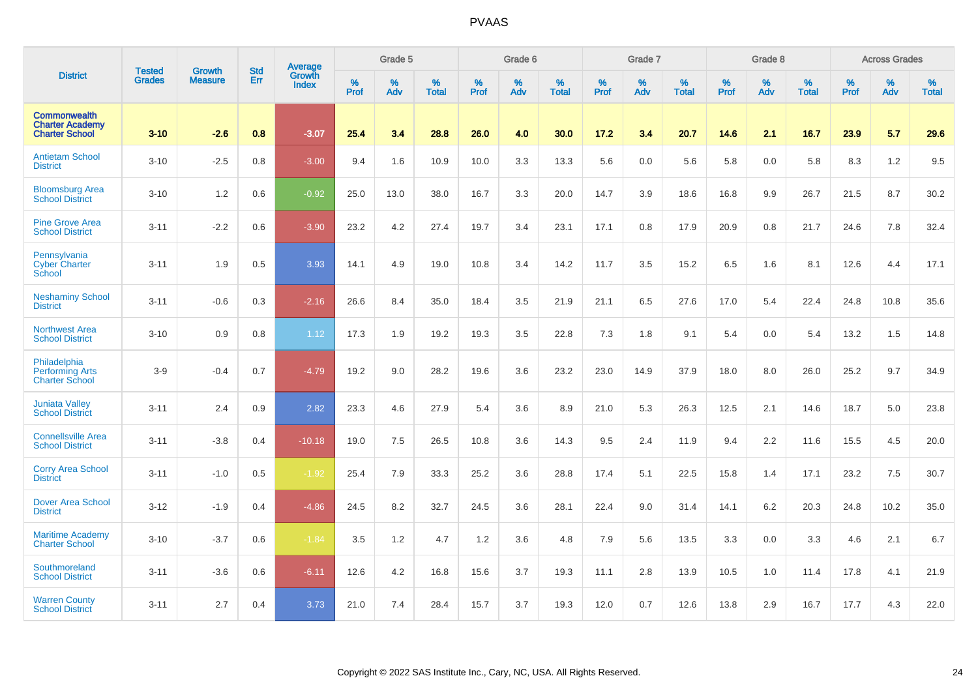|                                                                        | <b>Tested</b> | <b>Growth</b>  | <b>Std</b> | <b>Average</b>                |              | Grade 5  |                   |           | Grade 6  |                   |           | Grade 7  |                   |           | Grade 8  |                   |           | <b>Across Grades</b> |                   |
|------------------------------------------------------------------------|---------------|----------------|------------|-------------------------------|--------------|----------|-------------------|-----------|----------|-------------------|-----------|----------|-------------------|-----------|----------|-------------------|-----------|----------------------|-------------------|
| <b>District</b>                                                        | <b>Grades</b> | <b>Measure</b> | <b>Err</b> | <b>Growth</b><br><b>Index</b> | $\%$<br>Prof | %<br>Adv | %<br><b>Total</b> | %<br>Prof | %<br>Adv | %<br><b>Total</b> | %<br>Prof | %<br>Adv | %<br><b>Total</b> | %<br>Prof | %<br>Adv | %<br><b>Total</b> | %<br>Prof | %<br>Adv             | %<br><b>Total</b> |
| <b>Commonwealth</b><br><b>Charter Academy</b><br><b>Charter School</b> | $3 - 10$      | $-2.6$         | 0.8        | $-3.07$                       | 25.4         | 3.4      | 28.8              | 26.0      | 4.0      | 30.0              | 17.2      | 3.4      | 20.7              | 14.6      | 2.1      | 16.7              | 23.9      | 5.7                  | 29.6              |
| <b>Antietam School</b><br><b>District</b>                              | $3 - 10$      | $-2.5$         | 0.8        | $-3.00$                       | 9.4          | 1.6      | 10.9              | 10.0      | 3.3      | 13.3              | 5.6       | 0.0      | 5.6               | 5.8       | 0.0      | 5.8               | 8.3       | $1.2$                | 9.5               |
| <b>Bloomsburg Area</b><br><b>School District</b>                       | $3 - 10$      | 1.2            | 0.6        | $-0.92$                       | 25.0         | 13.0     | 38.0              | 16.7      | 3.3      | 20.0              | 14.7      | 3.9      | 18.6              | 16.8      | 9.9      | 26.7              | 21.5      | 8.7                  | 30.2              |
| <b>Pine Grove Area</b><br><b>School District</b>                       | $3 - 11$      | $-2.2$         | 0.6        | $-3.90$                       | 23.2         | 4.2      | 27.4              | 19.7      | 3.4      | 23.1              | 17.1      | 0.8      | 17.9              | 20.9      | 0.8      | 21.7              | 24.6      | 7.8                  | 32.4              |
| Pennsylvania<br><b>Cyber Charter</b><br>School                         | $3 - 11$      | 1.9            | 0.5        | 3.93                          | 14.1         | 4.9      | 19.0              | 10.8      | 3.4      | 14.2              | 11.7      | 3.5      | 15.2              | 6.5       | 1.6      | 8.1               | 12.6      | 4.4                  | 17.1              |
| <b>Neshaminy School</b><br><b>District</b>                             | $3 - 11$      | $-0.6$         | 0.3        | $-2.16$                       | 26.6         | 8.4      | 35.0              | 18.4      | 3.5      | 21.9              | 21.1      | 6.5      | 27.6              | 17.0      | 5.4      | 22.4              | 24.8      | 10.8                 | 35.6              |
| <b>Northwest Area</b><br><b>School District</b>                        | $3 - 10$      | 0.9            | 0.8        | 1.12                          | 17.3         | 1.9      | 19.2              | 19.3      | 3.5      | 22.8              | 7.3       | 1.8      | 9.1               | 5.4       | 0.0      | 5.4               | 13.2      | 1.5                  | 14.8              |
| Philadelphia<br><b>Performing Arts</b><br><b>Charter School</b>        | $3-9$         | $-0.4$         | 0.7        | $-4.79$                       | 19.2         | 9.0      | 28.2              | 19.6      | 3.6      | 23.2              | 23.0      | 14.9     | 37.9              | 18.0      | 8.0      | 26.0              | 25.2      | 9.7                  | 34.9              |
| <b>Juniata Valley</b><br><b>School District</b>                        | $3 - 11$      | 2.4            | 0.9        | 2.82                          | 23.3         | 4.6      | 27.9              | 5.4       | 3.6      | 8.9               | 21.0      | 5.3      | 26.3              | 12.5      | 2.1      | 14.6              | 18.7      | 5.0                  | 23.8              |
| <b>Connellsville Area</b><br><b>School District</b>                    | $3 - 11$      | $-3.8$         | 0.4        | $-10.18$                      | 19.0         | 7.5      | 26.5              | 10.8      | 3.6      | 14.3              | 9.5       | 2.4      | 11.9              | 9.4       | 2.2      | 11.6              | 15.5      | 4.5                  | 20.0              |
| <b>Corry Area School</b><br><b>District</b>                            | $3 - 11$      | $-1.0$         | 0.5        | $-1.92$                       | 25.4         | 7.9      | 33.3              | 25.2      | 3.6      | 28.8              | 17.4      | 5.1      | 22.5              | 15.8      | 1.4      | 17.1              | 23.2      | 7.5                  | 30.7              |
| <b>Dover Area School</b><br><b>District</b>                            | $3 - 12$      | $-1.9$         | 0.4        | $-4.86$                       | 24.5         | 8.2      | 32.7              | 24.5      | 3.6      | 28.1              | 22.4      | 9.0      | 31.4              | 14.1      | 6.2      | 20.3              | 24.8      | 10.2                 | 35.0              |
| <b>Maritime Academy</b><br><b>Charter School</b>                       | $3 - 10$      | $-3.7$         | 0.6        | $-1.84$                       | 3.5          | 1.2      | 4.7               | 1.2       | 3.6      | 4.8               | 7.9       | 5.6      | 13.5              | 3.3       | 0.0      | 3.3               | 4.6       | 2.1                  | 6.7               |
| Southmoreland<br><b>School District</b>                                | $3 - 11$      | $-3.6$         | 0.6        | $-6.11$                       | 12.6         | 4.2      | 16.8              | 15.6      | 3.7      | 19.3              | 11.1      | 2.8      | 13.9              | 10.5      | 1.0      | 11.4              | 17.8      | 4.1                  | 21.9              |
| <b>Warren County</b><br><b>School District</b>                         | $3 - 11$      | 2.7            | 0.4        | 3.73                          | 21.0         | 7.4      | 28.4              | 15.7      | 3.7      | 19.3              | 12.0      | 0.7      | 12.6              | 13.8      | 2.9      | 16.7              | 17.7      | 4.3                  | 22.0              |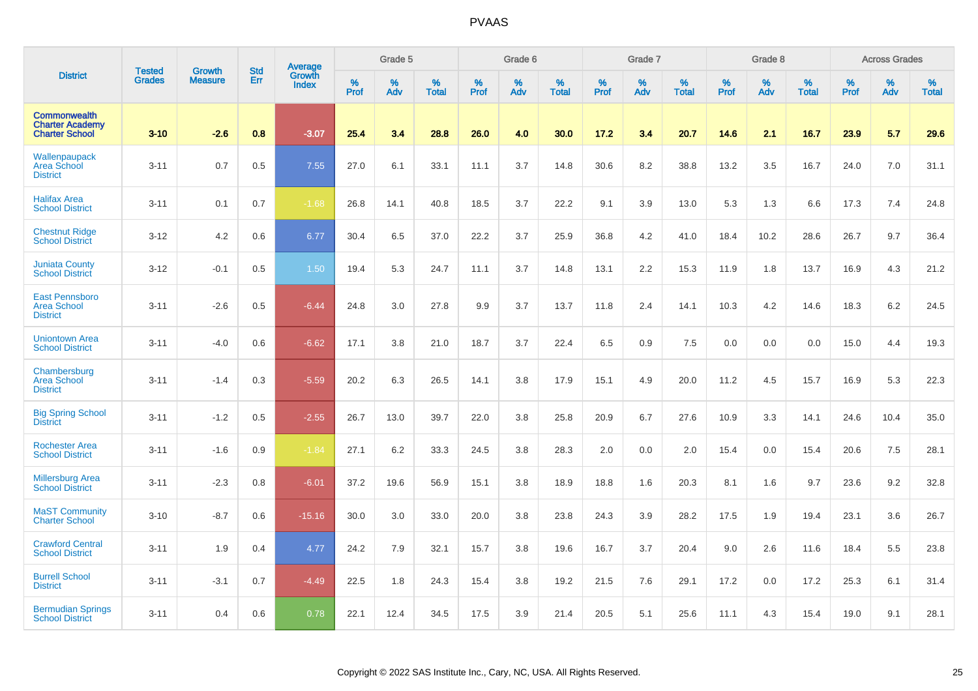|                                                                        |                                |                                 | <b>Std</b> | Average                |              | Grade 5  |                   |           | Grade 6  |                   |           | Grade 7  |                   |           | Grade 8  |                   |           | <b>Across Grades</b> |                   |
|------------------------------------------------------------------------|--------------------------------|---------------------------------|------------|------------------------|--------------|----------|-------------------|-----------|----------|-------------------|-----------|----------|-------------------|-----------|----------|-------------------|-----------|----------------------|-------------------|
| <b>District</b>                                                        | <b>Tested</b><br><b>Grades</b> | <b>Growth</b><br><b>Measure</b> | Err        | Growth<br><b>Index</b> | $\%$<br>Prof | %<br>Adv | %<br><b>Total</b> | %<br>Prof | %<br>Adv | %<br><b>Total</b> | %<br>Prof | %<br>Adv | %<br><b>Total</b> | %<br>Prof | %<br>Adv | %<br><b>Total</b> | %<br>Prof | %<br>Adv             | %<br><b>Total</b> |
| <b>Commonwealth</b><br><b>Charter Academy</b><br><b>Charter School</b> | $3 - 10$                       | $-2.6$                          | 0.8        | $-3.07$                | 25.4         | 3.4      | 28.8              | 26.0      | 4.0      | 30.0              | 17.2      | 3.4      | 20.7              | 14.6      | 2.1      | 16.7              | 23.9      | 5.7                  | 29.6              |
| Wallenpaupack<br>Area School<br><b>District</b>                        | $3 - 11$                       | 0.7                             | 0.5        | 7.55                   | 27.0         | 6.1      | 33.1              | 11.1      | 3.7      | 14.8              | 30.6      | 8.2      | 38.8              | 13.2      | 3.5      | 16.7              | 24.0      | 7.0                  | 31.1              |
| <b>Halifax Area</b><br><b>School District</b>                          | $3 - 11$                       | 0.1                             | 0.7        | $-1.68$                | 26.8         | 14.1     | 40.8              | 18.5      | 3.7      | 22.2              | 9.1       | 3.9      | 13.0              | 5.3       | 1.3      | 6.6               | 17.3      | 7.4                  | 24.8              |
| <b>Chestnut Ridge</b><br><b>School District</b>                        | $3 - 12$                       | 4.2                             | 0.6        | 6.77                   | 30.4         | 6.5      | 37.0              | 22.2      | 3.7      | 25.9              | 36.8      | 4.2      | 41.0              | 18.4      | 10.2     | 28.6              | 26.7      | 9.7                  | 36.4              |
| <b>Juniata County</b><br><b>School District</b>                        | $3 - 12$                       | $-0.1$                          | 0.5        | 1.50                   | 19.4         | 5.3      | 24.7              | 11.1      | 3.7      | 14.8              | 13.1      | 2.2      | 15.3              | 11.9      | 1.8      | 13.7              | 16.9      | 4.3                  | 21.2              |
| <b>East Pennsboro</b><br><b>Area School</b><br><b>District</b>         | $3 - 11$                       | $-2.6$                          | 0.5        | $-6.44$                | 24.8         | 3.0      | 27.8              | 9.9       | 3.7      | 13.7              | 11.8      | 2.4      | 14.1              | 10.3      | 4.2      | 14.6              | 18.3      | 6.2                  | 24.5              |
| <b>Uniontown Area</b><br><b>School District</b>                        | $3 - 11$                       | $-4.0$                          | 0.6        | $-6.62$                | 17.1         | 3.8      | 21.0              | 18.7      | 3.7      | 22.4              | 6.5       | 0.9      | 7.5               | 0.0       | 0.0      | 0.0               | 15.0      | 4.4                  | 19.3              |
| Chambersburg<br><b>Area School</b><br><b>District</b>                  | $3 - 11$                       | $-1.4$                          | 0.3        | $-5.59$                | 20.2         | 6.3      | 26.5              | 14.1      | 3.8      | 17.9              | 15.1      | 4.9      | 20.0              | 11.2      | 4.5      | 15.7              | 16.9      | 5.3                  | 22.3              |
| <b>Big Spring School</b><br><b>District</b>                            | $3 - 11$                       | $-1.2$                          | 0.5        | $-2.55$                | 26.7         | 13.0     | 39.7              | 22.0      | 3.8      | 25.8              | 20.9      | 6.7      | 27.6              | 10.9      | 3.3      | 14.1              | 24.6      | 10.4                 | 35.0              |
| <b>Rochester Area</b><br><b>School District</b>                        | $3 - 11$                       | $-1.6$                          | 0.9        | $-1.84$                | 27.1         | 6.2      | 33.3              | 24.5      | 3.8      | 28.3              | 2.0       | 0.0      | 2.0               | 15.4      | 0.0      | 15.4              | 20.6      | 7.5                  | 28.1              |
| <b>Millersburg Area</b><br><b>School District</b>                      | $3 - 11$                       | $-2.3$                          | 0.8        | $-6.01$                | 37.2         | 19.6     | 56.9              | 15.1      | 3.8      | 18.9              | 18.8      | 1.6      | 20.3              | 8.1       | 1.6      | 9.7               | 23.6      | 9.2                  | 32.8              |
| <b>MaST Community</b><br><b>Charter School</b>                         | $3 - 10$                       | $-8.7$                          | 0.6        | $-15.16$               | 30.0         | 3.0      | 33.0              | 20.0      | 3.8      | 23.8              | 24.3      | 3.9      | 28.2              | 17.5      | 1.9      | 19.4              | 23.1      | 3.6                  | 26.7              |
| <b>Crawford Central</b><br><b>School District</b>                      | $3 - 11$                       | 1.9                             | 0.4        | 4.77                   | 24.2         | 7.9      | 32.1              | 15.7      | 3.8      | 19.6              | 16.7      | 3.7      | 20.4              | 9.0       | 2.6      | 11.6              | 18.4      | 5.5                  | 23.8              |
| <b>Burrell School</b><br><b>District</b>                               | $3 - 11$                       | $-3.1$                          | 0.7        | $-4.49$                | 22.5         | 1.8      | 24.3              | 15.4      | 3.8      | 19.2              | 21.5      | 7.6      | 29.1              | 17.2      | 0.0      | 17.2              | 25.3      | 6.1                  | 31.4              |
| <b>Bermudian Springs</b><br><b>School District</b>                     | $3 - 11$                       | 0.4                             | 0.6        | 0.78                   | 22.1         | 12.4     | 34.5              | 17.5      | 3.9      | 21.4              | 20.5      | 5.1      | 25.6              | 11.1      | 4.3      | 15.4              | 19.0      | 9.1                  | 28.1              |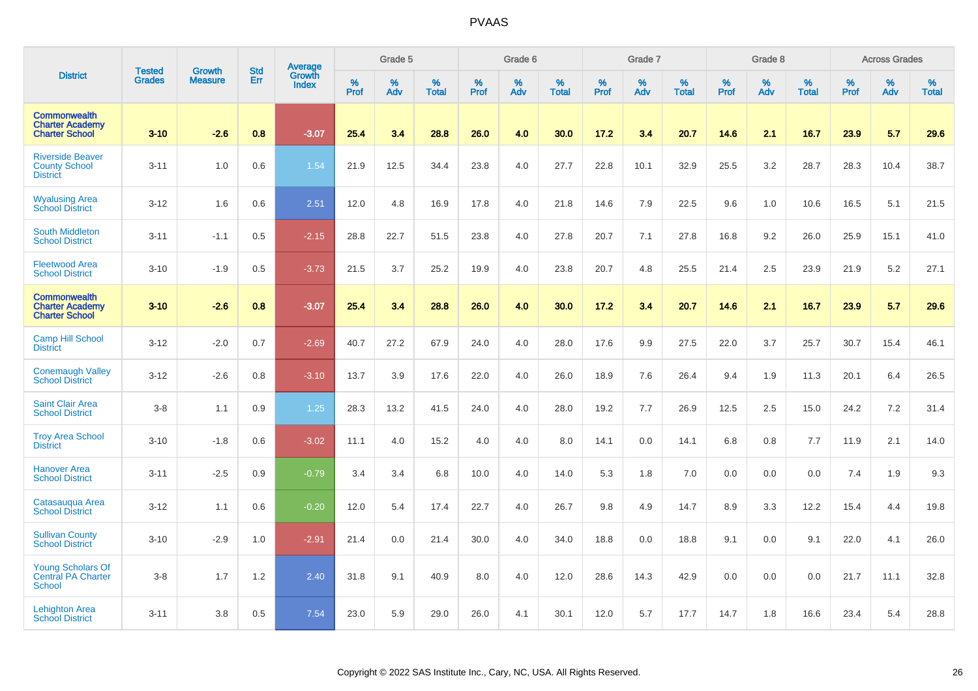|                                                                        |                                |                                 | <b>Std</b> | Average                |              | Grade 5  |                   |           | Grade 6  |                   |           | Grade 7  |                   |           | Grade 8  |                   |           | <b>Across Grades</b> |                   |
|------------------------------------------------------------------------|--------------------------------|---------------------------------|------------|------------------------|--------------|----------|-------------------|-----------|----------|-------------------|-----------|----------|-------------------|-----------|----------|-------------------|-----------|----------------------|-------------------|
| <b>District</b>                                                        | <b>Tested</b><br><b>Grades</b> | <b>Growth</b><br><b>Measure</b> | Err        | Growth<br><b>Index</b> | $\%$<br>Prof | %<br>Adv | %<br><b>Total</b> | %<br>Prof | %<br>Adv | %<br><b>Total</b> | %<br>Prof | %<br>Adv | %<br><b>Total</b> | %<br>Prof | %<br>Adv | %<br><b>Total</b> | %<br>Prof | %<br>Adv             | %<br><b>Total</b> |
| <b>Commonwealth</b><br><b>Charter Academy</b><br><b>Charter School</b> | $3 - 10$                       | $-2.6$                          | 0.8        | $-3.07$                | 25.4         | 3.4      | 28.8              | 26.0      | 4.0      | 30.0              | 17.2      | 3.4      | 20.7              | 14.6      | 2.1      | 16.7              | 23.9      | 5.7                  | 29.6              |
| <b>Riverside Beaver</b><br><b>County School</b><br><b>District</b>     | $3 - 11$                       | 1.0                             | 0.6        | 1.54                   | 21.9         | 12.5     | 34.4              | 23.8      | 4.0      | 27.7              | 22.8      | 10.1     | 32.9              | 25.5      | 3.2      | 28.7              | 28.3      | 10.4                 | 38.7              |
| <b>Wyalusing Area</b><br><b>School District</b>                        | $3 - 12$                       | 1.6                             | 0.6        | 2.51                   | 12.0         | 4.8      | 16.9              | 17.8      | 4.0      | 21.8              | 14.6      | 7.9      | 22.5              | 9.6       | 1.0      | 10.6              | 16.5      | 5.1                  | 21.5              |
| <b>South Middleton</b><br><b>School District</b>                       | $3 - 11$                       | $-1.1$                          | 0.5        | $-2.15$                | 28.8         | 22.7     | 51.5              | 23.8      | 4.0      | 27.8              | 20.7      | 7.1      | 27.8              | 16.8      | 9.2      | 26.0              | 25.9      | 15.1                 | 41.0              |
| <b>Fleetwood Area</b><br><b>School District</b>                        | $3 - 10$                       | $-1.9$                          | 0.5        | $-3.73$                | 21.5         | 3.7      | 25.2              | 19.9      | 4.0      | 23.8              | 20.7      | 4.8      | 25.5              | 21.4      | 2.5      | 23.9              | 21.9      | 5.2                  | 27.1              |
| <b>Commonwealth</b><br><b>Charter Academy</b><br><b>Charter School</b> | $3 - 10$                       | $-2.6$                          | 0.8        | $-3.07$                | 25.4         | 3.4      | 28.8              | 26.0      | 4.0      | 30.0              | 17.2      | 3.4      | 20.7              | 14.6      | 2.1      | 16.7              | 23.9      | 5.7                  | 29.6              |
| <b>Camp Hill School</b><br><b>District</b>                             | $3 - 12$                       | $-2.0$                          | 0.7        | $-2.69$                | 40.7         | 27.2     | 67.9              | 24.0      | 4.0      | 28.0              | 17.6      | 9.9      | 27.5              | 22.0      | 3.7      | 25.7              | 30.7      | 15.4                 | 46.1              |
| <b>Conemaugh Valley</b><br><b>School District</b>                      | $3 - 12$                       | $-2.6$                          | 0.8        | $-3.10$                | 13.7         | 3.9      | 17.6              | 22.0      | 4.0      | 26.0              | 18.9      | 7.6      | 26.4              | 9.4       | 1.9      | 11.3              | 20.1      | 6.4                  | 26.5              |
| <b>Saint Clair Area</b><br><b>School District</b>                      | $3 - 8$                        | 1.1                             | 0.9        | 1.25                   | 28.3         | 13.2     | 41.5              | 24.0      | 4.0      | 28.0              | 19.2      | 7.7      | 26.9              | 12.5      | 2.5      | 15.0              | 24.2      | 7.2                  | 31.4              |
| <b>Troy Area School</b><br><b>District</b>                             | $3 - 10$                       | $-1.8$                          | 0.6        | $-3.02$                | 11.1         | 4.0      | 15.2              | 4.0       | 4.0      | 8.0               | 14.1      | 0.0      | 14.1              | 6.8       | 0.8      | 7.7               | 11.9      | 2.1                  | 14.0              |
| <b>Hanover Area</b><br><b>School District</b>                          | $3 - 11$                       | $-2.5$                          | 0.9        | $-0.79$                | 3.4          | 3.4      | 6.8               | 10.0      | 4.0      | 14.0              | 5.3       | 1.8      | 7.0               | 0.0       | 0.0      | 0.0               | 7.4       | 1.9                  | 9.3               |
| Catasauqua Area<br><b>School District</b>                              | $3 - 12$                       | 1.1                             | 0.6        | $-0.20$                | 12.0         | 5.4      | 17.4              | 22.7      | 4.0      | 26.7              | 9.8       | 4.9      | 14.7              | 8.9       | 3.3      | 12.2              | 15.4      | 4.4                  | 19.8              |
| <b>Sullivan County</b><br><b>School District</b>                       | $3 - 10$                       | $-2.9$                          | 1.0        | $-2.91$                | 21.4         | 0.0      | 21.4              | 30.0      | 4.0      | 34.0              | 18.8      | 0.0      | 18.8              | 9.1       | 0.0      | 9.1               | 22.0      | 4.1                  | 26.0              |
| <b>Young Scholars Of</b><br><b>Central PA Charter</b><br>School        | $3-8$                          | 1.7                             | 1.2        | 2.40                   | 31.8         | 9.1      | 40.9              | 8.0       | 4.0      | 12.0              | 28.6      | 14.3     | 42.9              | 0.0       | 0.0      | 0.0               | 21.7      | 11.1                 | 32.8              |
| <b>Lehighton Area</b><br><b>School District</b>                        | $3 - 11$                       | 3.8                             | 0.5        | 7.54                   | 23.0         | 5.9      | 29.0              | 26.0      | 4.1      | 30.1              | 12.0      | 5.7      | 17.7              | 14.7      | 1.8      | 16.6              | 23.4      | 5.4                  | 28.8              |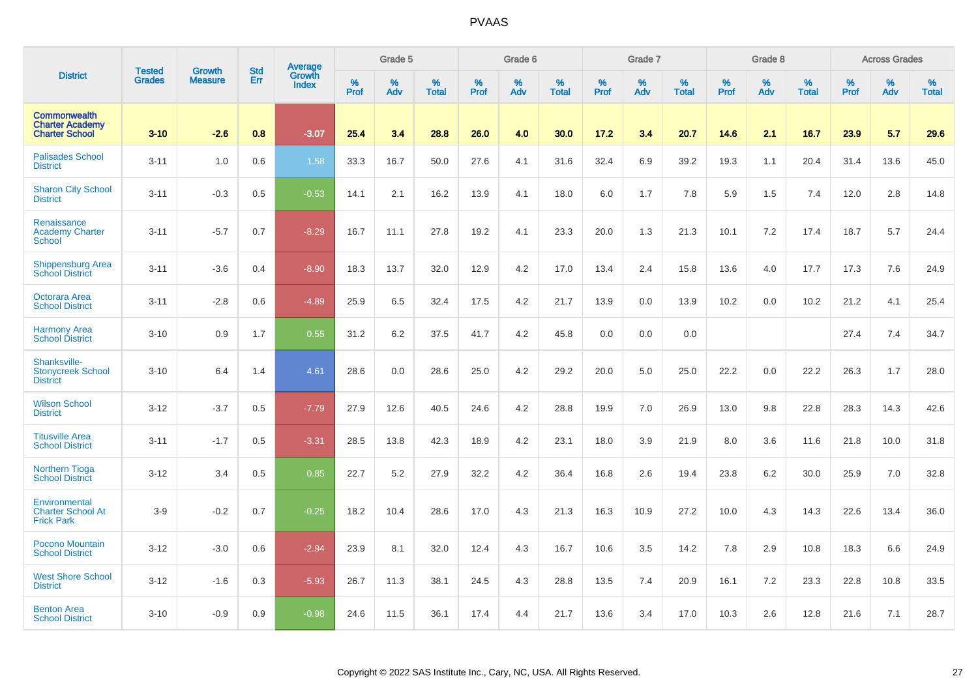|                                                                        |                                | <b>Growth</b>  | <b>Std</b> | Average                |              | Grade 5  |                   |           | Grade 6  |                   |           | Grade 7  |                   |           | Grade 8  |                   |           | <b>Across Grades</b> |                   |
|------------------------------------------------------------------------|--------------------------------|----------------|------------|------------------------|--------------|----------|-------------------|-----------|----------|-------------------|-----------|----------|-------------------|-----------|----------|-------------------|-----------|----------------------|-------------------|
| <b>District</b>                                                        | <b>Tested</b><br><b>Grades</b> | <b>Measure</b> | Err        | Growth<br><b>Index</b> | $\%$<br>Prof | %<br>Adv | %<br><b>Total</b> | %<br>Prof | %<br>Adv | %<br><b>Total</b> | %<br>Prof | %<br>Adv | %<br><b>Total</b> | %<br>Prof | %<br>Adv | %<br><b>Total</b> | %<br>Prof | %<br>Adv             | %<br><b>Total</b> |
| <b>Commonwealth</b><br><b>Charter Academy</b><br><b>Charter School</b> | $3 - 10$                       | $-2.6$         | 0.8        | $-3.07$                | 25.4         | 3.4      | 28.8              | 26.0      | 4.0      | 30.0              | 17.2      | 3.4      | 20.7              | 14.6      | 2.1      | 16.7              | 23.9      | 5.7                  | 29.6              |
| <b>Palisades School</b><br><b>District</b>                             | $3 - 11$                       | 1.0            | 0.6        | 1.58                   | 33.3         | 16.7     | 50.0              | 27.6      | 4.1      | 31.6              | 32.4      | 6.9      | 39.2              | 19.3      | 1.1      | 20.4              | 31.4      | 13.6                 | 45.0              |
| <b>Sharon City School</b><br><b>District</b>                           | $3 - 11$                       | $-0.3$         | 0.5        | $-0.53$                | 14.1         | 2.1      | 16.2              | 13.9      | 4.1      | 18.0              | 6.0       | 1.7      | 7.8               | 5.9       | 1.5      | 7.4               | 12.0      | 2.8                  | 14.8              |
| Renaissance<br><b>Academy Charter</b><br><b>School</b>                 | $3 - 11$                       | $-5.7$         | 0.7        | $-8.29$                | 16.7         | 11.1     | 27.8              | 19.2      | 4.1      | 23.3              | 20.0      | 1.3      | 21.3              | 10.1      | 7.2      | 17.4              | 18.7      | 5.7                  | 24.4              |
| <b>Shippensburg Area</b><br><b>School District</b>                     | $3 - 11$                       | $-3.6$         | 0.4        | $-8.90$                | 18.3         | 13.7     | 32.0              | 12.9      | 4.2      | 17.0              | 13.4      | 2.4      | 15.8              | 13.6      | 4.0      | 17.7              | 17.3      | 7.6                  | 24.9              |
| <b>Octorara Area</b><br><b>School District</b>                         | $3 - 11$                       | $-2.8$         | 0.6        | $-4.89$                | 25.9         | 6.5      | 32.4              | 17.5      | 4.2      | 21.7              | 13.9      | 0.0      | 13.9              | 10.2      | 0.0      | 10.2              | 21.2      | 4.1                  | 25.4              |
| <b>Harmony Area</b><br><b>School District</b>                          | $3 - 10$                       | 0.9            | 1.7        | 0.55                   | 31.2         | 6.2      | 37.5              | 41.7      | 4.2      | 45.8              | 0.0       | 0.0      | 0.0               |           |          |                   | 27.4      | 7.4                  | 34.7              |
| Shanksville-<br><b>Stonycreek School</b><br><b>District</b>            | $3 - 10$                       | 6.4            | 1.4        | 4.61                   | 28.6         | 0.0      | 28.6              | 25.0      | 4.2      | 29.2              | 20.0      | 5.0      | 25.0              | 22.2      | 0.0      | 22.2              | 26.3      | 1.7                  | 28.0              |
| <b>Wilson School</b><br><b>District</b>                                | $3 - 12$                       | $-3.7$         | 0.5        | $-7.79$                | 27.9         | 12.6     | 40.5              | 24.6      | 4.2      | 28.8              | 19.9      | 7.0      | 26.9              | 13.0      | 9.8      | 22.8              | 28.3      | 14.3                 | 42.6              |
| <b>Titusville Area</b><br><b>School District</b>                       | $3 - 11$                       | $-1.7$         | 0.5        | $-3.31$                | 28.5         | 13.8     | 42.3              | 18.9      | 4.2      | 23.1              | 18.0      | 3.9      | 21.9              | 8.0       | 3.6      | 11.6              | 21.8      | 10.0                 | 31.8              |
| <b>Northern Tioga</b><br><b>School District</b>                        | $3 - 12$                       | 3.4            | 0.5        | 0.85                   | 22.7         | 5.2      | 27.9              | 32.2      | 4.2      | 36.4              | 16.8      | 2.6      | 19.4              | 23.8      | 6.2      | 30.0              | 25.9      | 7.0                  | 32.8              |
| Environmental<br><b>Charter School At</b><br><b>Frick Park</b>         | $3-9$                          | $-0.2$         | 0.7        | $-0.25$                | 18.2         | 10.4     | 28.6              | 17.0      | 4.3      | 21.3              | 16.3      | 10.9     | 27.2              | 10.0      | 4.3      | 14.3              | 22.6      | 13.4                 | 36.0              |
| Pocono Mountain<br><b>School District</b>                              | $3 - 12$                       | $-3.0$         | 0.6        | $-2.94$                | 23.9         | 8.1      | 32.0              | 12.4      | 4.3      | 16.7              | 10.6      | 3.5      | 14.2              | 7.8       | 2.9      | 10.8              | 18.3      | 6.6                  | 24.9              |
| <b>West Shore School</b><br><b>District</b>                            | $3 - 12$                       | $-1.6$         | 0.3        | $-5.93$                | 26.7         | 11.3     | 38.1              | 24.5      | 4.3      | 28.8              | 13.5      | 7.4      | 20.9              | 16.1      | 7.2      | 23.3              | 22.8      | 10.8                 | 33.5              |
| <b>Benton Area</b><br><b>School District</b>                           | $3 - 10$                       | $-0.9$         | 0.9        | $-0.98$                | 24.6         | 11.5     | 36.1              | 17.4      | 4.4      | 21.7              | 13.6      | 3.4      | 17.0              | 10.3      | 2.6      | 12.8              | 21.6      | 7.1                  | 28.7              |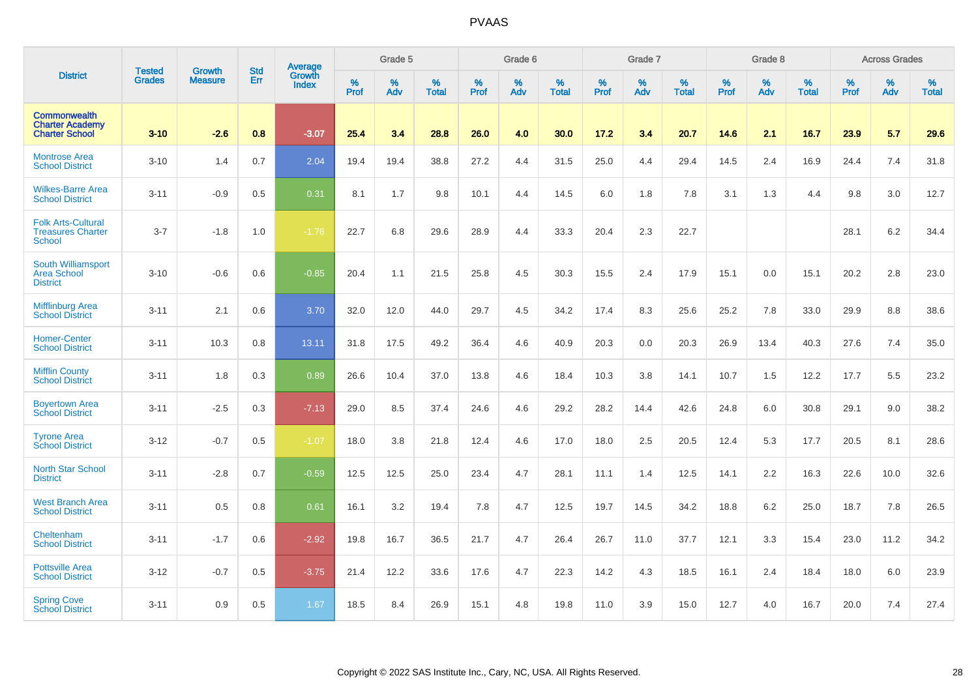|                                                                        | <b>Tested</b> | <b>Growth</b>  | <b>Std</b> | Average                       |           | Grade 5  |                   |           | Grade 6  |                   |           | Grade 7  |                   |           | Grade 8  |                   |           | <b>Across Grades</b> |                   |
|------------------------------------------------------------------------|---------------|----------------|------------|-------------------------------|-----------|----------|-------------------|-----------|----------|-------------------|-----------|----------|-------------------|-----------|----------|-------------------|-----------|----------------------|-------------------|
| <b>District</b>                                                        | <b>Grades</b> | <b>Measure</b> | Err        | <b>Growth</b><br><b>Index</b> | %<br>Prof | %<br>Adv | %<br><b>Total</b> | %<br>Prof | %<br>Adv | %<br><b>Total</b> | %<br>Prof | %<br>Adv | %<br><b>Total</b> | %<br>Prof | %<br>Adv | %<br><b>Total</b> | %<br>Prof | %<br>Adv             | %<br><b>Total</b> |
| <b>Commonwealth</b><br><b>Charter Academy</b><br><b>Charter School</b> | $3 - 10$      | $-2.6$         | 0.8        | $-3.07$                       | 25.4      | 3.4      | 28.8              | 26.0      | 4.0      | 30.0              | 17.2      | 3.4      | 20.7              | 14.6      | 2.1      | 16.7              | 23.9      | 5.7                  | 29.6              |
| <b>Montrose Area</b><br><b>School District</b>                         | $3 - 10$      | 1.4            | 0.7        | 2.04                          | 19.4      | 19.4     | 38.8              | 27.2      | 4.4      | 31.5              | 25.0      | 4.4      | 29.4              | 14.5      | 2.4      | 16.9              | 24.4      | 7.4                  | 31.8              |
| <b>Wilkes-Barre Area</b><br><b>School District</b>                     | $3 - 11$      | $-0.9$         | 0.5        | 0.31                          | 8.1       | 1.7      | 9.8               | 10.1      | 4.4      | 14.5              | 6.0       | 1.8      | 7.8               | 3.1       | 1.3      | 4.4               | 9.8       | 3.0                  | 12.7              |
| <b>Folk Arts-Cultural</b><br><b>Treasures Charter</b><br><b>School</b> | $3 - 7$       | $-1.8$         | 1.0        | $-1.76$                       | 22.7      | 6.8      | 29.6              | 28.9      | 4.4      | 33.3              | 20.4      | 2.3      | 22.7              |           |          |                   | 28.1      | $6.2\,$              | 34.4              |
| South Williamsport<br><b>Area School</b><br><b>District</b>            | $3 - 10$      | $-0.6$         | 0.6        | $-0.85$                       | 20.4      | 1.1      | 21.5              | 25.8      | 4.5      | 30.3              | 15.5      | 2.4      | 17.9              | 15.1      | 0.0      | 15.1              | 20.2      | 2.8                  | 23.0              |
| <b>Mifflinburg Area</b><br><b>School District</b>                      | $3 - 11$      | 2.1            | 0.6        | 3.70                          | 32.0      | 12.0     | 44.0              | 29.7      | 4.5      | 34.2              | 17.4      | 8.3      | 25.6              | 25.2      | 7.8      | 33.0              | 29.9      | 8.8                  | 38.6              |
| <b>Homer-Center</b><br><b>School District</b>                          | $3 - 11$      | 10.3           | 0.8        | 13.11                         | 31.8      | 17.5     | 49.2              | 36.4      | 4.6      | 40.9              | 20.3      | 0.0      | 20.3              | 26.9      | 13.4     | 40.3              | 27.6      | 7.4                  | 35.0              |
| <b>Mifflin County</b><br><b>School District</b>                        | $3 - 11$      | 1.8            | 0.3        | 0.89                          | 26.6      | 10.4     | 37.0              | 13.8      | 4.6      | 18.4              | 10.3      | 3.8      | 14.1              | 10.7      | 1.5      | 12.2              | 17.7      | 5.5                  | 23.2              |
| <b>Boyertown Area</b><br><b>School District</b>                        | $3 - 11$      | $-2.5$         | 0.3        | $-7.13$                       | 29.0      | 8.5      | 37.4              | 24.6      | 4.6      | 29.2              | 28.2      | 14.4     | 42.6              | 24.8      | 6.0      | 30.8              | 29.1      | 9.0                  | 38.2              |
| <b>Tyrone Area</b><br><b>School District</b>                           | $3 - 12$      | $-0.7$         | 0.5        | $-1.07$                       | 18.0      | 3.8      | 21.8              | 12.4      | 4.6      | 17.0              | 18.0      | 2.5      | 20.5              | 12.4      | 5.3      | 17.7              | 20.5      | 8.1                  | 28.6              |
| <b>North Star School</b><br><b>District</b>                            | $3 - 11$      | $-2.8$         | 0.7        | $-0.59$                       | 12.5      | 12.5     | 25.0              | 23.4      | 4.7      | 28.1              | 11.1      | 1.4      | 12.5              | 14.1      | 2.2      | 16.3              | 22.6      | 10.0                 | 32.6              |
| <b>West Branch Area</b><br><b>School District</b>                      | $3 - 11$      | 0.5            | 0.8        | 0.61                          | 16.1      | 3.2      | 19.4              | 7.8       | 4.7      | 12.5              | 19.7      | 14.5     | 34.2              | 18.8      | 6.2      | 25.0              | 18.7      | 7.8                  | 26.5              |
| Cheltenham<br><b>School District</b>                                   | $3 - 11$      | $-1.7$         | 0.6        | $-2.92$                       | 19.8      | 16.7     | 36.5              | 21.7      | 4.7      | 26.4              | 26.7      | 11.0     | 37.7              | 12.1      | 3.3      | 15.4              | 23.0      | 11.2                 | 34.2              |
| <b>Pottsville Area</b><br><b>School District</b>                       | $3 - 12$      | $-0.7$         | 0.5        | $-3.75$                       | 21.4      | 12.2     | 33.6              | 17.6      | 4.7      | 22.3              | 14.2      | 4.3      | 18.5              | 16.1      | 2.4      | 18.4              | 18.0      | 6.0                  | 23.9              |
| <b>Spring Cove</b><br><b>School District</b>                           | $3 - 11$      | 0.9            | 0.5        | 1.67                          | 18.5      | 8.4      | 26.9              | 15.1      | 4.8      | 19.8              | 11.0      | 3.9      | 15.0              | 12.7      | 4.0      | 16.7              | 20.0      | 7.4                  | 27.4              |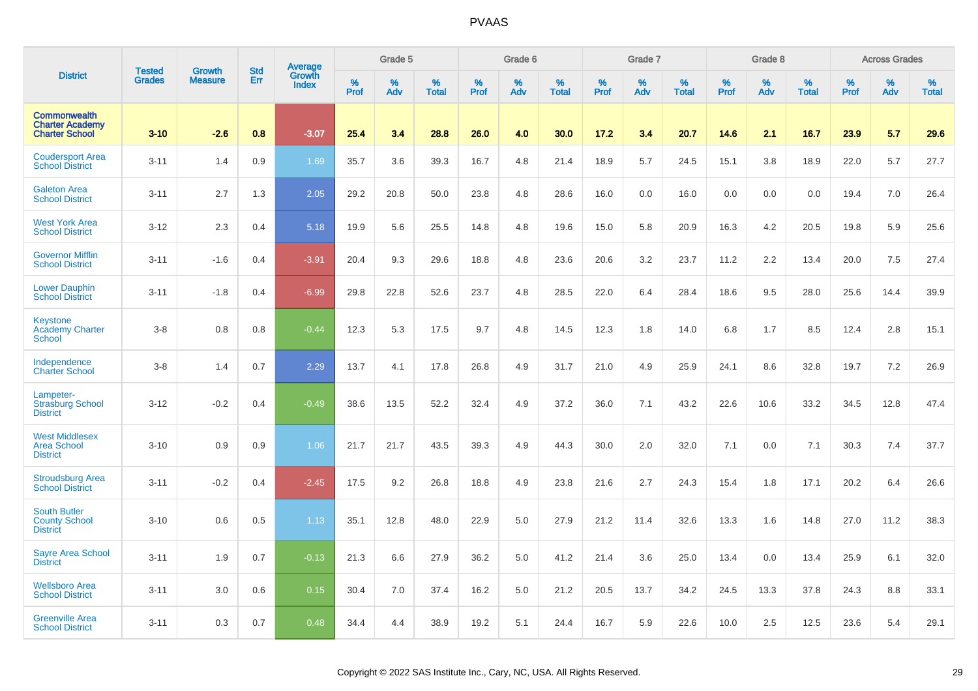|                                                                        | <b>Tested</b> | <b>Growth</b>  | <b>Std</b> |                                          |              | Grade 5  |                   |           | Grade 6  |                   |           | Grade 7  |                   |           | Grade 8  |                   |           | <b>Across Grades</b> |                   |
|------------------------------------------------------------------------|---------------|----------------|------------|------------------------------------------|--------------|----------|-------------------|-----------|----------|-------------------|-----------|----------|-------------------|-----------|----------|-------------------|-----------|----------------------|-------------------|
| <b>District</b>                                                        | <b>Grades</b> | <b>Measure</b> | Err        | <b>Average</b><br>Growth<br><b>Index</b> | $\%$<br>Prof | %<br>Adv | %<br><b>Total</b> | %<br>Prof | %<br>Adv | %<br><b>Total</b> | %<br>Prof | %<br>Adv | %<br><b>Total</b> | %<br>Prof | %<br>Adv | %<br><b>Total</b> | %<br>Prof | %<br>Adv             | %<br><b>Total</b> |
| <b>Commonwealth</b><br><b>Charter Academy</b><br><b>Charter School</b> | $3 - 10$      | $-2.6$         | 0.8        | $-3.07$                                  | 25.4         | 3.4      | 28.8              | 26.0      | 4.0      | 30.0              | 17.2      | 3.4      | 20.7              | 14.6      | 2.1      | 16.7              | 23.9      | 5.7                  | 29.6              |
| <b>Coudersport Area</b><br><b>School District</b>                      | $3 - 11$      | 1.4            | 0.9        | 1.69                                     | 35.7         | 3.6      | 39.3              | 16.7      | 4.8      | 21.4              | 18.9      | 5.7      | 24.5              | 15.1      | 3.8      | 18.9              | 22.0      | 5.7                  | 27.7              |
| <b>Galeton Area</b><br><b>School District</b>                          | $3 - 11$      | 2.7            | 1.3        | 2.05                                     | 29.2         | 20.8     | 50.0              | 23.8      | 4.8      | 28.6              | 16.0      | 0.0      | 16.0              | 0.0       | 0.0      | 0.0               | 19.4      | 7.0                  | 26.4              |
| <b>West York Area</b><br><b>School District</b>                        | $3 - 12$      | 2.3            | 0.4        | 5.18                                     | 19.9         | 5.6      | 25.5              | 14.8      | 4.8      | 19.6              | 15.0      | 5.8      | 20.9              | 16.3      | 4.2      | 20.5              | 19.8      | 5.9                  | 25.6              |
| <b>Governor Mifflin</b><br><b>School District</b>                      | $3 - 11$      | $-1.6$         | 0.4        | $-3.91$                                  | 20.4         | 9.3      | 29.6              | 18.8      | 4.8      | 23.6              | 20.6      | 3.2      | 23.7              | 11.2      | 2.2      | 13.4              | 20.0      | 7.5                  | 27.4              |
| <b>Lower Dauphin</b><br><b>School District</b>                         | $3 - 11$      | $-1.8$         | 0.4        | $-6.99$                                  | 29.8         | 22.8     | 52.6              | 23.7      | 4.8      | 28.5              | 22.0      | 6.4      | 28.4              | 18.6      | 9.5      | 28.0              | 25.6      | 14.4                 | 39.9              |
| Keystone<br><b>Academy Charter</b><br><b>School</b>                    | $3-8$         | 0.8            | 0.8        | $-0.44$                                  | 12.3         | 5.3      | 17.5              | 9.7       | 4.8      | 14.5              | 12.3      | 1.8      | 14.0              | 6.8       | 1.7      | 8.5               | 12.4      | 2.8                  | 15.1              |
| Independence<br><b>Charter School</b>                                  | $3-8$         | 1.4            | 0.7        | 2.29                                     | 13.7         | 4.1      | 17.8              | 26.8      | 4.9      | 31.7              | 21.0      | 4.9      | 25.9              | 24.1      | 8.6      | 32.8              | 19.7      | 7.2                  | 26.9              |
| Lampeter-<br><b>Strasburg School</b><br><b>District</b>                | $3 - 12$      | $-0.2$         | 0.4        | $-0.49$                                  | 38.6         | 13.5     | 52.2              | 32.4      | 4.9      | 37.2              | 36.0      | 7.1      | 43.2              | 22.6      | 10.6     | 33.2              | 34.5      | 12.8                 | 47.4              |
| <b>West Middlesex</b><br><b>Area School</b><br><b>District</b>         | $3 - 10$      | 0.9            | 0.9        | 1.06                                     | 21.7         | 21.7     | 43.5              | 39.3      | 4.9      | 44.3              | 30.0      | 2.0      | 32.0              | 7.1       | 0.0      | 7.1               | 30.3      | 7.4                  | 37.7              |
| <b>Stroudsburg Area</b><br><b>School District</b>                      | $3 - 11$      | $-0.2$         | 0.4        | $-2.45$                                  | 17.5         | 9.2      | 26.8              | 18.8      | 4.9      | 23.8              | 21.6      | 2.7      | 24.3              | 15.4      | 1.8      | 17.1              | 20.2      | 6.4                  | 26.6              |
| <b>South Butler</b><br><b>County School</b><br><b>District</b>         | $3 - 10$      | 0.6            | 0.5        | 1.13                                     | 35.1         | 12.8     | 48.0              | 22.9      | 5.0      | 27.9              | 21.2      | 11.4     | 32.6              | 13.3      | 1.6      | 14.8              | 27.0      | 11.2                 | 38.3              |
| Sayre Area School<br><b>District</b>                                   | $3 - 11$      | 1.9            | 0.7        | $-0.13$                                  | 21.3         | 6.6      | 27.9              | 36.2      | 5.0      | 41.2              | 21.4      | 3.6      | 25.0              | 13.4      | 0.0      | 13.4              | 25.9      | 6.1                  | 32.0              |
| <b>Wellsboro Area</b><br><b>School District</b>                        | $3 - 11$      | 3.0            | 0.6        | 0.15                                     | 30.4         | 7.0      | 37.4              | 16.2      | 5.0      | 21.2              | 20.5      | 13.7     | 34.2              | 24.5      | 13.3     | 37.8              | 24.3      | 8.8                  | 33.1              |
| <b>Greenville Area</b><br><b>School District</b>                       | $3 - 11$      | 0.3            | 0.7        | 0.48                                     | 34.4         | 4.4      | 38.9              | 19.2      | 5.1      | 24.4              | 16.7      | 5.9      | 22.6              | 10.0      | 2.5      | 12.5              | 23.6      | 5.4                  | 29.1              |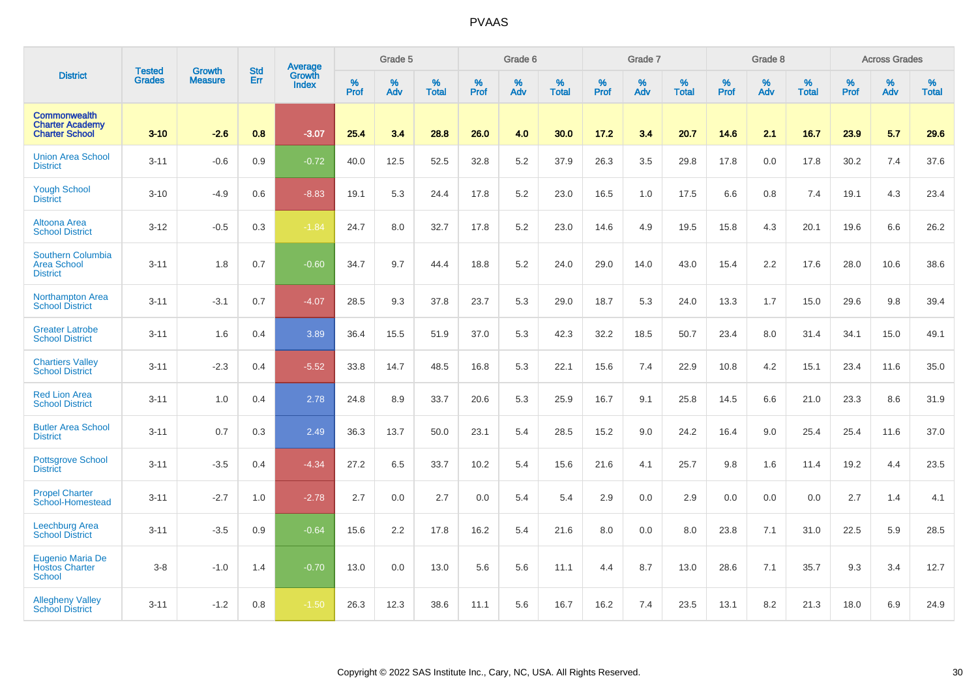|                                                                        |                                |                                 | <b>Std</b> | Average                       |           | Grade 5  |                   |           | Grade 6  |                   |           | Grade 7  |                   |           | Grade 8  |                   |           | <b>Across Grades</b> |                   |
|------------------------------------------------------------------------|--------------------------------|---------------------------------|------------|-------------------------------|-----------|----------|-------------------|-----------|----------|-------------------|-----------|----------|-------------------|-----------|----------|-------------------|-----------|----------------------|-------------------|
| <b>District</b>                                                        | <b>Tested</b><br><b>Grades</b> | <b>Growth</b><br><b>Measure</b> | Err        | <b>Growth</b><br><b>Index</b> | %<br>Prof | %<br>Adv | %<br><b>Total</b> | %<br>Prof | %<br>Adv | %<br><b>Total</b> | %<br>Prof | %<br>Adv | %<br><b>Total</b> | %<br>Prof | %<br>Adv | %<br><b>Total</b> | %<br>Prof | %<br>Adv             | %<br><b>Total</b> |
| <b>Commonwealth</b><br><b>Charter Academy</b><br><b>Charter School</b> | $3 - 10$                       | $-2.6$                          | 0.8        | $-3.07$                       | 25.4      | 3.4      | 28.8              | 26.0      | 4.0      | 30.0              | 17.2      | 3.4      | 20.7              | 14.6      | 2.1      | 16.7              | 23.9      | 5.7                  | 29.6              |
| <b>Union Area School</b><br><b>District</b>                            | $3 - 11$                       | $-0.6$                          | 0.9        | $-0.72$                       | 40.0      | 12.5     | 52.5              | 32.8      | 5.2      | 37.9              | 26.3      | 3.5      | 29.8              | 17.8      | 0.0      | 17.8              | 30.2      | 7.4                  | 37.6              |
| <b>Yough School</b><br><b>District</b>                                 | $3 - 10$                       | $-4.9$                          | 0.6        | $-8.83$                       | 19.1      | 5.3      | 24.4              | 17.8      | 5.2      | 23.0              | 16.5      | 1.0      | 17.5              | 6.6       | 0.8      | 7.4               | 19.1      | 4.3                  | 23.4              |
| <b>Altoona Area</b><br><b>School District</b>                          | $3 - 12$                       | $-0.5$                          | 0.3        | $-1.84$                       | 24.7      | 8.0      | 32.7              | 17.8      | 5.2      | 23.0              | 14.6      | 4.9      | 19.5              | 15.8      | 4.3      | 20.1              | 19.6      | 6.6                  | 26.2              |
| Southern Columbia<br><b>Area School</b><br><b>District</b>             | $3 - 11$                       | 1.8                             | 0.7        | $-0.60$                       | 34.7      | 9.7      | 44.4              | 18.8      | $5.2\,$  | 24.0              | 29.0      | 14.0     | 43.0              | 15.4      | 2.2      | 17.6              | 28.0      | 10.6                 | 38.6              |
| Northampton Area<br><b>School District</b>                             | $3 - 11$                       | $-3.1$                          | 0.7        | $-4.07$                       | 28.5      | 9.3      | 37.8              | 23.7      | 5.3      | 29.0              | 18.7      | 5.3      | 24.0              | 13.3      | 1.7      | 15.0              | 29.6      | 9.8                  | 39.4              |
| <b>Greater Latrobe</b><br><b>School District</b>                       | $3 - 11$                       | 1.6                             | 0.4        | 3.89                          | 36.4      | 15.5     | 51.9              | 37.0      | 5.3      | 42.3              | 32.2      | 18.5     | 50.7              | 23.4      | 8.0      | 31.4              | 34.1      | 15.0                 | 49.1              |
| <b>Chartiers Valley</b><br><b>School District</b>                      | $3 - 11$                       | $-2.3$                          | 0.4        | $-5.52$                       | 33.8      | 14.7     | 48.5              | 16.8      | 5.3      | 22.1              | 15.6      | 7.4      | 22.9              | 10.8      | 4.2      | 15.1              | 23.4      | 11.6                 | 35.0              |
| <b>Red Lion Area</b><br><b>School District</b>                         | $3 - 11$                       | 1.0                             | 0.4        | 2.78                          | 24.8      | 8.9      | 33.7              | 20.6      | 5.3      | 25.9              | 16.7      | 9.1      | 25.8              | 14.5      | 6.6      | 21.0              | 23.3      | 8.6                  | 31.9              |
| <b>Butler Area School</b><br><b>District</b>                           | $3 - 11$                       | 0.7                             | 0.3        | 2.49                          | 36.3      | 13.7     | 50.0              | 23.1      | 5.4      | 28.5              | 15.2      | 9.0      | 24.2              | 16.4      | 9.0      | 25.4              | 25.4      | 11.6                 | 37.0              |
| <b>Pottsgrove School</b><br><b>District</b>                            | $3 - 11$                       | $-3.5$                          | 0.4        | $-4.34$                       | 27.2      | 6.5      | 33.7              | 10.2      | 5.4      | 15.6              | 21.6      | 4.1      | 25.7              | 9.8       | 1.6      | 11.4              | 19.2      | 4.4                  | 23.5              |
| <b>Propel Charter</b><br>School-Homestead                              | $3 - 11$                       | $-2.7$                          | 1.0        | $-2.78$                       | 2.7       | 0.0      | 2.7               | 0.0       | 5.4      | 5.4               | 2.9       | 0.0      | 2.9               | 0.0       | 0.0      | 0.0               | 2.7       | 1.4                  | 4.1               |
| Leechburg Area<br><b>School District</b>                               | $3 - 11$                       | $-3.5$                          | 0.9        | $-0.64$                       | 15.6      | 2.2      | 17.8              | 16.2      | 5.4      | 21.6              | 8.0       | 0.0      | 8.0               | 23.8      | 7.1      | 31.0              | 22.5      | 5.9                  | 28.5              |
| Eugenio Maria De<br><b>Hostos Charter</b><br><b>School</b>             | $3-8$                          | $-1.0$                          | 1.4        | $-0.70$                       | 13.0      | 0.0      | 13.0              | 5.6       | 5.6      | 11.1              | 4.4       | 8.7      | 13.0              | 28.6      | 7.1      | 35.7              | 9.3       | 3.4                  | 12.7              |
| <b>Allegheny Valley</b><br><b>School District</b>                      | $3 - 11$                       | $-1.2$                          | 0.8        | $-1.50$                       | 26.3      | 12.3     | 38.6              | 11.1      | 5.6      | 16.7              | 16.2      | 7.4      | 23.5              | 13.1      | 8.2      | 21.3              | 18.0      | 6.9                  | 24.9              |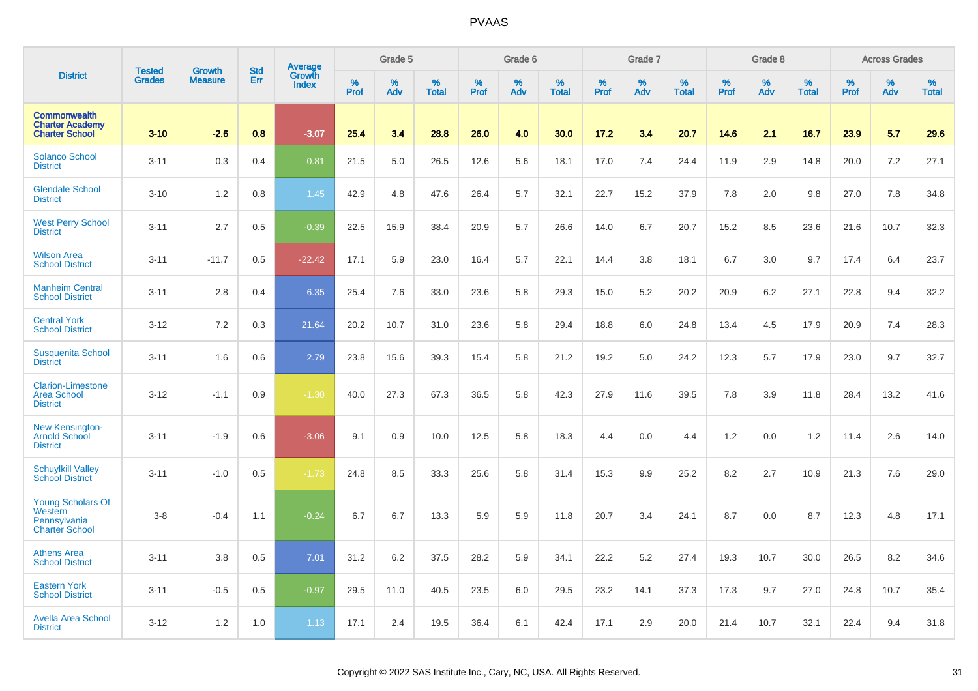|                                                                              | <b>Tested</b> | <b>Growth</b>  | <b>Std</b> | <b>Average</b><br>Growth |                  | Grade 5  |                   |           | Grade 6  |                   |           | Grade 7  |                   |                  | Grade 8  |                   |                  | <b>Across Grades</b> |                   |
|------------------------------------------------------------------------------|---------------|----------------|------------|--------------------------|------------------|----------|-------------------|-----------|----------|-------------------|-----------|----------|-------------------|------------------|----------|-------------------|------------------|----------------------|-------------------|
| <b>District</b>                                                              | <b>Grades</b> | <b>Measure</b> | Err        | <b>Index</b>             | %<br><b>Prof</b> | %<br>Adv | %<br><b>Total</b> | %<br>Prof | %<br>Adv | %<br><b>Total</b> | %<br>Prof | %<br>Adv | %<br><b>Total</b> | %<br><b>Prof</b> | %<br>Adv | %<br><b>Total</b> | %<br><b>Prof</b> | %<br>Adv             | %<br><b>Total</b> |
| <b>Commonwealth</b><br><b>Charter Academy</b><br><b>Charter School</b>       | $3 - 10$      | $-2.6$         | 0.8        | $-3.07$                  | 25.4             | 3.4      | 28.8              | 26.0      | 4.0      | 30.0              | 17.2      | 3.4      | 20.7              | 14.6             | 2.1      | 16.7              | 23.9             | 5.7                  | 29.6              |
| <b>Solanco School</b><br><b>District</b>                                     | $3 - 11$      | 0.3            | 0.4        | 0.81                     | 21.5             | 5.0      | 26.5              | 12.6      | 5.6      | 18.1              | 17.0      | 7.4      | 24.4              | 11.9             | 2.9      | 14.8              | 20.0             | 7.2                  | 27.1              |
| <b>Glendale School</b><br><b>District</b>                                    | $3 - 10$      | 1.2            | 0.8        | 1.45                     | 42.9             | 4.8      | 47.6              | 26.4      | 5.7      | 32.1              | 22.7      | 15.2     | 37.9              | 7.8              | 2.0      | 9.8               | 27.0             | 7.8                  | 34.8              |
| <b>West Perry School</b><br><b>District</b>                                  | $3 - 11$      | 2.7            | 0.5        | $-0.39$                  | 22.5             | 15.9     | 38.4              | 20.9      | 5.7      | 26.6              | 14.0      | 6.7      | 20.7              | 15.2             | 8.5      | 23.6              | 21.6             | 10.7                 | 32.3              |
| <b>Wilson Area</b><br><b>School District</b>                                 | $3 - 11$      | $-11.7$        | 0.5        | $-22.42$                 | 17.1             | 5.9      | 23.0              | 16.4      | 5.7      | 22.1              | 14.4      | 3.8      | 18.1              | 6.7              | 3.0      | 9.7               | 17.4             | 6.4                  | 23.7              |
| <b>Manheim Central</b><br><b>School District</b>                             | $3 - 11$      | 2.8            | 0.4        | 6.35                     | 25.4             | 7.6      | 33.0              | 23.6      | 5.8      | 29.3              | 15.0      | 5.2      | 20.2              | 20.9             | 6.2      | 27.1              | 22.8             | 9.4                  | 32.2              |
| <b>Central York</b><br><b>School District</b>                                | $3 - 12$      | 7.2            | 0.3        | 21.64                    | 20.2             | 10.7     | 31.0              | 23.6      | 5.8      | 29.4              | 18.8      | 6.0      | 24.8              | 13.4             | 4.5      | 17.9              | 20.9             | 7.4                  | 28.3              |
| <b>Susquenita School</b><br><b>District</b>                                  | $3 - 11$      | 1.6            | 0.6        | 2.79                     | 23.8             | 15.6     | 39.3              | 15.4      | 5.8      | 21.2              | 19.2      | 5.0      | 24.2              | 12.3             | 5.7      | 17.9              | 23.0             | 9.7                  | 32.7              |
| <b>Clarion-Limestone</b><br><b>Area School</b><br><b>District</b>            | $3 - 12$      | $-1.1$         | 0.9        | $-1.30$                  | 40.0             | 27.3     | 67.3              | 36.5      | 5.8      | 42.3              | 27.9      | 11.6     | 39.5              | 7.8              | 3.9      | 11.8              | 28.4             | 13.2                 | 41.6              |
| <b>New Kensington-</b><br><b>Arnold School</b><br><b>District</b>            | $3 - 11$      | $-1.9$         | 0.6        | $-3.06$                  | 9.1              | 0.9      | 10.0              | 12.5      | 5.8      | 18.3              | 4.4       | 0.0      | 4.4               | 1.2              | 0.0      | 1.2               | 11.4             | 2.6                  | 14.0              |
| <b>Schuylkill Valley</b><br><b>School District</b>                           | $3 - 11$      | $-1.0$         | 0.5        | $-1.73$                  | 24.8             | 8.5      | 33.3              | 25.6      | 5.8      | 31.4              | 15.3      | 9.9      | 25.2              | 8.2              | 2.7      | 10.9              | 21.3             | 7.6                  | 29.0              |
| <b>Young Scholars Of</b><br>Western<br>Pennsylvania<br><b>Charter School</b> | $3-8$         | $-0.4$         | 1.1        | $-0.24$                  | 6.7              | 6.7      | 13.3              | 5.9       | 5.9      | 11.8              | 20.7      | 3.4      | 24.1              | 8.7              | 0.0      | 8.7               | 12.3             | 4.8                  | 17.1              |
| <b>Athens Area</b><br><b>School District</b>                                 | $3 - 11$      | 3.8            | 0.5        | 7.01                     | 31.2             | 6.2      | 37.5              | 28.2      | 5.9      | 34.1              | 22.2      | 5.2      | 27.4              | 19.3             | 10.7     | 30.0              | 26.5             | 8.2                  | 34.6              |
| <b>Eastern York</b><br><b>School District</b>                                | $3 - 11$      | $-0.5$         | 0.5        | $-0.97$                  | 29.5             | 11.0     | 40.5              | 23.5      | 6.0      | 29.5              | 23.2      | 14.1     | 37.3              | 17.3             | 9.7      | 27.0              | 24.8             | 10.7                 | 35.4              |
| <b>Avella Area School</b><br><b>District</b>                                 | $3 - 12$      | 1.2            | 1.0        | 1.13                     | 17.1             | 2.4      | 19.5              | 36.4      | 6.1      | 42.4              | 17.1      | 2.9      | 20.0              | 21.4             | 10.7     | 32.1              | 22.4             | 9.4                  | 31.8              |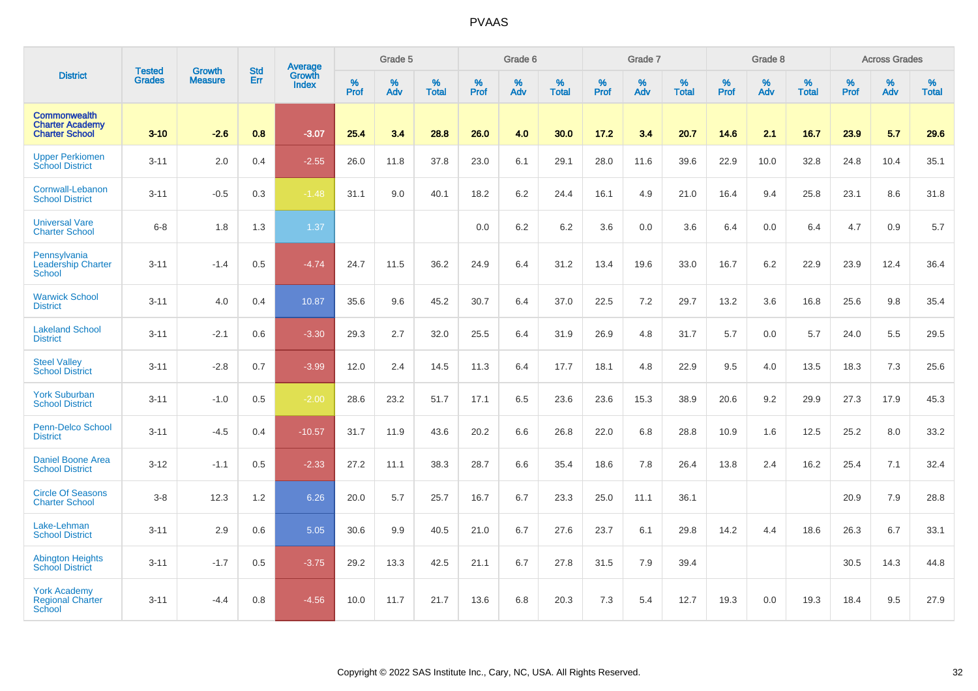|                                                                        |                                | <b>Growth</b>  | <b>Std</b> | Average                       |           | Grade 5  |                   |           | Grade 6  |                   |           | Grade 7  |                   |           | Grade 8  |                   |           | <b>Across Grades</b> |                   |
|------------------------------------------------------------------------|--------------------------------|----------------|------------|-------------------------------|-----------|----------|-------------------|-----------|----------|-------------------|-----------|----------|-------------------|-----------|----------|-------------------|-----------|----------------------|-------------------|
| <b>District</b>                                                        | <b>Tested</b><br><b>Grades</b> | <b>Measure</b> | Err        | <b>Growth</b><br><b>Index</b> | %<br>Prof | %<br>Adv | %<br><b>Total</b> | %<br>Prof | %<br>Adv | %<br><b>Total</b> | %<br>Prof | %<br>Adv | %<br><b>Total</b> | %<br>Prof | %<br>Adv | %<br><b>Total</b> | %<br>Prof | %<br>Adv             | %<br><b>Total</b> |
| <b>Commonwealth</b><br><b>Charter Academy</b><br><b>Charter School</b> | $3 - 10$                       | $-2.6$         | 0.8        | $-3.07$                       | 25.4      | 3.4      | 28.8              | 26.0      | 4.0      | 30.0              | 17.2      | 3.4      | 20.7              | 14.6      | 2.1      | 16.7              | 23.9      | 5.7                  | 29.6              |
| <b>Upper Perkiomen</b><br><b>School District</b>                       | $3 - 11$                       | 2.0            | 0.4        | $-2.55$                       | 26.0      | 11.8     | 37.8              | 23.0      | 6.1      | 29.1              | 28.0      | 11.6     | 39.6              | 22.9      | 10.0     | 32.8              | 24.8      | 10.4                 | 35.1              |
| Cornwall-Lebanon<br><b>School District</b>                             | $3 - 11$                       | $-0.5$         | 0.3        | $-1.48$                       | 31.1      | 9.0      | 40.1              | 18.2      | 6.2      | 24.4              | 16.1      | 4.9      | 21.0              | 16.4      | 9.4      | 25.8              | 23.1      | 8.6                  | 31.8              |
| <b>Universal Vare</b><br><b>Charter School</b>                         | $6 - 8$                        | 1.8            | 1.3        | 1.37                          |           |          |                   | 0.0       | $6.2\,$  | 6.2               | 3.6       | 0.0      | 3.6               | 6.4       | 0.0      | 6.4               | 4.7       | 0.9                  | 5.7               |
| Pennsylvania<br><b>Leadership Charter</b><br><b>School</b>             | $3 - 11$                       | $-1.4$         | 0.5        | $-4.74$                       | 24.7      | 11.5     | 36.2              | 24.9      | 6.4      | 31.2              | 13.4      | 19.6     | 33.0              | 16.7      | 6.2      | 22.9              | 23.9      | 12.4                 | 36.4              |
| <b>Warwick School</b><br><b>District</b>                               | $3 - 11$                       | 4.0            | 0.4        | 10.87                         | 35.6      | 9.6      | 45.2              | 30.7      | 6.4      | 37.0              | 22.5      | 7.2      | 29.7              | 13.2      | 3.6      | 16.8              | 25.6      | 9.8                  | 35.4              |
| <b>Lakeland School</b><br><b>District</b>                              | $3 - 11$                       | $-2.1$         | 0.6        | $-3.30$                       | 29.3      | 2.7      | 32.0              | 25.5      | 6.4      | 31.9              | 26.9      | 4.8      | 31.7              | 5.7       | 0.0      | 5.7               | 24.0      | 5.5                  | 29.5              |
| <b>Steel Valley</b><br><b>School District</b>                          | $3 - 11$                       | $-2.8$         | 0.7        | $-3.99$                       | 12.0      | 2.4      | 14.5              | 11.3      | 6.4      | 17.7              | 18.1      | 4.8      | 22.9              | 9.5       | 4.0      | 13.5              | 18.3      | 7.3                  | 25.6              |
| <b>York Suburban</b><br><b>School District</b>                         | $3 - 11$                       | $-1.0$         | 0.5        | $-2.00$                       | 28.6      | 23.2     | 51.7              | 17.1      | 6.5      | 23.6              | 23.6      | 15.3     | 38.9              | 20.6      | 9.2      | 29.9              | 27.3      | 17.9                 | 45.3              |
| Penn-Delco School<br><b>District</b>                                   | $3 - 11$                       | $-4.5$         | 0.4        | $-10.57$                      | 31.7      | 11.9     | 43.6              | 20.2      | 6.6      | 26.8              | 22.0      | 6.8      | 28.8              | 10.9      | 1.6      | 12.5              | 25.2      | 8.0                  | 33.2              |
| Daniel Boone Area<br><b>School District</b>                            | $3 - 12$                       | $-1.1$         | 0.5        | $-2.33$                       | 27.2      | 11.1     | 38.3              | 28.7      | 6.6      | 35.4              | 18.6      | 7.8      | 26.4              | 13.8      | 2.4      | 16.2              | 25.4      | 7.1                  | 32.4              |
| <b>Circle Of Seasons</b><br><b>Charter School</b>                      | $3-8$                          | 12.3           | 1.2        | 6.26                          | 20.0      | 5.7      | 25.7              | 16.7      | 6.7      | 23.3              | 25.0      | 11.1     | 36.1              |           |          |                   | 20.9      | 7.9                  | 28.8              |
| Lake-Lehman<br><b>School District</b>                                  | $3 - 11$                       | 2.9            | 0.6        | 5.05                          | 30.6      | 9.9      | 40.5              | 21.0      | 6.7      | 27.6              | 23.7      | 6.1      | 29.8              | 14.2      | 4.4      | 18.6              | 26.3      | 6.7                  | 33.1              |
| <b>Abington Heights</b><br><b>School District</b>                      | $3 - 11$                       | $-1.7$         | 0.5        | $-3.75$                       | 29.2      | 13.3     | 42.5              | 21.1      | 6.7      | 27.8              | 31.5      | 7.9      | 39.4              |           |          |                   | 30.5      | 14.3                 | 44.8              |
| <b>York Academy</b><br><b>Regional Charter</b><br><b>School</b>        | $3 - 11$                       | $-4.4$         | 0.8        | $-4.56$                       | 10.0      | 11.7     | 21.7              | 13.6      | 6.8      | 20.3              | 7.3       | 5.4      | 12.7              | 19.3      | 0.0      | 19.3              | 18.4      | 9.5                  | 27.9              |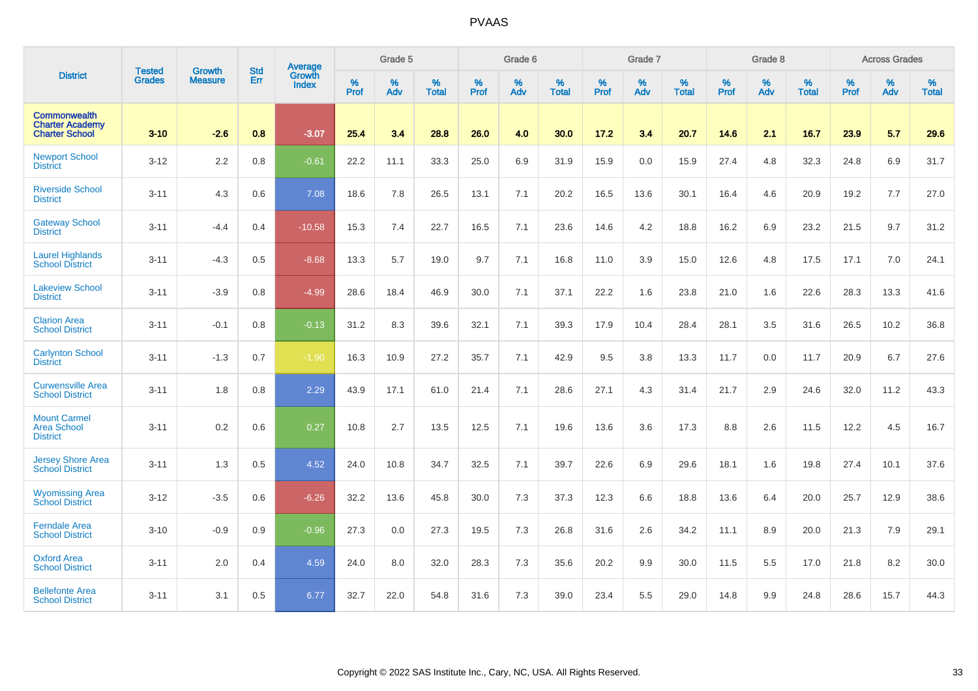|                                                                        | <b>Tested</b> | <b>Growth</b>  | <b>Std</b> | <b>Average</b>         |                  | Grade 5  |                   |           | Grade 6  |                   |           | Grade 7  |                   |           | Grade 8  |                   |                  | <b>Across Grades</b> |                   |
|------------------------------------------------------------------------|---------------|----------------|------------|------------------------|------------------|----------|-------------------|-----------|----------|-------------------|-----------|----------|-------------------|-----------|----------|-------------------|------------------|----------------------|-------------------|
| <b>District</b>                                                        | <b>Grades</b> | <b>Measure</b> | Err        | Growth<br><b>Index</b> | %<br><b>Prof</b> | %<br>Adv | %<br><b>Total</b> | %<br>Prof | %<br>Adv | %<br><b>Total</b> | %<br>Prof | %<br>Adv | %<br><b>Total</b> | %<br>Prof | %<br>Adv | %<br><b>Total</b> | %<br><b>Prof</b> | %<br>Adv             | %<br><b>Total</b> |
| <b>Commonwealth</b><br><b>Charter Academy</b><br><b>Charter School</b> | $3 - 10$      | $-2.6$         | 0.8        | $-3.07$                | 25.4             | 3.4      | 28.8              | 26.0      | 4.0      | 30.0              | 17.2      | 3.4      | 20.7              | 14.6      | 2.1      | 16.7              | 23.9             | 5.7                  | 29.6              |
| <b>Newport School</b><br><b>District</b>                               | $3 - 12$      | 2.2            | 0.8        | $-0.61$                | 22.2             | 11.1     | 33.3              | 25.0      | 6.9      | 31.9              | 15.9      | 0.0      | 15.9              | 27.4      | 4.8      | 32.3              | 24.8             | 6.9                  | 31.7              |
| <b>Riverside School</b><br><b>District</b>                             | $3 - 11$      | 4.3            | 0.6        | 7.08                   | 18.6             | 7.8      | 26.5              | 13.1      | 7.1      | 20.2              | 16.5      | 13.6     | 30.1              | 16.4      | 4.6      | 20.9              | 19.2             | 7.7                  | 27.0              |
| <b>Gateway School</b><br><b>District</b>                               | $3 - 11$      | $-4.4$         | 0.4        | $-10.58$               | 15.3             | 7.4      | 22.7              | 16.5      | 7.1      | 23.6              | 14.6      | 4.2      | 18.8              | 16.2      | 6.9      | 23.2              | 21.5             | 9.7                  | 31.2              |
| <b>Laurel Highlands</b><br><b>School District</b>                      | $3 - 11$      | $-4.3$         | 0.5        | $-8.68$                | 13.3             | 5.7      | 19.0              | 9.7       | 7.1      | 16.8              | 11.0      | 3.9      | 15.0              | 12.6      | 4.8      | 17.5              | 17.1             | 7.0                  | 24.1              |
| <b>Lakeview School</b><br><b>District</b>                              | $3 - 11$      | $-3.9$         | 0.8        | $-4.99$                | 28.6             | 18.4     | 46.9              | 30.0      | 7.1      | 37.1              | 22.2      | 1.6      | 23.8              | 21.0      | 1.6      | 22.6              | 28.3             | 13.3                 | 41.6              |
| <b>Clarion Area</b><br><b>School District</b>                          | $3 - 11$      | $-0.1$         | 0.8        | $-0.13$                | 31.2             | 8.3      | 39.6              | 32.1      | 7.1      | 39.3              | 17.9      | 10.4     | 28.4              | 28.1      | 3.5      | 31.6              | 26.5             | 10.2                 | 36.8              |
| <b>Carlynton School</b><br><b>District</b>                             | $3 - 11$      | $-1.3$         | 0.7        | $-1.90$                | 16.3             | 10.9     | 27.2              | 35.7      | 7.1      | 42.9              | 9.5       | 3.8      | 13.3              | 11.7      | 0.0      | 11.7              | 20.9             | 6.7                  | 27.6              |
| <b>Curwensville Area</b><br><b>School District</b>                     | $3 - 11$      | 1.8            | 0.8        | 2.29                   | 43.9             | 17.1     | 61.0              | 21.4      | 7.1      | 28.6              | 27.1      | 4.3      | 31.4              | 21.7      | 2.9      | 24.6              | 32.0             | 11.2                 | 43.3              |
| <b>Mount Carmel</b><br><b>Area School</b><br><b>District</b>           | $3 - 11$      | 0.2            | 0.6        | 0.27                   | 10.8             | 2.7      | 13.5              | 12.5      | 7.1      | 19.6              | 13.6      | 3.6      | 17.3              | 8.8       | 2.6      | 11.5              | 12.2             | 4.5                  | 16.7              |
| <b>Jersey Shore Area</b><br><b>School District</b>                     | $3 - 11$      | 1.3            | 0.5        | 4.52                   | 24.0             | 10.8     | 34.7              | 32.5      | 7.1      | 39.7              | 22.6      | 6.9      | 29.6              | 18.1      | 1.6      | 19.8              | 27.4             | 10.1                 | 37.6              |
| <b>Wyomissing Area</b><br><b>School District</b>                       | $3 - 12$      | $-3.5$         | 0.6        | $-6.26$                | 32.2             | 13.6     | 45.8              | 30.0      | 7.3      | 37.3              | 12.3      | 6.6      | 18.8              | 13.6      | 6.4      | 20.0              | 25.7             | 12.9                 | 38.6              |
| <b>Ferndale Area</b><br><b>School District</b>                         | $3 - 10$      | $-0.9$         | 0.9        | $-0.96$                | 27.3             | 0.0      | 27.3              | 19.5      | 7.3      | 26.8              | 31.6      | 2.6      | 34.2              | 11.1      | 8.9      | 20.0              | 21.3             | 7.9                  | 29.1              |
| <b>Oxford Area</b><br><b>School District</b>                           | $3 - 11$      | 2.0            | 0.4        | 4.59                   | 24.0             | 8.0      | 32.0              | 28.3      | 7.3      | 35.6              | 20.2      | 9.9      | 30.0              | 11.5      | 5.5      | 17.0              | 21.8             | 8.2                  | 30.0              |
| <b>Bellefonte Area</b><br><b>School District</b>                       | $3 - 11$      | 3.1            | 0.5        | 6.77                   | 32.7             | 22.0     | 54.8              | 31.6      | 7.3      | 39.0              | 23.4      | 5.5      | 29.0              | 14.8      | 9.9      | 24.8              | 28.6             | 15.7                 | 44.3              |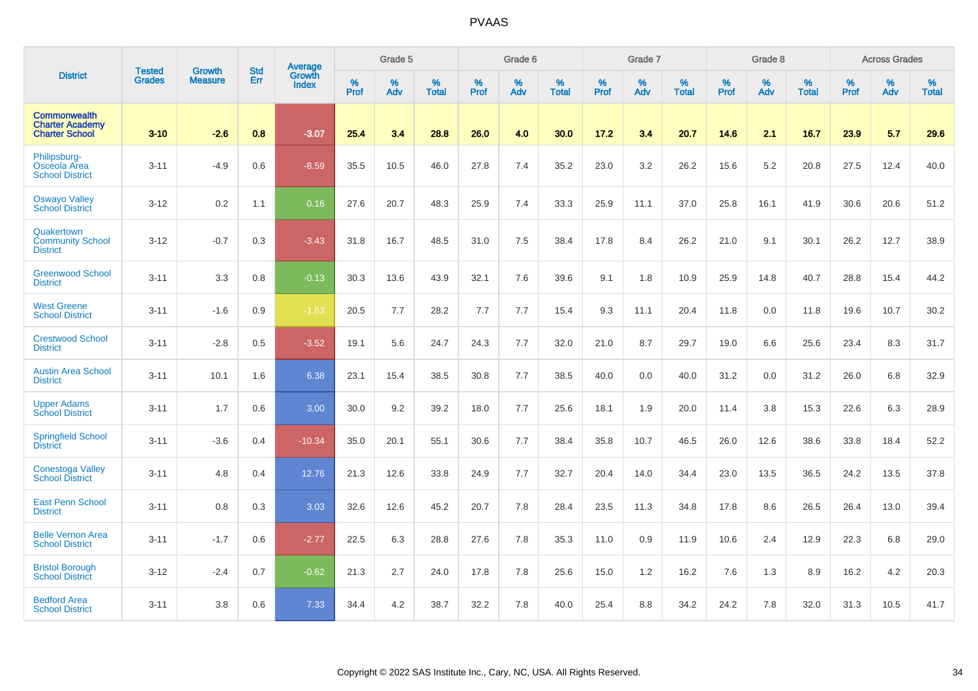|                                                                        | <b>Tested</b> | <b>Growth</b>  | <b>Std</b> | Average                       |           | Grade 5  |                   |           | Grade 6  |                   |           | Grade 7  |                   |           | Grade 8  |                   |           | <b>Across Grades</b> |                   |
|------------------------------------------------------------------------|---------------|----------------|------------|-------------------------------|-----------|----------|-------------------|-----------|----------|-------------------|-----------|----------|-------------------|-----------|----------|-------------------|-----------|----------------------|-------------------|
| <b>District</b>                                                        | <b>Grades</b> | <b>Measure</b> | Err        | <b>Growth</b><br><b>Index</b> | %<br>Prof | %<br>Adv | %<br><b>Total</b> | %<br>Prof | %<br>Adv | %<br><b>Total</b> | %<br>Prof | %<br>Adv | %<br><b>Total</b> | %<br>Prof | %<br>Adv | %<br><b>Total</b> | %<br>Prof | %<br>Adv             | %<br><b>Total</b> |
| <b>Commonwealth</b><br><b>Charter Academy</b><br><b>Charter School</b> | $3 - 10$      | $-2.6$         | 0.8        | $-3.07$                       | 25.4      | 3.4      | 28.8              | 26.0      | 4.0      | 30.0              | 17.2      | 3.4      | 20.7              | 14.6      | 2.1      | 16.7              | 23.9      | 5.7                  | 29.6              |
| Philipsburg-<br>Osceola Area<br><b>School District</b>                 | $3 - 11$      | $-4.9$         | 0.6        | $-8.59$                       | 35.5      | 10.5     | 46.0              | 27.8      | 7.4      | 35.2              | 23.0      | 3.2      | 26.2              | 15.6      | $5.2\,$  | 20.8              | 27.5      | 12.4                 | 40.0              |
| <b>Oswayo Valley</b><br><b>School District</b>                         | $3 - 12$      | 0.2            | 1.1        | 0.16                          | 27.6      | 20.7     | 48.3              | 25.9      | 7.4      | 33.3              | 25.9      | 11.1     | 37.0              | 25.8      | 16.1     | 41.9              | 30.6      | 20.6                 | 51.2              |
| Quakertown<br><b>Community School</b><br><b>District</b>               | $3 - 12$      | $-0.7$         | 0.3        | $-3.43$                       | 31.8      | 16.7     | 48.5              | 31.0      | 7.5      | 38.4              | 17.8      | 8.4      | 26.2              | 21.0      | 9.1      | 30.1              | 26.2      | 12.7                 | 38.9              |
| <b>Greenwood School</b><br><b>District</b>                             | $3 - 11$      | 3.3            | 0.8        | $-0.13$                       | 30.3      | 13.6     | 43.9              | 32.1      | 7.6      | 39.6              | 9.1       | 1.8      | 10.9              | 25.9      | 14.8     | 40.7              | 28.8      | 15.4                 | 44.2              |
| <b>West Greene</b><br><b>School District</b>                           | $3 - 11$      | $-1.6$         | 0.9        | $-1.63$                       | 20.5      | 7.7      | 28.2              | 7.7       | 7.7      | 15.4              | 9.3       | 11.1     | 20.4              | 11.8      | 0.0      | 11.8              | 19.6      | 10.7                 | 30.2              |
| <b>Crestwood School</b><br><b>District</b>                             | $3 - 11$      | $-2.8$         | 0.5        | $-3.52$                       | 19.1      | 5.6      | 24.7              | 24.3      | 7.7      | 32.0              | 21.0      | 8.7      | 29.7              | 19.0      | 6.6      | 25.6              | 23.4      | 8.3                  | 31.7              |
| <b>Austin Area School</b><br><b>District</b>                           | $3 - 11$      | 10.1           | 1.6        | 6.38                          | 23.1      | 15.4     | 38.5              | 30.8      | 7.7      | 38.5              | 40.0      | 0.0      | 40.0              | 31.2      | 0.0      | 31.2              | 26.0      | 6.8                  | 32.9              |
| <b>Upper Adams</b><br><b>School District</b>                           | $3 - 11$      | 1.7            | 0.6        | 3.00                          | 30.0      | 9.2      | 39.2              | 18.0      | 7.7      | 25.6              | 18.1      | 1.9      | 20.0              | 11.4      | 3.8      | 15.3              | 22.6      | 6.3                  | 28.9              |
| <b>Springfield School</b><br><b>District</b>                           | $3 - 11$      | $-3.6$         | 0.4        | $-10.34$                      | 35.0      | 20.1     | 55.1              | 30.6      | 7.7      | 38.4              | 35.8      | 10.7     | 46.5              | 26.0      | 12.6     | 38.6              | 33.8      | 18.4                 | 52.2              |
| <b>Conestoga Valley</b><br><b>School District</b>                      | $3 - 11$      | 4.8            | 0.4        | 12.76                         | 21.3      | 12.6     | 33.8              | 24.9      | 7.7      | 32.7              | 20.4      | 14.0     | 34.4              | 23.0      | 13.5     | 36.5              | 24.2      | 13.5                 | 37.8              |
| <b>East Penn School</b><br><b>District</b>                             | $3 - 11$      | 0.8            | 0.3        | 3.03                          | 32.6      | 12.6     | 45.2              | 20.7      | 7.8      | 28.4              | 23.5      | 11.3     | 34.8              | 17.8      | 8.6      | 26.5              | 26.4      | 13.0                 | 39.4              |
| <b>Belle Vernon Area</b><br><b>School District</b>                     | $3 - 11$      | $-1.7$         | 0.6        | $-2.77$                       | 22.5      | 6.3      | 28.8              | 27.6      | 7.8      | 35.3              | 11.0      | 0.9      | 11.9              | 10.6      | 2.4      | 12.9              | 22.3      | 6.8                  | 29.0              |
| <b>Bristol Borough</b><br><b>School District</b>                       | $3 - 12$      | $-2.4$         | 0.7        | $-0.62$                       | 21.3      | 2.7      | 24.0              | 17.8      | 7.8      | 25.6              | 15.0      | 1.2      | 16.2              | 7.6       | 1.3      | 8.9               | 16.2      | 4.2                  | 20.3              |
| <b>Bedford Area</b><br><b>School District</b>                          | $3 - 11$      | 3.8            | 0.6        | 7.33                          | 34.4      | 4.2      | 38.7              | 32.2      | 7.8      | 40.0              | 25.4      | 8.8      | 34.2              | 24.2      | 7.8      | 32.0              | 31.3      | 10.5                 | 41.7              |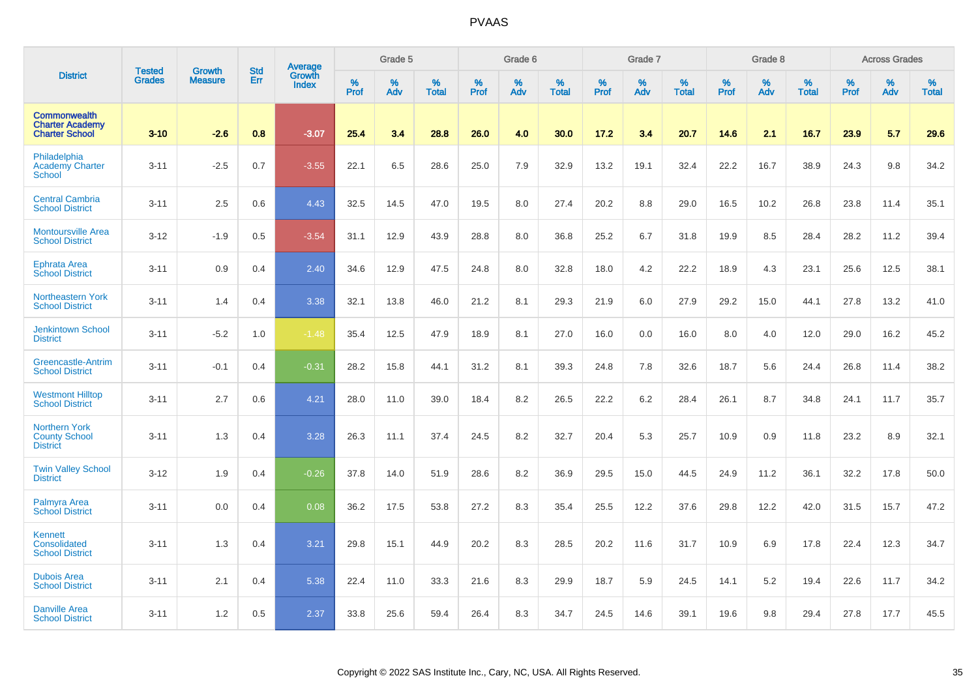|                                                                        | <b>Tested</b> | <b>Growth</b>  | <b>Std</b> | <b>Average</b><br>Growth |                     | Grade 5  |                   |           | Grade 6  |                   |                  | Grade 7  |                   |                  | Grade 8  |                   |                  | <b>Across Grades</b> |                   |
|------------------------------------------------------------------------|---------------|----------------|------------|--------------------------|---------------------|----------|-------------------|-----------|----------|-------------------|------------------|----------|-------------------|------------------|----------|-------------------|------------------|----------------------|-------------------|
| <b>District</b>                                                        | <b>Grades</b> | <b>Measure</b> | Err        | <b>Index</b>             | $\%$<br><b>Prof</b> | %<br>Adv | %<br><b>Total</b> | %<br>Prof | %<br>Adv | %<br><b>Total</b> | %<br><b>Prof</b> | %<br>Adv | %<br><b>Total</b> | %<br><b>Prof</b> | %<br>Adv | %<br><b>Total</b> | %<br><b>Prof</b> | %<br>Adv             | %<br><b>Total</b> |
| <b>Commonwealth</b><br><b>Charter Academy</b><br><b>Charter School</b> | $3 - 10$      | $-2.6$         | 0.8        | $-3.07$                  | 25.4                | 3.4      | 28.8              | 26.0      | 4.0      | 30.0              | 17.2             | 3.4      | 20.7              | 14.6             | 2.1      | 16.7              | 23.9             | 5.7                  | 29.6              |
| Philadelphia<br><b>Academy Charter</b><br><b>School</b>                | $3 - 11$      | $-2.5$         | 0.7        | $-3.55$                  | 22.1                | 6.5      | 28.6              | 25.0      | 7.9      | 32.9              | 13.2             | 19.1     | 32.4              | 22.2             | 16.7     | 38.9              | 24.3             | 9.8                  | 34.2              |
| <b>Central Cambria</b><br><b>School District</b>                       | $3 - 11$      | 2.5            | 0.6        | 4.43                     | 32.5                | 14.5     | 47.0              | 19.5      | 8.0      | 27.4              | 20.2             | 8.8      | 29.0              | 16.5             | 10.2     | 26.8              | 23.8             | 11.4                 | 35.1              |
| <b>Montoursville Area</b><br><b>School District</b>                    | $3 - 12$      | $-1.9$         | 0.5        | $-3.54$                  | 31.1                | 12.9     | 43.9              | 28.8      | 8.0      | 36.8              | 25.2             | 6.7      | 31.8              | 19.9             | 8.5      | 28.4              | 28.2             | 11.2                 | 39.4              |
| <b>Ephrata Area</b><br><b>School District</b>                          | $3 - 11$      | 0.9            | 0.4        | 2.40                     | 34.6                | 12.9     | 47.5              | 24.8      | 8.0      | 32.8              | 18.0             | 4.2      | 22.2              | 18.9             | 4.3      | 23.1              | 25.6             | 12.5                 | 38.1              |
| Northeastern York<br><b>School District</b>                            | $3 - 11$      | 1.4            | 0.4        | 3.38                     | 32.1                | 13.8     | 46.0              | 21.2      | 8.1      | 29.3              | 21.9             | 6.0      | 27.9              | 29.2             | 15.0     | 44.1              | 27.8             | 13.2                 | 41.0              |
| <b>Jenkintown School</b><br><b>District</b>                            | $3 - 11$      | $-5.2$         | 1.0        | $-1.48$                  | 35.4                | 12.5     | 47.9              | 18.9      | 8.1      | 27.0              | 16.0             | 0.0      | 16.0              | 8.0              | 4.0      | 12.0              | 29.0             | 16.2                 | 45.2              |
| Greencastle-Antrim<br><b>School District</b>                           | $3 - 11$      | $-0.1$         | 0.4        | $-0.31$                  | 28.2                | 15.8     | 44.1              | 31.2      | 8.1      | 39.3              | 24.8             | 7.8      | 32.6              | 18.7             | 5.6      | 24.4              | 26.8             | 11.4                 | 38.2              |
| <b>Westmont Hilltop</b><br><b>School District</b>                      | $3 - 11$      | 2.7            | 0.6        | 4.21                     | 28.0                | 11.0     | 39.0              | 18.4      | 8.2      | 26.5              | 22.2             | 6.2      | 28.4              | 26.1             | 8.7      | 34.8              | 24.1             | 11.7                 | 35.7              |
| <b>Northern York</b><br><b>County School</b><br><b>District</b>        | $3 - 11$      | 1.3            | 0.4        | 3.28                     | 26.3                | 11.1     | 37.4              | 24.5      | 8.2      | 32.7              | 20.4             | 5.3      | 25.7              | 10.9             | 0.9      | 11.8              | 23.2             | 8.9                  | 32.1              |
| <b>Twin Valley School</b><br><b>District</b>                           | $3 - 12$      | 1.9            | 0.4        | $-0.26$                  | 37.8                | 14.0     | 51.9              | 28.6      | 8.2      | 36.9              | 29.5             | 15.0     | 44.5              | 24.9             | 11.2     | 36.1              | 32.2             | 17.8                 | 50.0              |
| Palmyra Area<br><b>School District</b>                                 | $3 - 11$      | 0.0            | 0.4        | 0.08                     | 36.2                | 17.5     | 53.8              | 27.2      | 8.3      | 35.4              | 25.5             | 12.2     | 37.6              | 29.8             | 12.2     | 42.0              | 31.5             | 15.7                 | 47.2              |
| Kennett<br>Consolidated<br><b>School District</b>                      | $3 - 11$      | 1.3            | 0.4        | 3.21                     | 29.8                | 15.1     | 44.9              | 20.2      | 8.3      | 28.5              | 20.2             | 11.6     | 31.7              | 10.9             | 6.9      | 17.8              | 22.4             | 12.3                 | 34.7              |
| <b>Dubois Area</b><br><b>School District</b>                           | $3 - 11$      | 2.1            | 0.4        | 5.38                     | 22.4                | 11.0     | 33.3              | 21.6      | 8.3      | 29.9              | 18.7             | 5.9      | 24.5              | 14.1             | 5.2      | 19.4              | 22.6             | 11.7                 | 34.2              |
| <b>Danville Area</b><br><b>School District</b>                         | $3 - 11$      | 1.2            | 0.5        | 2.37                     | 33.8                | 25.6     | 59.4              | 26.4      | 8.3      | 34.7              | 24.5             | 14.6     | 39.1              | 19.6             | 9.8      | 29.4              | 27.8             | 17.7                 | 45.5              |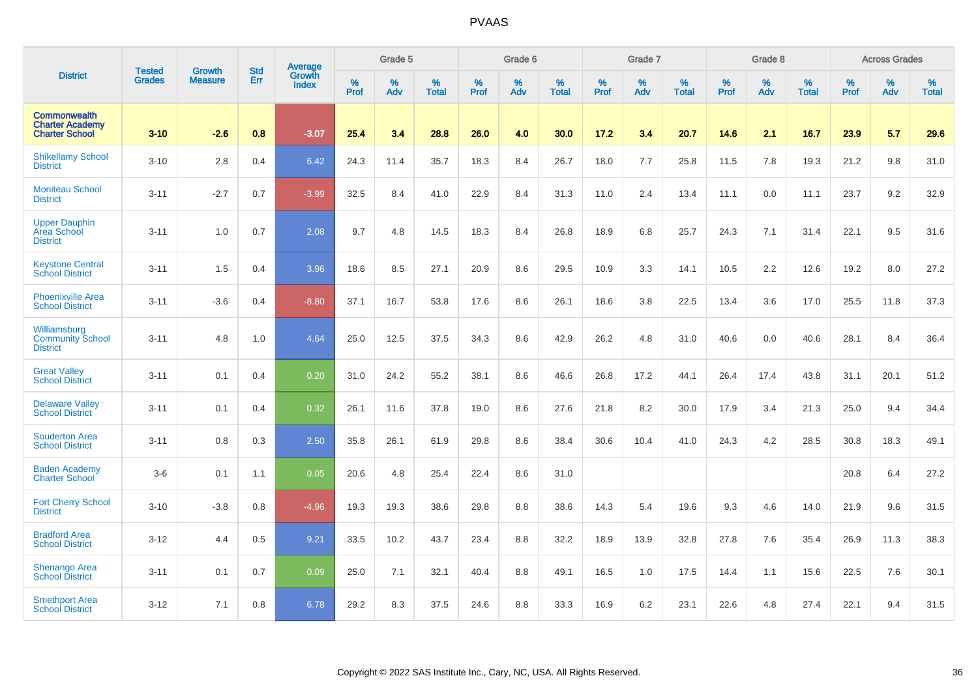|                                                                        |                                | <b>Growth</b>  | <b>Std</b> | Average                       |           | Grade 5  |                   |           | Grade 6  |                   |           | Grade 7  |                   |           | Grade 8  |                   |           | <b>Across Grades</b> |                   |
|------------------------------------------------------------------------|--------------------------------|----------------|------------|-------------------------------|-----------|----------|-------------------|-----------|----------|-------------------|-----------|----------|-------------------|-----------|----------|-------------------|-----------|----------------------|-------------------|
| <b>District</b>                                                        | <b>Tested</b><br><b>Grades</b> | <b>Measure</b> | Err        | <b>Growth</b><br><b>Index</b> | %<br>Prof | %<br>Adv | %<br><b>Total</b> | %<br>Prof | %<br>Adv | %<br><b>Total</b> | %<br>Prof | %<br>Adv | %<br><b>Total</b> | %<br>Prof | %<br>Adv | %<br><b>Total</b> | %<br>Prof | %<br>Adv             | %<br><b>Total</b> |
| <b>Commonwealth</b><br><b>Charter Academy</b><br><b>Charter School</b> | $3 - 10$                       | $-2.6$         | 0.8        | $-3.07$                       | 25.4      | 3.4      | 28.8              | 26.0      | 4.0      | 30.0              | 17.2      | 3.4      | 20.7              | 14.6      | 2.1      | 16.7              | 23.9      | 5.7                  | 29.6              |
| <b>Shikellamy School</b><br><b>District</b>                            | $3 - 10$                       | 2.8            | 0.4        | 6.42                          | 24.3      | 11.4     | 35.7              | 18.3      | 8.4      | 26.7              | 18.0      | 7.7      | 25.8              | 11.5      | 7.8      | 19.3              | 21.2      | 9.8                  | 31.0              |
| <b>Moniteau School</b><br><b>District</b>                              | $3 - 11$                       | $-2.7$         | 0.7        | $-3.99$                       | 32.5      | 8.4      | 41.0              | 22.9      | 8.4      | 31.3              | 11.0      | 2.4      | 13.4              | 11.1      | 0.0      | 11.1              | 23.7      | 9.2                  | 32.9              |
| <b>Upper Dauphin</b><br>Area School<br><b>District</b>                 | $3 - 11$                       | 1.0            | 0.7        | 2.08                          | 9.7       | 4.8      | 14.5              | 18.3      | 8.4      | 26.8              | 18.9      | 6.8      | 25.7              | 24.3      | 7.1      | 31.4              | 22.1      | 9.5                  | 31.6              |
| <b>Keystone Central</b><br><b>School District</b>                      | $3 - 11$                       | 1.5            | 0.4        | 3.96                          | 18.6      | 8.5      | 27.1              | 20.9      | 8.6      | 29.5              | 10.9      | 3.3      | 14.1              | 10.5      | 2.2      | 12.6              | 19.2      | 8.0                  | 27.2              |
| <b>Phoenixville Area</b><br><b>School District</b>                     | $3 - 11$                       | $-3.6$         | 0.4        | $-8.80$                       | 37.1      | 16.7     | 53.8              | 17.6      | 8.6      | 26.1              | 18.6      | 3.8      | 22.5              | 13.4      | 3.6      | 17.0              | 25.5      | 11.8                 | 37.3              |
| Williamsburg<br><b>Community School</b><br><b>District</b>             | $3 - 11$                       | 4.8            | 1.0        | 4.64                          | 25.0      | 12.5     | 37.5              | 34.3      | 8.6      | 42.9              | 26.2      | 4.8      | 31.0              | 40.6      | 0.0      | 40.6              | 28.1      | 8.4                  | 36.4              |
| <b>Great Valley</b><br><b>School District</b>                          | $3 - 11$                       | 0.1            | 0.4        | 0.20                          | 31.0      | 24.2     | 55.2              | 38.1      | 8.6      | 46.6              | 26.8      | 17.2     | 44.1              | 26.4      | 17.4     | 43.8              | 31.1      | 20.1                 | 51.2              |
| <b>Delaware Valley</b><br><b>School District</b>                       | $3 - 11$                       | 0.1            | 0.4        | 0.32                          | 26.1      | 11.6     | 37.8              | 19.0      | 8.6      | 27.6              | 21.8      | 8.2      | 30.0              | 17.9      | 3.4      | 21.3              | 25.0      | 9.4                  | 34.4              |
| <b>Souderton Area</b><br><b>School District</b>                        | $3 - 11$                       | 0.8            | 0.3        | 2.50                          | 35.8      | 26.1     | 61.9              | 29.8      | 8.6      | 38.4              | 30.6      | 10.4     | 41.0              | 24.3      | 4.2      | 28.5              | 30.8      | 18.3                 | 49.1              |
| <b>Baden Academy</b><br><b>Charter School</b>                          | $3-6$                          | 0.1            | 1.1        | 0.05                          | 20.6      | 4.8      | 25.4              | 22.4      | 8.6      | 31.0              |           |          |                   |           |          |                   | 20.8      | 6.4                  | 27.2              |
| <b>Fort Cherry School</b><br><b>District</b>                           | $3 - 10$                       | $-3.8$         | 0.8        | $-4.96$                       | 19.3      | 19.3     | 38.6              | 29.8      | 8.8      | 38.6              | 14.3      | 5.4      | 19.6              | 9.3       | 4.6      | 14.0              | 21.9      | 9.6                  | 31.5              |
| <b>Bradford Area</b><br><b>School District</b>                         | $3 - 12$                       | 4.4            | 0.5        | 9.21                          | 33.5      | 10.2     | 43.7              | 23.4      | 8.8      | 32.2              | 18.9      | 13.9     | 32.8              | 27.8      | 7.6      | 35.4              | 26.9      | 11.3                 | 38.3              |
| Shenango Area<br><b>School District</b>                                | $3 - 11$                       | 0.1            | 0.7        | 0.09                          | 25.0      | 7.1      | 32.1              | 40.4      | 8.8      | 49.1              | 16.5      | 1.0      | 17.5              | 14.4      | 1.1      | 15.6              | 22.5      | 7.6                  | 30.1              |
| <b>Smethport Area</b><br><b>School District</b>                        | $3 - 12$                       | 7.1            | 0.8        | 6.78                          | 29.2      | 8.3      | 37.5              | 24.6      | 8.8      | 33.3              | 16.9      | 6.2      | 23.1              | 22.6      | 4.8      | 27.4              | 22.1      | 9.4                  | 31.5              |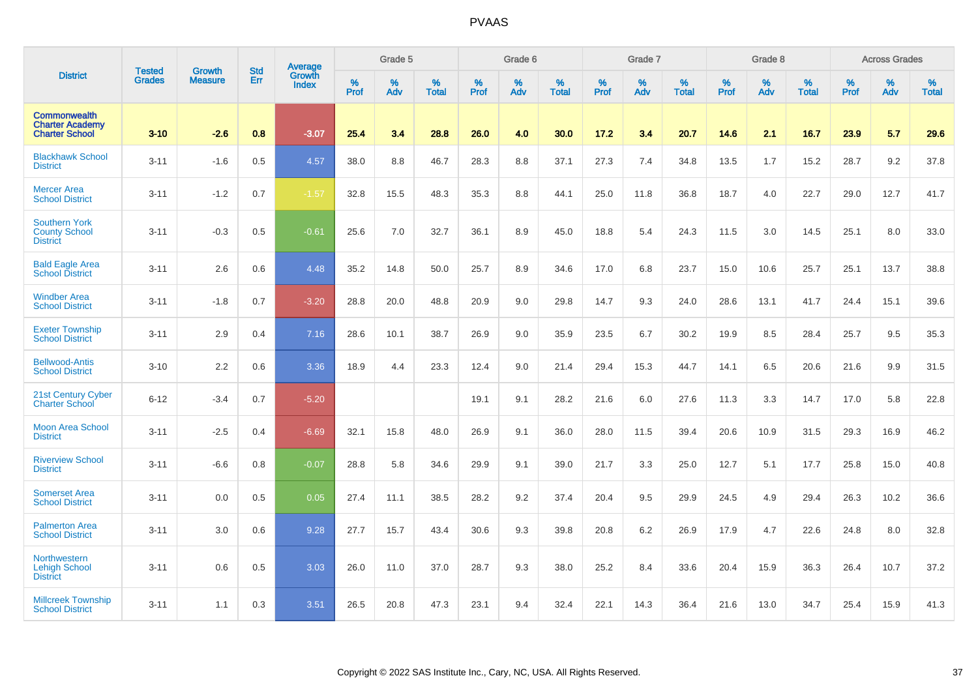|                                                                        |                                |                                 | <b>Std</b> | Average                       |           | Grade 5  |                   |           | Grade 6  |                   |           | Grade 7  |                   |           | Grade 8  |                   |           | <b>Across Grades</b> |                   |
|------------------------------------------------------------------------|--------------------------------|---------------------------------|------------|-------------------------------|-----------|----------|-------------------|-----------|----------|-------------------|-----------|----------|-------------------|-----------|----------|-------------------|-----------|----------------------|-------------------|
| <b>District</b>                                                        | <b>Tested</b><br><b>Grades</b> | <b>Growth</b><br><b>Measure</b> | Err        | <b>Growth</b><br><b>Index</b> | %<br>Prof | %<br>Adv | %<br><b>Total</b> | %<br>Prof | %<br>Adv | %<br><b>Total</b> | %<br>Prof | %<br>Adv | %<br><b>Total</b> | %<br>Prof | %<br>Adv | %<br><b>Total</b> | %<br>Prof | %<br>Adv             | %<br><b>Total</b> |
| <b>Commonwealth</b><br><b>Charter Academy</b><br><b>Charter School</b> | $3 - 10$                       | $-2.6$                          | 0.8        | $-3.07$                       | 25.4      | 3.4      | 28.8              | 26.0      | 4.0      | 30.0              | 17.2      | 3.4      | 20.7              | 14.6      | 2.1      | 16.7              | 23.9      | 5.7                  | 29.6              |
| <b>Blackhawk School</b><br><b>District</b>                             | $3 - 11$                       | $-1.6$                          | 0.5        | 4.57                          | 38.0      | 8.8      | 46.7              | 28.3      | 8.8      | 37.1              | 27.3      | 7.4      | 34.8              | 13.5      | 1.7      | 15.2              | 28.7      | 9.2                  | 37.8              |
| <b>Mercer Area</b><br><b>School District</b>                           | $3 - 11$                       | $-1.2$                          | 0.7        | $-1.57$                       | 32.8      | 15.5     | 48.3              | 35.3      | 8.8      | 44.1              | 25.0      | 11.8     | 36.8              | 18.7      | 4.0      | 22.7              | 29.0      | 12.7                 | 41.7              |
| <b>Southern York</b><br><b>County School</b><br><b>District</b>        | $3 - 11$                       | $-0.3$                          | 0.5        | $-0.61$                       | 25.6      | 7.0      | 32.7              | 36.1      | 8.9      | 45.0              | 18.8      | 5.4      | 24.3              | 11.5      | 3.0      | 14.5              | 25.1      | 8.0                  | 33.0              |
| <b>Bald Eagle Area</b><br><b>School District</b>                       | $3 - 11$                       | 2.6                             | 0.6        | 4.48                          | 35.2      | 14.8     | 50.0              | 25.7      | 8.9      | 34.6              | 17.0      | 6.8      | 23.7              | 15.0      | 10.6     | 25.7              | 25.1      | 13.7                 | 38.8              |
| <b>Windber Area</b><br><b>School District</b>                          | $3 - 11$                       | $-1.8$                          | 0.7        | $-3.20$                       | 28.8      | 20.0     | 48.8              | 20.9      | 9.0      | 29.8              | 14.7      | 9.3      | 24.0              | 28.6      | 13.1     | 41.7              | 24.4      | 15.1                 | 39.6              |
| <b>Exeter Township</b><br><b>School District</b>                       | $3 - 11$                       | 2.9                             | 0.4        | 7.16                          | 28.6      | 10.1     | 38.7              | 26.9      | 9.0      | 35.9              | 23.5      | 6.7      | 30.2              | 19.9      | 8.5      | 28.4              | 25.7      | 9.5                  | 35.3              |
| <b>Bellwood-Antis</b><br><b>School District</b>                        | $3 - 10$                       | 2.2                             | 0.6        | 3.36                          | 18.9      | 4.4      | 23.3              | 12.4      | 9.0      | 21.4              | 29.4      | 15.3     | 44.7              | 14.1      | 6.5      | 20.6              | 21.6      | 9.9                  | 31.5              |
| 21st Century Cyber<br><b>Charter School</b>                            | $6 - 12$                       | $-3.4$                          | 0.7        | $-5.20$                       |           |          |                   | 19.1      | 9.1      | 28.2              | 21.6      | 6.0      | 27.6              | 11.3      | 3.3      | 14.7              | 17.0      | 5.8                  | 22.8              |
| <b>Moon Area School</b><br><b>District</b>                             | $3 - 11$                       | $-2.5$                          | 0.4        | $-6.69$                       | 32.1      | 15.8     | 48.0              | 26.9      | 9.1      | 36.0              | 28.0      | 11.5     | 39.4              | 20.6      | 10.9     | 31.5              | 29.3      | 16.9                 | 46.2              |
| <b>Riverview School</b><br><b>District</b>                             | $3 - 11$                       | $-6.6$                          | 0.8        | $-0.07$                       | 28.8      | 5.8      | 34.6              | 29.9      | 9.1      | 39.0              | 21.7      | 3.3      | 25.0              | 12.7      | 5.1      | 17.7              | 25.8      | 15.0                 | 40.8              |
| <b>Somerset Area</b><br><b>School District</b>                         | $3 - 11$                       | 0.0                             | 0.5        | 0.05                          | 27.4      | 11.1     | 38.5              | 28.2      | 9.2      | 37.4              | 20.4      | 9.5      | 29.9              | 24.5      | 4.9      | 29.4              | 26.3      | 10.2                 | 36.6              |
| <b>Palmerton Area</b><br><b>School District</b>                        | $3 - 11$                       | 3.0                             | 0.6        | 9.28                          | 27.7      | 15.7     | 43.4              | 30.6      | 9.3      | 39.8              | 20.8      | 6.2      | 26.9              | 17.9      | 4.7      | 22.6              | 24.8      | 8.0                  | 32.8              |
| Northwestern<br><b>Lehigh School</b><br><b>District</b>                | $3 - 11$                       | 0.6                             | 0.5        | 3.03                          | 26.0      | 11.0     | 37.0              | 28.7      | 9.3      | 38.0              | 25.2      | 8.4      | 33.6              | 20.4      | 15.9     | 36.3              | 26.4      | 10.7                 | 37.2              |
| <b>Millcreek Township</b><br><b>School District</b>                    | $3 - 11$                       | 1.1                             | 0.3        | 3.51                          | 26.5      | 20.8     | 47.3              | 23.1      | 9.4      | 32.4              | 22.1      | 14.3     | 36.4              | 21.6      | 13.0     | 34.7              | 25.4      | 15.9                 | 41.3              |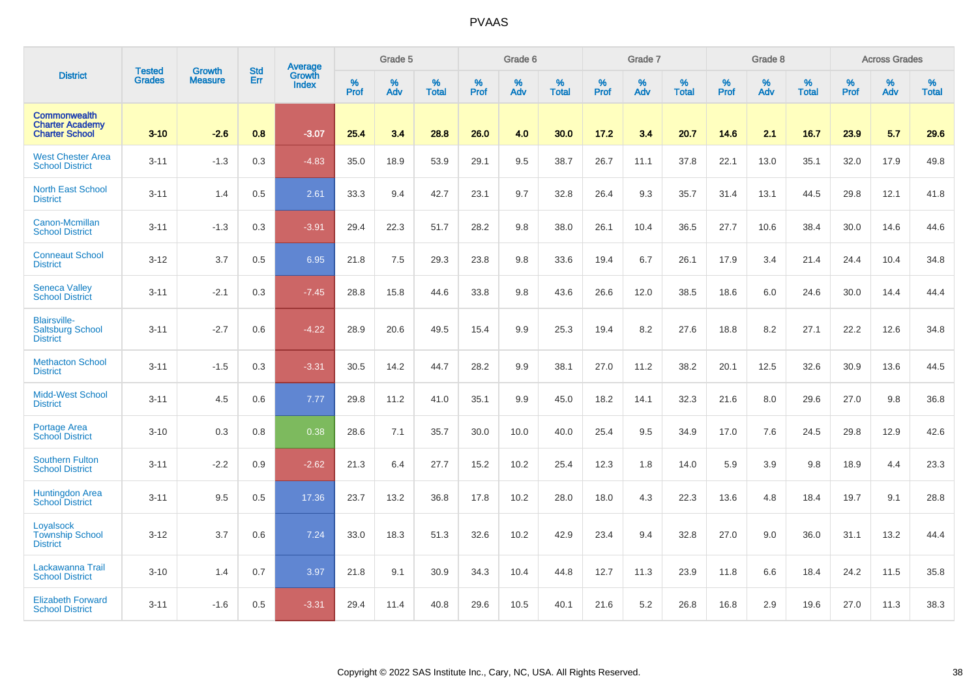|                                                                        | <b>Tested</b> | <b>Growth</b>  | <b>Std</b> | Average                |           | Grade 5  |                   |           | Grade 6  |                   |           | Grade 7  |                   |           | Grade 8  |                   |           | <b>Across Grades</b> |                   |
|------------------------------------------------------------------------|---------------|----------------|------------|------------------------|-----------|----------|-------------------|-----------|----------|-------------------|-----------|----------|-------------------|-----------|----------|-------------------|-----------|----------------------|-------------------|
| <b>District</b>                                                        | <b>Grades</b> | <b>Measure</b> | Err        | <b>Growth</b><br>Index | %<br>Prof | %<br>Adv | %<br><b>Total</b> | %<br>Prof | %<br>Adv | %<br><b>Total</b> | %<br>Prof | %<br>Adv | %<br><b>Total</b> | %<br>Prof | %<br>Adv | %<br><b>Total</b> | %<br>Prof | %<br>Adv             | %<br><b>Total</b> |
| <b>Commonwealth</b><br><b>Charter Academy</b><br><b>Charter School</b> | $3 - 10$      | $-2.6$         | 0.8        | $-3.07$                | 25.4      | 3.4      | 28.8              | 26.0      | 4.0      | 30.0              | 17.2      | 3.4      | 20.7              | 14.6      | 2.1      | 16.7              | 23.9      | 5.7                  | 29.6              |
| <b>West Chester Area</b><br><b>School District</b>                     | $3 - 11$      | $-1.3$         | 0.3        | $-4.83$                | 35.0      | 18.9     | 53.9              | 29.1      | 9.5      | 38.7              | 26.7      | 11.1     | 37.8              | 22.1      | 13.0     | 35.1              | 32.0      | 17.9                 | 49.8              |
| <b>North East School</b><br><b>District</b>                            | $3 - 11$      | 1.4            | 0.5        | 2.61                   | 33.3      | 9.4      | 42.7              | 23.1      | 9.7      | 32.8              | 26.4      | 9.3      | 35.7              | 31.4      | 13.1     | 44.5              | 29.8      | 12.1                 | 41.8              |
| <b>Canon-Mcmillan</b><br><b>School District</b>                        | $3 - 11$      | $-1.3$         | 0.3        | $-3.91$                | 29.4      | 22.3     | 51.7              | 28.2      | 9.8      | 38.0              | 26.1      | 10.4     | 36.5              | 27.7      | 10.6     | 38.4              | 30.0      | 14.6                 | 44.6              |
| <b>Conneaut School</b><br><b>District</b>                              | $3 - 12$      | 3.7            | 0.5        | 6.95                   | 21.8      | 7.5      | 29.3              | 23.8      | 9.8      | 33.6              | 19.4      | 6.7      | 26.1              | 17.9      | 3.4      | 21.4              | 24.4      | 10.4                 | 34.8              |
| <b>Seneca Valley</b><br><b>School District</b>                         | $3 - 11$      | $-2.1$         | 0.3        | $-7.45$                | 28.8      | 15.8     | 44.6              | 33.8      | 9.8      | 43.6              | 26.6      | 12.0     | 38.5              | 18.6      | 6.0      | 24.6              | 30.0      | 14.4                 | 44.4              |
| <b>Blairsville-</b><br><b>Saltsburg School</b><br><b>District</b>      | $3 - 11$      | $-2.7$         | 0.6        | $-4.22$                | 28.9      | 20.6     | 49.5              | 15.4      | 9.9      | 25.3              | 19.4      | 8.2      | 27.6              | 18.8      | 8.2      | 27.1              | 22.2      | 12.6                 | 34.8              |
| <b>Methacton School</b><br><b>District</b>                             | $3 - 11$      | $-1.5$         | 0.3        | $-3.31$                | 30.5      | 14.2     | 44.7              | 28.2      | 9.9      | 38.1              | 27.0      | 11.2     | 38.2              | 20.1      | 12.5     | 32.6              | 30.9      | 13.6                 | 44.5              |
| <b>Midd-West School</b><br><b>District</b>                             | $3 - 11$      | 4.5            | 0.6        | 7.77                   | 29.8      | 11.2     | 41.0              | 35.1      | 9.9      | 45.0              | 18.2      | 14.1     | 32.3              | 21.6      | 8.0      | 29.6              | 27.0      | 9.8                  | 36.8              |
| <b>Portage Area</b><br><b>School District</b>                          | $3 - 10$      | 0.3            | 0.8        | 0.38                   | 28.6      | 7.1      | 35.7              | 30.0      | 10.0     | 40.0              | 25.4      | 9.5      | 34.9              | 17.0      | 7.6      | 24.5              | 29.8      | 12.9                 | 42.6              |
| <b>Southern Fulton</b><br><b>School District</b>                       | $3 - 11$      | $-2.2$         | 0.9        | $-2.62$                | 21.3      | 6.4      | 27.7              | 15.2      | 10.2     | 25.4              | 12.3      | 1.8      | 14.0              | 5.9       | 3.9      | 9.8               | 18.9      | 4.4                  | 23.3              |
| <b>Huntingdon Area</b><br><b>School District</b>                       | $3 - 11$      | 9.5            | 0.5        | 17.36                  | 23.7      | 13.2     | 36.8              | 17.8      | 10.2     | 28.0              | 18.0      | 4.3      | 22.3              | 13.6      | 4.8      | 18.4              | 19.7      | 9.1                  | 28.8              |
| Loyalsock<br><b>Township School</b><br><b>District</b>                 | $3 - 12$      | 3.7            | 0.6        | 7.24                   | 33.0      | 18.3     | 51.3              | 32.6      | 10.2     | 42.9              | 23.4      | 9.4      | 32.8              | 27.0      | 9.0      | 36.0              | 31.1      | 13.2                 | 44.4              |
| Lackawanna Trail<br><b>School District</b>                             | $3 - 10$      | 1.4            | 0.7        | 3.97                   | 21.8      | 9.1      | 30.9              | 34.3      | 10.4     | 44.8              | 12.7      | 11.3     | 23.9              | 11.8      | 6.6      | 18.4              | 24.2      | 11.5                 | 35.8              |
| <b>Elizabeth Forward</b><br><b>School District</b>                     | $3 - 11$      | $-1.6$         | 0.5        | $-3.31$                | 29.4      | 11.4     | 40.8              | 29.6      | 10.5     | 40.1              | 21.6      | 5.2      | 26.8              | 16.8      | 2.9      | 19.6              | 27.0      | 11.3                 | 38.3              |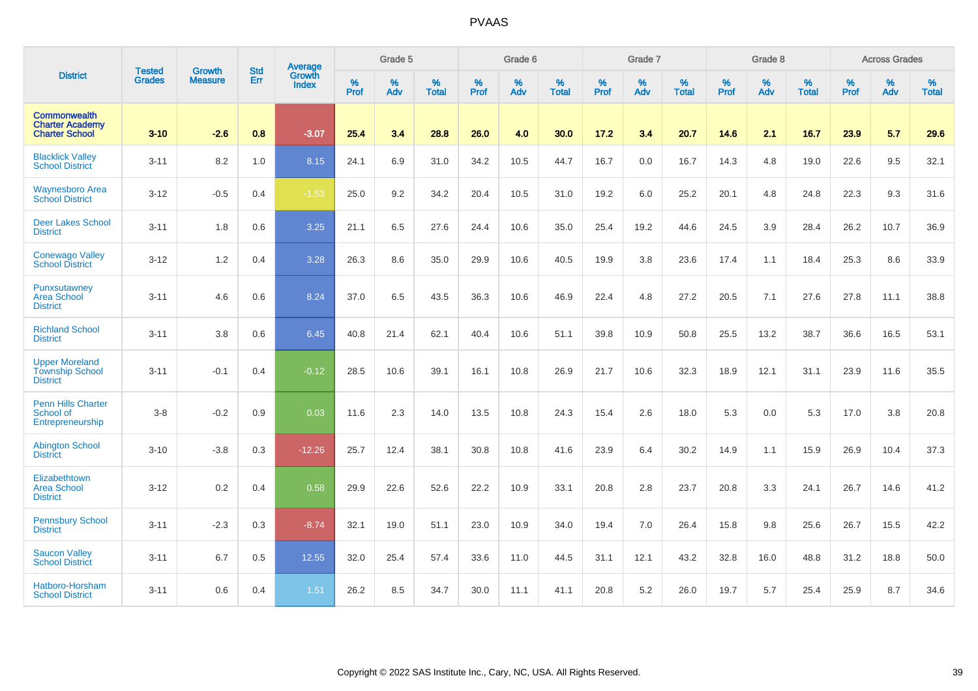|                                                                        | <b>Tested</b> | <b>Growth</b>  | <b>Std</b> | Average                |                     | Grade 5  |                   |                     | Grade 6  |                   |                     | Grade 7  |                   |                     | Grade 8     |                   |                     | <b>Across Grades</b> |                   |
|------------------------------------------------------------------------|---------------|----------------|------------|------------------------|---------------------|----------|-------------------|---------------------|----------|-------------------|---------------------|----------|-------------------|---------------------|-------------|-------------------|---------------------|----------------------|-------------------|
| <b>District</b>                                                        | <b>Grades</b> | <b>Measure</b> | Err        | Growth<br><b>Index</b> | $\%$<br><b>Prof</b> | %<br>Adv | %<br><b>Total</b> | $\%$<br><b>Prof</b> | %<br>Adv | %<br><b>Total</b> | $\%$<br><b>Prof</b> | %<br>Adv | %<br><b>Total</b> | $\%$<br><b>Prof</b> | $\%$<br>Adv | %<br><b>Total</b> | $\%$<br><b>Prof</b> | %<br>Adv             | %<br><b>Total</b> |
| <b>Commonwealth</b><br><b>Charter Academy</b><br><b>Charter School</b> | $3 - 10$      | $-2.6$         | 0.8        | $-3.07$                | 25.4                | 3.4      | 28.8              | 26.0                | 4.0      | 30.0              | 17.2                | 3.4      | 20.7              | 14.6                | 2.1         | 16.7              | 23.9                | 5.7                  | 29.6              |
| <b>Blacklick Valley</b><br><b>School District</b>                      | $3 - 11$      | 8.2            | 1.0        | 8.15                   | 24.1                | 6.9      | 31.0              | 34.2                | 10.5     | 44.7              | 16.7                | 0.0      | 16.7              | 14.3                | 4.8         | 19.0              | 22.6                | 9.5                  | 32.1              |
| <b>Waynesboro Area</b><br><b>School District</b>                       | $3 - 12$      | $-0.5$         | 0.4        | $-1.53$                | 25.0                | 9.2      | 34.2              | 20.4                | 10.5     | 31.0              | 19.2                | 6.0      | 25.2              | 20.1                | 4.8         | 24.8              | 22.3                | 9.3                  | 31.6              |
| <b>Deer Lakes School</b><br><b>District</b>                            | $3 - 11$      | 1.8            | 0.6        | 3.25                   | 21.1                | 6.5      | 27.6              | 24.4                | 10.6     | 35.0              | 25.4                | 19.2     | 44.6              | 24.5                | 3.9         | 28.4              | 26.2                | 10.7                 | 36.9              |
| <b>Conewago Valley</b><br><b>School District</b>                       | $3 - 12$      | 1.2            | 0.4        | 3.28                   | 26.3                | 8.6      | 35.0              | 29.9                | 10.6     | 40.5              | 19.9                | 3.8      | 23.6              | 17.4                | 1.1         | 18.4              | 25.3                | 8.6                  | 33.9              |
| Punxsutawney<br><b>Area School</b><br><b>District</b>                  | $3 - 11$      | 4.6            | 0.6        | 8.24                   | 37.0                | 6.5      | 43.5              | 36.3                | 10.6     | 46.9              | 22.4                | 4.8      | 27.2              | 20.5                | 7.1         | 27.6              | 27.8                | 11.1                 | 38.8              |
| <b>Richland School</b><br><b>District</b>                              | $3 - 11$      | 3.8            | 0.6        | 6.45                   | 40.8                | 21.4     | 62.1              | 40.4                | 10.6     | 51.1              | 39.8                | 10.9     | 50.8              | 25.5                | 13.2        | 38.7              | 36.6                | 16.5                 | 53.1              |
| <b>Upper Moreland</b><br><b>Township School</b><br><b>District</b>     | $3 - 11$      | $-0.1$         | 0.4        | $-0.12$                | 28.5                | 10.6     | 39.1              | 16.1                | 10.8     | 26.9              | 21.7                | 10.6     | 32.3              | 18.9                | 12.1        | 31.1              | 23.9                | 11.6                 | 35.5              |
| <b>Penn Hills Charter</b><br>School of<br>Entrepreneurship             | $3 - 8$       | $-0.2$         | 0.9        | 0.03                   | 11.6                | 2.3      | 14.0              | 13.5                | 10.8     | 24.3              | 15.4                | 2.6      | 18.0              | 5.3                 | 0.0         | 5.3               | 17.0                | 3.8                  | 20.8              |
| <b>Abington School</b><br><b>District</b>                              | $3 - 10$      | $-3.8$         | 0.3        | $-12.26$               | 25.7                | 12.4     | 38.1              | 30.8                | 10.8     | 41.6              | 23.9                | 6.4      | 30.2              | 14.9                | 1.1         | 15.9              | 26.9                | 10.4                 | 37.3              |
| Elizabethtown<br><b>Area School</b><br><b>District</b>                 | $3 - 12$      | 0.2            | 0.4        | 0.58                   | 29.9                | 22.6     | 52.6              | 22.2                | 10.9     | 33.1              | 20.8                | 2.8      | 23.7              | 20.8                | 3.3         | 24.1              | 26.7                | 14.6                 | 41.2              |
| <b>Pennsbury School</b><br><b>District</b>                             | $3 - 11$      | $-2.3$         | 0.3        | $-8.74$                | 32.1                | 19.0     | 51.1              | 23.0                | 10.9     | 34.0              | 19.4                | 7.0      | 26.4              | 15.8                | 9.8         | 25.6              | 26.7                | 15.5                 | 42.2              |
| <b>Saucon Valley</b><br><b>School District</b>                         | $3 - 11$      | 6.7            | 0.5        | 12.55                  | 32.0                | 25.4     | 57.4              | 33.6                | 11.0     | 44.5              | 31.1                | 12.1     | 43.2              | 32.8                | 16.0        | 48.8              | 31.2                | 18.8                 | 50.0              |
| Hatboro-Horsham<br><b>School District</b>                              | $3 - 11$      | 0.6            | 0.4        | 1.51                   | 26.2                | 8.5      | 34.7              | 30.0                | 11.1     | 41.1              | 20.8                | 5.2      | 26.0              | 19.7                | 5.7         | 25.4              | 25.9                | 8.7                  | 34.6              |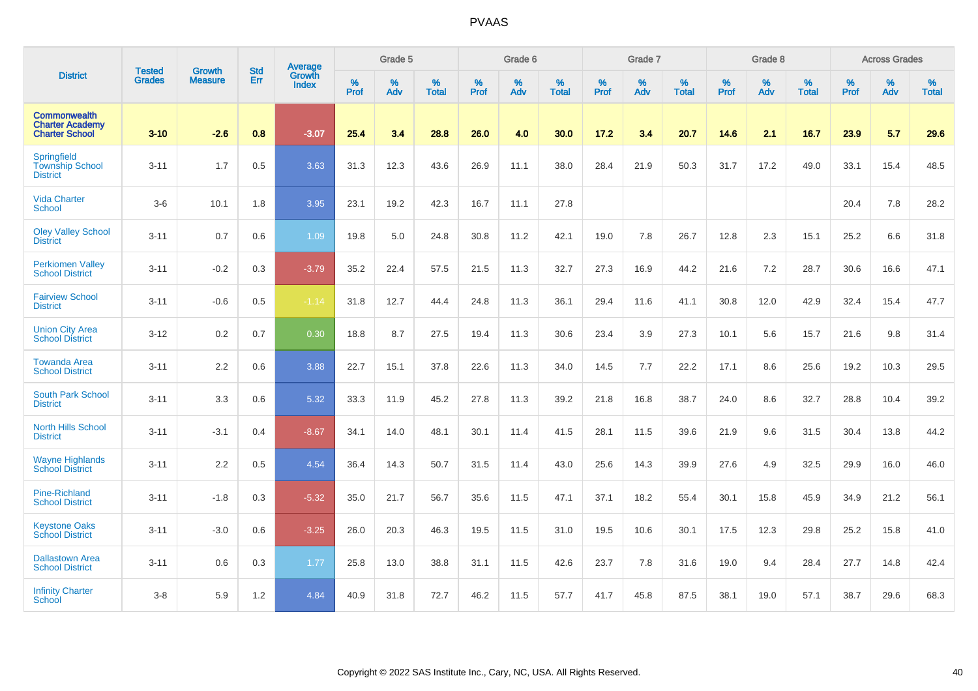|                                                                        | <b>Tested</b> | <b>Growth</b>  | <b>Std</b> | <b>Average</b>         |                  | Grade 5  |                   |           | Grade 6  |                   |                  | Grade 7  |                   |                  | Grade 8  |                   |                  | <b>Across Grades</b> |                   |
|------------------------------------------------------------------------|---------------|----------------|------------|------------------------|------------------|----------|-------------------|-----------|----------|-------------------|------------------|----------|-------------------|------------------|----------|-------------------|------------------|----------------------|-------------------|
| <b>District</b>                                                        | <b>Grades</b> | <b>Measure</b> | Err        | Growth<br><b>Index</b> | %<br><b>Prof</b> | %<br>Adv | %<br><b>Total</b> | %<br>Prof | %<br>Adv | %<br><b>Total</b> | %<br><b>Prof</b> | %<br>Adv | %<br><b>Total</b> | %<br><b>Prof</b> | %<br>Adv | %<br><b>Total</b> | %<br><b>Prof</b> | %<br>Adv             | %<br><b>Total</b> |
| <b>Commonwealth</b><br><b>Charter Academy</b><br><b>Charter School</b> | $3 - 10$      | $-2.6$         | 0.8        | $-3.07$                | 25.4             | 3.4      | 28.8              | 26.0      | 4.0      | 30.0              | 17.2             | 3.4      | 20.7              | 14.6             | 2.1      | 16.7              | 23.9             | 5.7                  | 29.6              |
| Springfield<br><b>Township School</b><br><b>District</b>               | $3 - 11$      | 1.7            | 0.5        | 3.63                   | 31.3             | 12.3     | 43.6              | 26.9      | 11.1     | 38.0              | 28.4             | 21.9     | 50.3              | 31.7             | 17.2     | 49.0              | 33.1             | 15.4                 | 48.5              |
| <b>Vida Charter</b><br>School                                          | $3-6$         | 10.1           | 1.8        | 3.95                   | 23.1             | 19.2     | 42.3              | 16.7      | 11.1     | 27.8              |                  |          |                   |                  |          |                   | 20.4             | 7.8                  | 28.2              |
| <b>Oley Valley School</b><br><b>District</b>                           | $3 - 11$      | 0.7            | 0.6        | 1.09                   | 19.8             | 5.0      | 24.8              | 30.8      | 11.2     | 42.1              | 19.0             | 7.8      | 26.7              | 12.8             | 2.3      | 15.1              | 25.2             | 6.6                  | 31.8              |
| <b>Perkiomen Valley</b><br><b>School District</b>                      | $3 - 11$      | $-0.2$         | 0.3        | $-3.79$                | 35.2             | 22.4     | 57.5              | 21.5      | 11.3     | 32.7              | 27.3             | 16.9     | 44.2              | 21.6             | 7.2      | 28.7              | 30.6             | 16.6                 | 47.1              |
| <b>Fairview School</b><br><b>District</b>                              | $3 - 11$      | $-0.6$         | 0.5        | $-1.14$                | 31.8             | 12.7     | 44.4              | 24.8      | 11.3     | 36.1              | 29.4             | 11.6     | 41.1              | 30.8             | 12.0     | 42.9              | 32.4             | 15.4                 | 47.7              |
| <b>Union City Area</b><br><b>School District</b>                       | $3 - 12$      | 0.2            | 0.7        | 0.30                   | 18.8             | 8.7      | 27.5              | 19.4      | 11.3     | 30.6              | 23.4             | 3.9      | 27.3              | 10.1             | 5.6      | 15.7              | 21.6             | 9.8                  | 31.4              |
| <b>Towanda Area</b><br><b>School District</b>                          | $3 - 11$      | 2.2            | 0.6        | 3.88                   | 22.7             | 15.1     | 37.8              | 22.6      | 11.3     | 34.0              | 14.5             | 7.7      | 22.2              | 17.1             | 8.6      | 25.6              | 19.2             | 10.3                 | 29.5              |
| <b>South Park School</b><br><b>District</b>                            | $3 - 11$      | 3.3            | 0.6        | 5.32                   | 33.3             | 11.9     | 45.2              | 27.8      | 11.3     | 39.2              | 21.8             | 16.8     | 38.7              | 24.0             | 8.6      | 32.7              | 28.8             | 10.4                 | 39.2              |
| <b>North Hills School</b><br><b>District</b>                           | $3 - 11$      | $-3.1$         | 0.4        | $-8.67$                | 34.1             | 14.0     | 48.1              | 30.1      | 11.4     | 41.5              | 28.1             | 11.5     | 39.6              | 21.9             | 9.6      | 31.5              | 30.4             | 13.8                 | 44.2              |
| <b>Wayne Highlands</b><br><b>School District</b>                       | $3 - 11$      | 2.2            | 0.5        | 4.54                   | 36.4             | 14.3     | 50.7              | 31.5      | 11.4     | 43.0              | 25.6             | 14.3     | 39.9              | 27.6             | 4.9      | 32.5              | 29.9             | 16.0                 | 46.0              |
| <b>Pine-Richland</b><br><b>School District</b>                         | $3 - 11$      | $-1.8$         | 0.3        | $-5.32$                | 35.0             | 21.7     | 56.7              | 35.6      | 11.5     | 47.1              | 37.1             | 18.2     | 55.4              | 30.1             | 15.8     | 45.9              | 34.9             | 21.2                 | 56.1              |
| <b>Keystone Oaks</b><br><b>School District</b>                         | $3 - 11$      | $-3.0$         | 0.6        | $-3.25$                | 26.0             | 20.3     | 46.3              | 19.5      | 11.5     | 31.0              | 19.5             | 10.6     | 30.1              | 17.5             | 12.3     | 29.8              | 25.2             | 15.8                 | 41.0              |
| <b>Dallastown Area</b><br><b>School District</b>                       | $3 - 11$      | 0.6            | 0.3        | 1.77                   | 25.8             | 13.0     | 38.8              | 31.1      | 11.5     | 42.6              | 23.7             | 7.8      | 31.6              | 19.0             | 9.4      | 28.4              | 27.7             | 14.8                 | 42.4              |
| <b>Infinity Charter</b><br><b>School</b>                               | $3-8$         | 5.9            | 1.2        | 4.84                   | 40.9             | 31.8     | 72.7              | 46.2      | 11.5     | 57.7              | 41.7             | 45.8     | 87.5              | 38.1             | 19.0     | 57.1              | 38.7             | 29.6                 | 68.3              |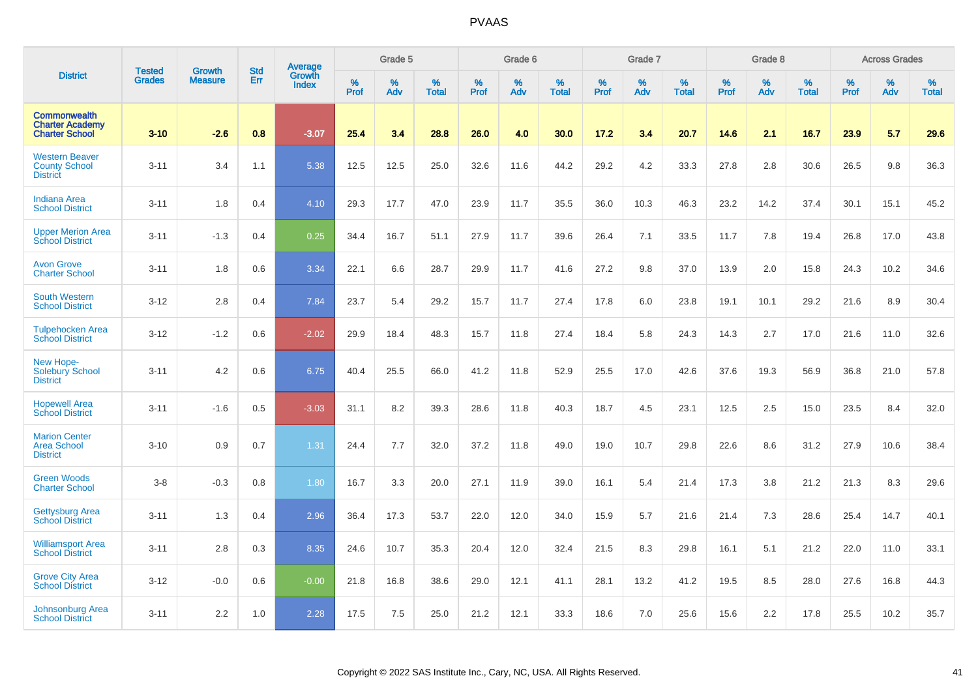|                                                                        |                                |                                 | <b>Std</b> | Average                |              | Grade 5  |                   |           | Grade 6  |                   |           | Grade 7  |                   |           | Grade 8  |                   |           | <b>Across Grades</b> |                   |
|------------------------------------------------------------------------|--------------------------------|---------------------------------|------------|------------------------|--------------|----------|-------------------|-----------|----------|-------------------|-----------|----------|-------------------|-----------|----------|-------------------|-----------|----------------------|-------------------|
| <b>District</b>                                                        | <b>Tested</b><br><b>Grades</b> | <b>Growth</b><br><b>Measure</b> | Err        | Growth<br><b>Index</b> | $\%$<br>Prof | %<br>Adv | %<br><b>Total</b> | %<br>Prof | %<br>Adv | %<br><b>Total</b> | %<br>Prof | %<br>Adv | %<br><b>Total</b> | %<br>Prof | %<br>Adv | %<br><b>Total</b> | %<br>Prof | %<br>Adv             | %<br><b>Total</b> |
| <b>Commonwealth</b><br><b>Charter Academy</b><br><b>Charter School</b> | $3 - 10$                       | $-2.6$                          | 0.8        | $-3.07$                | 25.4         | 3.4      | 28.8              | 26.0      | 4.0      | 30.0              | 17.2      | 3.4      | 20.7              | 14.6      | 2.1      | 16.7              | 23.9      | 5.7                  | 29.6              |
| <b>Western Beaver</b><br><b>County School</b><br><b>District</b>       | $3 - 11$                       | 3.4                             | 1.1        | 5.38                   | 12.5         | 12.5     | 25.0              | 32.6      | 11.6     | 44.2              | 29.2      | 4.2      | 33.3              | 27.8      | 2.8      | 30.6              | 26.5      | 9.8                  | 36.3              |
| <b>Indiana Area</b><br><b>School District</b>                          | $3 - 11$                       | 1.8                             | 0.4        | 4.10                   | 29.3         | 17.7     | 47.0              | 23.9      | 11.7     | 35.5              | 36.0      | 10.3     | 46.3              | 23.2      | 14.2     | 37.4              | 30.1      | 15.1                 | 45.2              |
| <b>Upper Merion Area</b><br><b>School District</b>                     | $3 - 11$                       | $-1.3$                          | 0.4        | 0.25                   | 34.4         | 16.7     | 51.1              | 27.9      | 11.7     | 39.6              | 26.4      | 7.1      | 33.5              | 11.7      | 7.8      | 19.4              | 26.8      | 17.0                 | 43.8              |
| <b>Avon Grove</b><br><b>Charter School</b>                             | $3 - 11$                       | 1.8                             | 0.6        | 3.34                   | 22.1         | 6.6      | 28.7              | 29.9      | 11.7     | 41.6              | 27.2      | 9.8      | 37.0              | 13.9      | 2.0      | 15.8              | 24.3      | 10.2                 | 34.6              |
| <b>South Western</b><br><b>School District</b>                         | $3 - 12$                       | 2.8                             | 0.4        | 7.84                   | 23.7         | 5.4      | 29.2              | 15.7      | 11.7     | 27.4              | 17.8      | 6.0      | 23.8              | 19.1      | 10.1     | 29.2              | 21.6      | 8.9                  | 30.4              |
| <b>Tulpehocken Area</b><br><b>School District</b>                      | $3 - 12$                       | $-1.2$                          | 0.6        | $-2.02$                | 29.9         | 18.4     | 48.3              | 15.7      | 11.8     | 27.4              | 18.4      | 5.8      | 24.3              | 14.3      | 2.7      | 17.0              | 21.6      | 11.0                 | 32.6              |
| New Hope-<br><b>Solebury School</b><br><b>District</b>                 | $3 - 11$                       | 4.2                             | 0.6        | 6.75                   | 40.4         | 25.5     | 66.0              | 41.2      | 11.8     | 52.9              | 25.5      | 17.0     | 42.6              | 37.6      | 19.3     | 56.9              | 36.8      | 21.0                 | 57.8              |
| <b>Hopewell Area</b><br><b>School District</b>                         | $3 - 11$                       | $-1.6$                          | 0.5        | $-3.03$                | 31.1         | 8.2      | 39.3              | 28.6      | 11.8     | 40.3              | 18.7      | 4.5      | 23.1              | 12.5      | 2.5      | 15.0              | 23.5      | 8.4                  | 32.0              |
| <b>Marion Center</b><br><b>Area School</b><br><b>District</b>          | $3 - 10$                       | 0.9                             | 0.7        | 1.31                   | 24.4         | 7.7      | 32.0              | 37.2      | 11.8     | 49.0              | 19.0      | 10.7     | 29.8              | 22.6      | 8.6      | 31.2              | 27.9      | 10.6                 | 38.4              |
| <b>Green Woods</b><br><b>Charter School</b>                            | $3 - 8$                        | $-0.3$                          | 0.8        | 1.80                   | 16.7         | 3.3      | 20.0              | 27.1      | 11.9     | 39.0              | 16.1      | 5.4      | 21.4              | 17.3      | 3.8      | 21.2              | 21.3      | 8.3                  | 29.6              |
| <b>Gettysburg Area</b><br><b>School District</b>                       | $3 - 11$                       | 1.3                             | 0.4        | 2.96                   | 36.4         | 17.3     | 53.7              | 22.0      | 12.0     | 34.0              | 15.9      | 5.7      | 21.6              | 21.4      | 7.3      | 28.6              | 25.4      | 14.7                 | 40.1              |
| <b>Williamsport Area</b><br><b>School District</b>                     | $3 - 11$                       | 2.8                             | 0.3        | 8.35                   | 24.6         | 10.7     | 35.3              | 20.4      | 12.0     | 32.4              | 21.5      | 8.3      | 29.8              | 16.1      | 5.1      | 21.2              | 22.0      | 11.0                 | 33.1              |
| <b>Grove City Area</b><br><b>School District</b>                       | $3 - 12$                       | $-0.0$                          | 0.6        | $-0.00$                | 21.8         | 16.8     | 38.6              | 29.0      | 12.1     | 41.1              | 28.1      | 13.2     | 41.2              | 19.5      | 8.5      | 28.0              | 27.6      | 16.8                 | 44.3              |
| Johnsonburg Area<br><b>School District</b>                             | $3 - 11$                       | 2.2                             | 1.0        | 2.28                   | 17.5         | 7.5      | 25.0              | 21.2      | 12.1     | 33.3              | 18.6      | 7.0      | 25.6              | 15.6      | 2.2      | 17.8              | 25.5      | 10.2                 | 35.7              |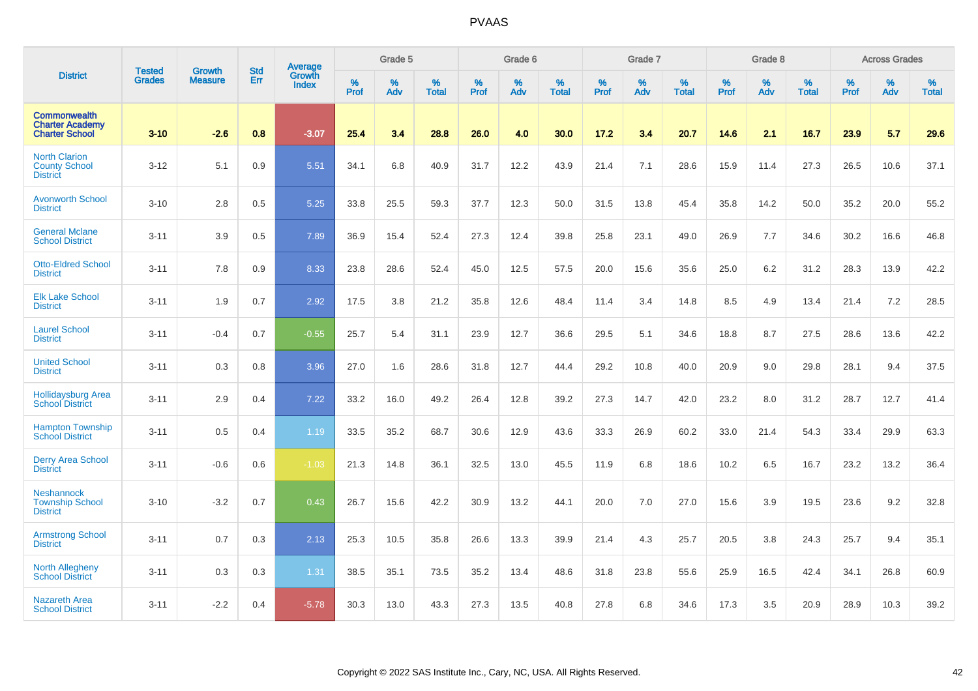|                                                                        | <b>Tested</b> | <b>Growth</b>  | <b>Std</b> | Average         |              | Grade 5  |                   |           | Grade 6  |                   |           | Grade 7  |                   |                  | Grade 8  |                   |           | <b>Across Grades</b> |                   |
|------------------------------------------------------------------------|---------------|----------------|------------|-----------------|--------------|----------|-------------------|-----------|----------|-------------------|-----------|----------|-------------------|------------------|----------|-------------------|-----------|----------------------|-------------------|
| <b>District</b>                                                        | Grades        | <b>Measure</b> | Err        | Growth<br>Index | $\%$<br>Prof | %<br>Adv | %<br><b>Total</b> | %<br>Prof | %<br>Adv | %<br><b>Total</b> | %<br>Prof | %<br>Adv | %<br><b>Total</b> | %<br><b>Prof</b> | %<br>Adv | %<br><b>Total</b> | %<br>Prof | %<br>Adv             | %<br><b>Total</b> |
| <b>Commonwealth</b><br><b>Charter Academy</b><br><b>Charter School</b> | $3 - 10$      | $-2.6$         | 0.8        | $-3.07$         | 25.4         | 3.4      | 28.8              | 26.0      | 4.0      | 30.0              | 17.2      | 3.4      | 20.7              | 14.6             | 2.1      | 16.7              | 23.9      | 5.7                  | 29.6              |
| <b>North Clarion</b><br><b>County School</b><br><b>District</b>        | $3 - 12$      | 5.1            | 0.9        | 5.51            | 34.1         | 6.8      | 40.9              | 31.7      | 12.2     | 43.9              | 21.4      | 7.1      | 28.6              | 15.9             | 11.4     | 27.3              | 26.5      | 10.6                 | 37.1              |
| <b>Avonworth School</b><br><b>District</b>                             | $3 - 10$      | 2.8            | 0.5        | 5.25            | 33.8         | 25.5     | 59.3              | 37.7      | 12.3     | 50.0              | 31.5      | 13.8     | 45.4              | 35.8             | 14.2     | 50.0              | 35.2      | 20.0                 | 55.2              |
| <b>General Mclane</b><br><b>School District</b>                        | $3 - 11$      | 3.9            | 0.5        | 7.89            | 36.9         | 15.4     | 52.4              | 27.3      | 12.4     | 39.8              | 25.8      | 23.1     | 49.0              | 26.9             | 7.7      | 34.6              | 30.2      | 16.6                 | 46.8              |
| <b>Otto-Eldred School</b><br><b>District</b>                           | $3 - 11$      | 7.8            | 0.9        | 8.33            | 23.8         | 28.6     | 52.4              | 45.0      | 12.5     | 57.5              | 20.0      | 15.6     | 35.6              | 25.0             | 6.2      | 31.2              | 28.3      | 13.9                 | 42.2              |
| <b>Elk Lake School</b><br><b>District</b>                              | $3 - 11$      | 1.9            | 0.7        | 2.92            | 17.5         | 3.8      | 21.2              | 35.8      | 12.6     | 48.4              | 11.4      | 3.4      | 14.8              | 8.5              | 4.9      | 13.4              | 21.4      | 7.2                  | 28.5              |
| <b>Laurel School</b><br><b>District</b>                                | $3 - 11$      | $-0.4$         | 0.7        | $-0.55$         | 25.7         | 5.4      | 31.1              | 23.9      | 12.7     | 36.6              | 29.5      | 5.1      | 34.6              | 18.8             | 8.7      | 27.5              | 28.6      | 13.6                 | 42.2              |
| <b>United School</b><br><b>District</b>                                | $3 - 11$      | 0.3            | 0.8        | 3.96            | 27.0         | 1.6      | 28.6              | 31.8      | 12.7     | 44.4              | 29.2      | 10.8     | 40.0              | 20.9             | 9.0      | 29.8              | 28.1      | 9.4                  | 37.5              |
| <b>Hollidaysburg Area</b><br><b>School District</b>                    | $3 - 11$      | 2.9            | 0.4        | 7.22            | 33.2         | 16.0     | 49.2              | 26.4      | 12.8     | 39.2              | 27.3      | 14.7     | 42.0              | 23.2             | 8.0      | 31.2              | 28.7      | 12.7                 | 41.4              |
| <b>Hampton Township</b><br><b>School District</b>                      | $3 - 11$      | 0.5            | 0.4        | 1.19            | 33.5         | 35.2     | 68.7              | 30.6      | 12.9     | 43.6              | 33.3      | 26.9     | 60.2              | 33.0             | 21.4     | 54.3              | 33.4      | 29.9                 | 63.3              |
| <b>Derry Area School</b><br><b>District</b>                            | $3 - 11$      | $-0.6$         | 0.6        | $-1.03$         | 21.3         | 14.8     | 36.1              | 32.5      | 13.0     | 45.5              | 11.9      | 6.8      | 18.6              | 10.2             | 6.5      | 16.7              | 23.2      | 13.2                 | 36.4              |
| <b>Neshannock</b><br><b>Township School</b><br><b>District</b>         | $3 - 10$      | $-3.2$         | 0.7        | 0.43            | 26.7         | 15.6     | 42.2              | 30.9      | 13.2     | 44.1              | 20.0      | 7.0      | 27.0              | 15.6             | 3.9      | 19.5              | 23.6      | 9.2                  | 32.8              |
| <b>Armstrong School</b><br><b>District</b>                             | $3 - 11$      | 0.7            | 0.3        | 2.13            | 25.3         | 10.5     | 35.8              | 26.6      | 13.3     | 39.9              | 21.4      | 4.3      | 25.7              | 20.5             | 3.8      | 24.3              | 25.7      | 9.4                  | 35.1              |
| <b>North Allegheny</b><br><b>School District</b>                       | $3 - 11$      | 0.3            | 0.3        | 1.31            | 38.5         | 35.1     | 73.5              | 35.2      | 13.4     | 48.6              | 31.8      | 23.8     | 55.6              | 25.9             | 16.5     | 42.4              | 34.1      | 26.8                 | 60.9              |
| <b>Nazareth Area</b><br><b>School District</b>                         | $3 - 11$      | $-2.2$         | 0.4        | $-5.78$         | 30.3         | 13.0     | 43.3              | 27.3      | 13.5     | 40.8              | 27.8      | 6.8      | 34.6              | 17.3             | 3.5      | 20.9              | 28.9      | 10.3                 | 39.2              |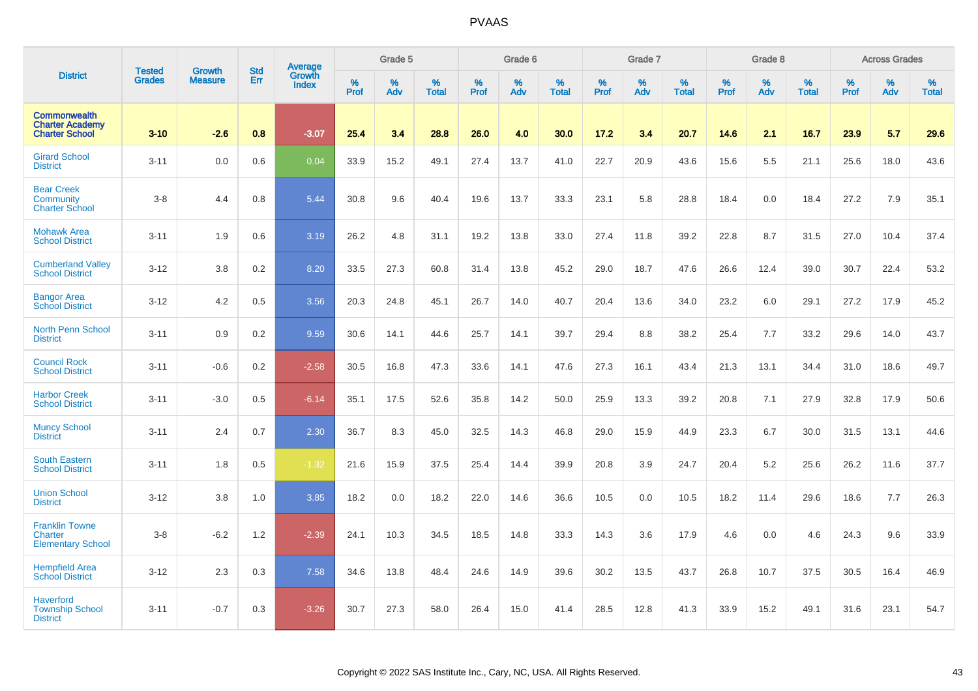|                                                                        | <b>Tested</b> | <b>Growth</b>  | <b>Std</b> |                                   |                     | Grade 5  |                   |           | Grade 6  |                   |                  | Grade 7  |                   |                  | Grade 8     |                   |           | <b>Across Grades</b> |                   |
|------------------------------------------------------------------------|---------------|----------------|------------|-----------------------------------|---------------------|----------|-------------------|-----------|----------|-------------------|------------------|----------|-------------------|------------------|-------------|-------------------|-----------|----------------------|-------------------|
| <b>District</b>                                                        | <b>Grades</b> | <b>Measure</b> | Err        | Average<br>Growth<br><b>Index</b> | $\%$<br><b>Prof</b> | %<br>Adv | %<br><b>Total</b> | %<br>Prof | %<br>Adv | %<br><b>Total</b> | %<br><b>Prof</b> | %<br>Adv | %<br><b>Total</b> | %<br><b>Prof</b> | $\%$<br>Adv | %<br><b>Total</b> | %<br>Prof | %<br>Adv             | %<br><b>Total</b> |
| <b>Commonwealth</b><br><b>Charter Academy</b><br><b>Charter School</b> | $3 - 10$      | $-2.6$         | 0.8        | $-3.07$                           | 25.4                | 3.4      | 28.8              | 26.0      | 4.0      | 30.0              | 17.2             | 3.4      | 20.7              | 14.6             | 2.1         | 16.7              | 23.9      | 5.7                  | 29.6              |
| <b>Girard School</b><br><b>District</b>                                | $3 - 11$      | 0.0            | 0.6        | 0.04                              | 33.9                | 15.2     | 49.1              | 27.4      | 13.7     | 41.0              | 22.7             | 20.9     | 43.6              | 15.6             | 5.5         | 21.1              | 25.6      | 18.0                 | 43.6              |
| <b>Bear Creek</b><br>Community<br><b>Charter School</b>                | $3-8$         | 4.4            | 0.8        | 5.44                              | 30.8                | 9.6      | 40.4              | 19.6      | 13.7     | 33.3              | 23.1             | 5.8      | 28.8              | 18.4             | 0.0         | 18.4              | 27.2      | 7.9                  | 35.1              |
| <b>Mohawk Area</b><br><b>School District</b>                           | $3 - 11$      | 1.9            | 0.6        | 3.19                              | 26.2                | 4.8      | 31.1              | 19.2      | 13.8     | 33.0              | 27.4             | 11.8     | 39.2              | 22.8             | 8.7         | 31.5              | 27.0      | 10.4                 | 37.4              |
| <b>Cumberland Valley</b><br><b>School District</b>                     | $3 - 12$      | 3.8            | 0.2        | 8.20                              | 33.5                | 27.3     | 60.8              | 31.4      | 13.8     | 45.2              | 29.0             | 18.7     | 47.6              | 26.6             | 12.4        | 39.0              | 30.7      | 22.4                 | 53.2              |
| <b>Bangor Area</b><br><b>School District</b>                           | $3 - 12$      | 4.2            | 0.5        | 3.56                              | 20.3                | 24.8     | 45.1              | 26.7      | 14.0     | 40.7              | 20.4             | 13.6     | 34.0              | 23.2             | 6.0         | 29.1              | 27.2      | 17.9                 | 45.2              |
| <b>North Penn School</b><br><b>District</b>                            | $3 - 11$      | 0.9            | 0.2        | 9.59                              | 30.6                | 14.1     | 44.6              | 25.7      | 14.1     | 39.7              | 29.4             | 8.8      | 38.2              | 25.4             | 7.7         | 33.2              | 29.6      | 14.0                 | 43.7              |
| <b>Council Rock</b><br><b>School District</b>                          | $3 - 11$      | $-0.6$         | 0.2        | $-2.58$                           | 30.5                | 16.8     | 47.3              | 33.6      | 14.1     | 47.6              | 27.3             | 16.1     | 43.4              | 21.3             | 13.1        | 34.4              | 31.0      | 18.6                 | 49.7              |
| <b>Harbor Creek</b><br><b>School District</b>                          | $3 - 11$      | $-3.0$         | 0.5        | $-6.14$                           | 35.1                | 17.5     | 52.6              | 35.8      | 14.2     | 50.0              | 25.9             | 13.3     | 39.2              | 20.8             | 7.1         | 27.9              | 32.8      | 17.9                 | 50.6              |
| <b>Muncy School</b><br><b>District</b>                                 | $3 - 11$      | 2.4            | 0.7        | 2.30                              | 36.7                | 8.3      | 45.0              | 32.5      | 14.3     | 46.8              | 29.0             | 15.9     | 44.9              | 23.3             | 6.7         | 30.0              | 31.5      | 13.1                 | 44.6              |
| <b>South Eastern</b><br><b>School District</b>                         | $3 - 11$      | 1.8            | 0.5        | $-1.32$                           | 21.6                | 15.9     | 37.5              | 25.4      | 14.4     | 39.9              | 20.8             | 3.9      | 24.7              | 20.4             | 5.2         | 25.6              | 26.2      | 11.6                 | 37.7              |
| <b>Union School</b><br><b>District</b>                                 | $3 - 12$      | 3.8            | 1.0        | 3.85                              | 18.2                | 0.0      | 18.2              | 22.0      | 14.6     | 36.6              | 10.5             | 0.0      | 10.5              | 18.2             | 11.4        | 29.6              | 18.6      | 7.7                  | 26.3              |
| <b>Franklin Towne</b><br>Charter<br><b>Elementary School</b>           | $3-8$         | $-6.2$         | 1.2        | $-2.39$                           | 24.1                | 10.3     | 34.5              | 18.5      | 14.8     | 33.3              | 14.3             | 3.6      | 17.9              | 4.6              | 0.0         | 4.6               | 24.3      | 9.6                  | 33.9              |
| <b>Hempfield Area</b><br><b>School District</b>                        | $3 - 12$      | 2.3            | 0.3        | 7.58                              | 34.6                | 13.8     | 48.4              | 24.6      | 14.9     | 39.6              | 30.2             | 13.5     | 43.7              | 26.8             | 10.7        | 37.5              | 30.5      | 16.4                 | 46.9              |
| <b>Haverford</b><br><b>Township School</b><br><b>District</b>          | $3 - 11$      | $-0.7$         | 0.3        | $-3.26$                           | 30.7                | 27.3     | 58.0              | 26.4      | 15.0     | 41.4              | 28.5             | 12.8     | 41.3              | 33.9             | 15.2        | 49.1              | 31.6      | 23.1                 | 54.7              |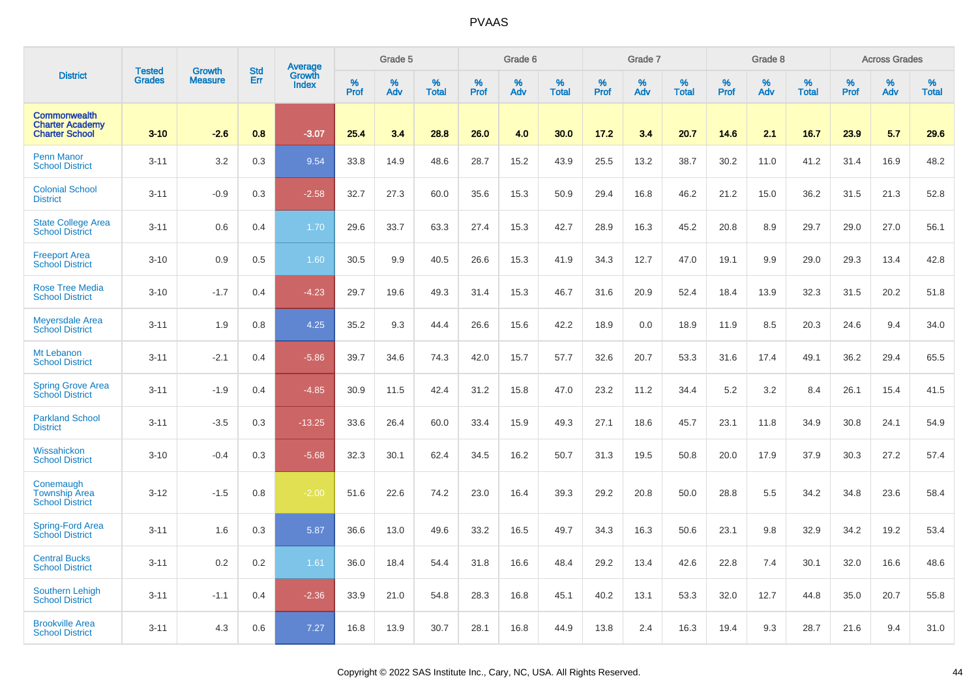|                                                                        |                                |                                 | <b>Std</b> | Average                |                     | Grade 5  |                   |           | Grade 6  |                   |              | Grade 7  |                   |           | Grade 8  |                   |                  | <b>Across Grades</b> |                   |
|------------------------------------------------------------------------|--------------------------------|---------------------------------|------------|------------------------|---------------------|----------|-------------------|-----------|----------|-------------------|--------------|----------|-------------------|-----------|----------|-------------------|------------------|----------------------|-------------------|
| <b>District</b>                                                        | <b>Tested</b><br><b>Grades</b> | <b>Growth</b><br><b>Measure</b> | Err        | Growth<br><b>Index</b> | $\%$<br><b>Prof</b> | %<br>Adv | %<br><b>Total</b> | %<br>Prof | %<br>Adv | %<br><b>Total</b> | $\%$<br>Prof | %<br>Adv | %<br><b>Total</b> | %<br>Prof | %<br>Adv | %<br><b>Total</b> | %<br><b>Prof</b> | %<br>Adv             | %<br><b>Total</b> |
| <b>Commonwealth</b><br><b>Charter Academy</b><br><b>Charter School</b> | $3 - 10$                       | $-2.6$                          | 0.8        | $-3.07$                | 25.4                | 3.4      | 28.8              | 26.0      | 4.0      | 30.0              | 17.2         | 3.4      | 20.7              | 14.6      | 2.1      | 16.7              | 23.9             | 5.7                  | 29.6              |
| <b>Penn Manor</b><br><b>School District</b>                            | $3 - 11$                       | 3.2                             | 0.3        | 9.54                   | 33.8                | 14.9     | 48.6              | 28.7      | 15.2     | 43.9              | 25.5         | 13.2     | 38.7              | 30.2      | 11.0     | 41.2              | 31.4             | 16.9                 | 48.2              |
| <b>Colonial School</b><br><b>District</b>                              | $3 - 11$                       | $-0.9$                          | 0.3        | $-2.58$                | 32.7                | 27.3     | 60.0              | 35.6      | 15.3     | 50.9              | 29.4         | 16.8     | 46.2              | 21.2      | 15.0     | 36.2              | 31.5             | 21.3                 | 52.8              |
| <b>State College Area</b><br><b>School District</b>                    | $3 - 11$                       | 0.6                             | 0.4        | 1.70                   | 29.6                | 33.7     | 63.3              | 27.4      | 15.3     | 42.7              | 28.9         | 16.3     | 45.2              | 20.8      | 8.9      | 29.7              | 29.0             | 27.0                 | 56.1              |
| <b>Freeport Area</b><br><b>School District</b>                         | $3 - 10$                       | 0.9                             | 0.5        | 1.60                   | 30.5                | 9.9      | 40.5              | 26.6      | 15.3     | 41.9              | 34.3         | 12.7     | 47.0              | 19.1      | 9.9      | 29.0              | 29.3             | 13.4                 | 42.8              |
| <b>Rose Tree Media</b><br><b>School District</b>                       | $3 - 10$                       | $-1.7$                          | 0.4        | $-4.23$                | 29.7                | 19.6     | 49.3              | 31.4      | 15.3     | 46.7              | 31.6         | 20.9     | 52.4              | 18.4      | 13.9     | 32.3              | 31.5             | 20.2                 | 51.8              |
| <b>Meyersdale Area</b><br><b>School District</b>                       | $3 - 11$                       | 1.9                             | 0.8        | 4.25                   | 35.2                | 9.3      | 44.4              | 26.6      | 15.6     | 42.2              | 18.9         | 0.0      | 18.9              | 11.9      | 8.5      | 20.3              | 24.6             | 9.4                  | 34.0              |
| Mt Lebanon<br><b>School District</b>                                   | $3 - 11$                       | $-2.1$                          | 0.4        | $-5.86$                | 39.7                | 34.6     | 74.3              | 42.0      | 15.7     | 57.7              | 32.6         | 20.7     | 53.3              | 31.6      | 17.4     | 49.1              | 36.2             | 29.4                 | 65.5              |
| <b>Spring Grove Area</b><br>School District                            | $3 - 11$                       | $-1.9$                          | 0.4        | $-4.85$                | 30.9                | 11.5     | 42.4              | 31.2      | 15.8     | 47.0              | 23.2         | 11.2     | 34.4              | 5.2       | 3.2      | 8.4               | 26.1             | 15.4                 | 41.5              |
| <b>Parkland School</b><br><b>District</b>                              | $3 - 11$                       | $-3.5$                          | 0.3        | $-13.25$               | 33.6                | 26.4     | 60.0              | 33.4      | 15.9     | 49.3              | 27.1         | 18.6     | 45.7              | 23.1      | 11.8     | 34.9              | 30.8             | 24.1                 | 54.9              |
| Wissahickon<br><b>School District</b>                                  | $3 - 10$                       | $-0.4$                          | 0.3        | $-5.68$                | 32.3                | 30.1     | 62.4              | 34.5      | 16.2     | 50.7              | 31.3         | 19.5     | 50.8              | 20.0      | 17.9     | 37.9              | 30.3             | 27.2                 | 57.4              |
| Conemaugh<br><b>Township Area</b><br><b>School District</b>            | $3 - 12$                       | $-1.5$                          | 0.8        | $-2.00$                | 51.6                | 22.6     | 74.2              | 23.0      | 16.4     | 39.3              | 29.2         | 20.8     | 50.0              | 28.8      | 5.5      | 34.2              | 34.8             | 23.6                 | 58.4              |
| Spring-Ford Area<br><b>School District</b>                             | $3 - 11$                       | 1.6                             | 0.3        | 5.87                   | 36.6                | 13.0     | 49.6              | 33.2      | 16.5     | 49.7              | 34.3         | 16.3     | 50.6              | 23.1      | 9.8      | 32.9              | 34.2             | 19.2                 | 53.4              |
| <b>Central Bucks</b><br><b>School District</b>                         | $3 - 11$                       | 0.2                             | 0.2        | 1.61                   | 36.0                | 18.4     | 54.4              | 31.8      | 16.6     | 48.4              | 29.2         | 13.4     | 42.6              | 22.8      | 7.4      | 30.1              | 32.0             | 16.6                 | 48.6              |
| Southern Lehigh<br><b>School District</b>                              | $3 - 11$                       | $-1.1$                          | 0.4        | $-2.36$                | 33.9                | 21.0     | 54.8              | 28.3      | 16.8     | 45.1              | 40.2         | 13.1     | 53.3              | 32.0      | 12.7     | 44.8              | 35.0             | 20.7                 | 55.8              |
| <b>Brookville Area</b><br><b>School District</b>                       | $3 - 11$                       | 4.3                             | 0.6        | 7.27                   | 16.8                | 13.9     | 30.7              | 28.1      | 16.8     | 44.9              | 13.8         | 2.4      | 16.3              | 19.4      | 9.3      | 28.7              | 21.6             | 9.4                  | 31.0              |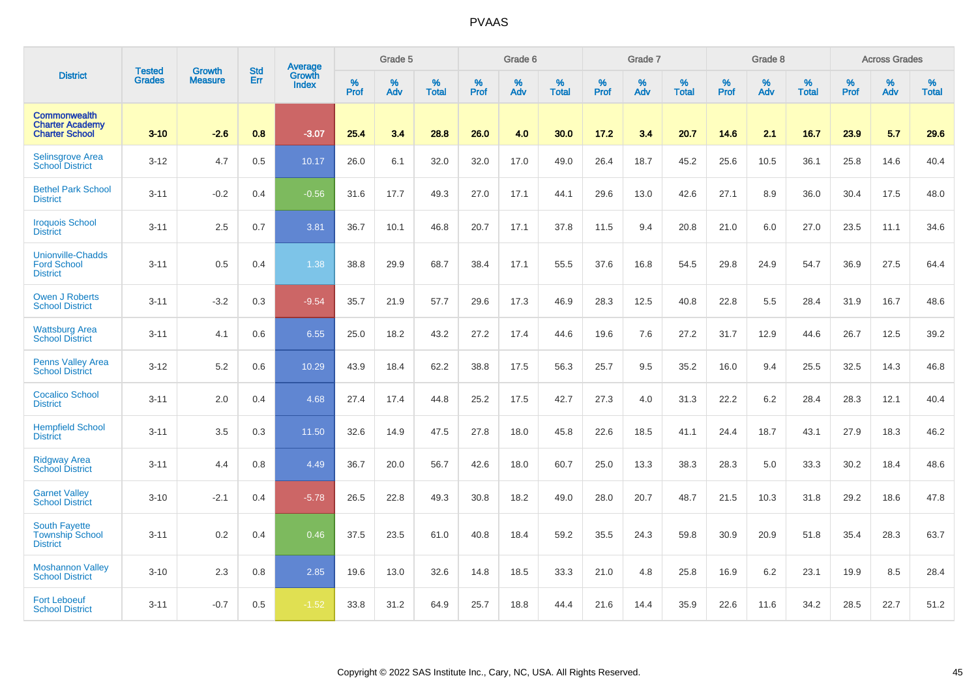|                                                                        |                                |                                 | <b>Std</b> | Average                       |           | Grade 5  |                   |           | Grade 6  |                   |           | Grade 7  |                   |           | Grade 8  |                   |           | <b>Across Grades</b> |                   |
|------------------------------------------------------------------------|--------------------------------|---------------------------------|------------|-------------------------------|-----------|----------|-------------------|-----------|----------|-------------------|-----------|----------|-------------------|-----------|----------|-------------------|-----------|----------------------|-------------------|
| <b>District</b>                                                        | <b>Tested</b><br><b>Grades</b> | <b>Growth</b><br><b>Measure</b> | Err        | <b>Growth</b><br><b>Index</b> | %<br>Prof | %<br>Adv | %<br><b>Total</b> | %<br>Prof | %<br>Adv | %<br><b>Total</b> | %<br>Prof | %<br>Adv | %<br><b>Total</b> | %<br>Prof | %<br>Adv | %<br><b>Total</b> | %<br>Prof | %<br>Adv             | %<br><b>Total</b> |
| <b>Commonwealth</b><br><b>Charter Academy</b><br><b>Charter School</b> | $3 - 10$                       | $-2.6$                          | 0.8        | $-3.07$                       | 25.4      | 3.4      | 28.8              | 26.0      | 4.0      | 30.0              | 17.2      | 3.4      | 20.7              | 14.6      | 2.1      | 16.7              | 23.9      | 5.7                  | 29.6              |
| <b>Selinsgrove Area</b><br><b>School District</b>                      | $3 - 12$                       | 4.7                             | 0.5        | 10.17                         | 26.0      | 6.1      | 32.0              | 32.0      | 17.0     | 49.0              | 26.4      | 18.7     | 45.2              | 25.6      | 10.5     | 36.1              | 25.8      | 14.6                 | 40.4              |
| <b>Bethel Park School</b><br><b>District</b>                           | $3 - 11$                       | $-0.2$                          | 0.4        | $-0.56$                       | 31.6      | 17.7     | 49.3              | 27.0      | 17.1     | 44.1              | 29.6      | 13.0     | 42.6              | 27.1      | 8.9      | 36.0              | 30.4      | 17.5                 | 48.0              |
| <b>Iroquois School</b><br><b>District</b>                              | $3 - 11$                       | 2.5                             | 0.7        | 3.81                          | 36.7      | 10.1     | 46.8              | 20.7      | 17.1     | 37.8              | 11.5      | 9.4      | 20.8              | 21.0      | 6.0      | 27.0              | 23.5      | 11.1                 | 34.6              |
| <b>Unionville-Chadds</b><br><b>Ford School</b><br><b>District</b>      | $3 - 11$                       | 0.5                             | 0.4        | 1.38                          | 38.8      | 29.9     | 68.7              | 38.4      | 17.1     | 55.5              | 37.6      | 16.8     | 54.5              | 29.8      | 24.9     | 54.7              | 36.9      | 27.5                 | 64.4              |
| <b>Owen J Roberts</b><br><b>School District</b>                        | $3 - 11$                       | $-3.2$                          | 0.3        | $-9.54$                       | 35.7      | 21.9     | 57.7              | 29.6      | 17.3     | 46.9              | 28.3      | 12.5     | 40.8              | 22.8      | 5.5      | 28.4              | 31.9      | 16.7                 | 48.6              |
| <b>Wattsburg Area</b><br><b>School District</b>                        | $3 - 11$                       | 4.1                             | 0.6        | 6.55                          | 25.0      | 18.2     | 43.2              | 27.2      | 17.4     | 44.6              | 19.6      | 7.6      | 27.2              | 31.7      | 12.9     | 44.6              | 26.7      | 12.5                 | 39.2              |
| <b>Penns Valley Area</b><br><b>School District</b>                     | $3 - 12$                       | 5.2                             | 0.6        | 10.29                         | 43.9      | 18.4     | 62.2              | 38.8      | 17.5     | 56.3              | 25.7      | 9.5      | 35.2              | 16.0      | 9.4      | 25.5              | 32.5      | 14.3                 | 46.8              |
| <b>Cocalico School</b><br><b>District</b>                              | $3 - 11$                       | 2.0                             | 0.4        | 4.68                          | 27.4      | 17.4     | 44.8              | 25.2      | 17.5     | 42.7              | 27.3      | 4.0      | 31.3              | 22.2      | 6.2      | 28.4              | 28.3      | 12.1                 | 40.4              |
| <b>Hempfield School</b><br><b>District</b>                             | $3 - 11$                       | 3.5                             | 0.3        | 11.50                         | 32.6      | 14.9     | 47.5              | 27.8      | 18.0     | 45.8              | 22.6      | 18.5     | 41.1              | 24.4      | 18.7     | 43.1              | 27.9      | 18.3                 | 46.2              |
| <b>Ridgway Area</b><br><b>School District</b>                          | $3 - 11$                       | 4.4                             | 0.8        | 4.49                          | 36.7      | 20.0     | 56.7              | 42.6      | 18.0     | 60.7              | 25.0      | 13.3     | 38.3              | 28.3      | 5.0      | 33.3              | 30.2      | 18.4                 | 48.6              |
| <b>Garnet Valley</b><br><b>School District</b>                         | $3 - 10$                       | $-2.1$                          | 0.4        | $-5.78$                       | 26.5      | 22.8     | 49.3              | 30.8      | 18.2     | 49.0              | 28.0      | 20.7     | 48.7              | 21.5      | 10.3     | 31.8              | 29.2      | 18.6                 | 47.8              |
| <b>South Fayette</b><br><b>Township School</b><br><b>District</b>      | $3 - 11$                       | 0.2                             | 0.4        | 0.46                          | 37.5      | 23.5     | 61.0              | 40.8      | 18.4     | 59.2              | 35.5      | 24.3     | 59.8              | 30.9      | 20.9     | 51.8              | 35.4      | 28.3                 | 63.7              |
| <b>Moshannon Valley</b><br><b>School District</b>                      | $3 - 10$                       | 2.3                             | 0.8        | 2.85                          | 19.6      | 13.0     | 32.6              | 14.8      | 18.5     | 33.3              | 21.0      | 4.8      | 25.8              | 16.9      | 6.2      | 23.1              | 19.9      | 8.5                  | 28.4              |
| <b>Fort Leboeuf</b><br><b>School District</b>                          | $3 - 11$                       | $-0.7$                          | 0.5        | $-1.52$                       | 33.8      | 31.2     | 64.9              | 25.7      | 18.8     | 44.4              | 21.6      | 14.4     | 35.9              | 22.6      | 11.6     | 34.2              | 28.5      | 22.7                 | 51.2              |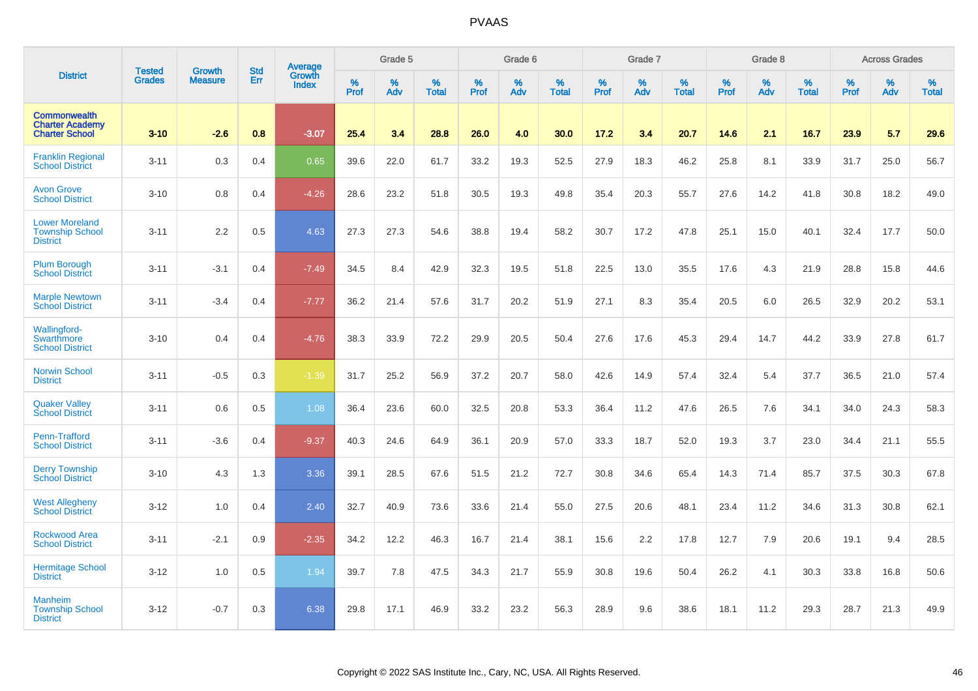|                                                                        |                                |                                 | <b>Std</b> | <b>Average</b>         |           | Grade 5  |                   |           | Grade 6  |                   |           | Grade 7  |                   |           | Grade 8  |                   |           | <b>Across Grades</b> |                   |
|------------------------------------------------------------------------|--------------------------------|---------------------------------|------------|------------------------|-----------|----------|-------------------|-----------|----------|-------------------|-----------|----------|-------------------|-----------|----------|-------------------|-----------|----------------------|-------------------|
| <b>District</b>                                                        | <b>Tested</b><br><b>Grades</b> | <b>Growth</b><br><b>Measure</b> | Err        | Growth<br><b>Index</b> | %<br>Prof | %<br>Adv | %<br><b>Total</b> | %<br>Prof | %<br>Adv | %<br><b>Total</b> | %<br>Prof | %<br>Adv | %<br><b>Total</b> | %<br>Prof | %<br>Adv | %<br><b>Total</b> | %<br>Prof | %<br>Adv             | %<br><b>Total</b> |
| <b>Commonwealth</b><br><b>Charter Academy</b><br><b>Charter School</b> | $3 - 10$                       | $-2.6$                          | 0.8        | $-3.07$                | 25.4      | 3.4      | 28.8              | 26.0      | 4.0      | 30.0              | 17.2      | 3.4      | 20.7              | 14.6      | 2.1      | 16.7              | 23.9      | 5.7                  | 29.6              |
| <b>Franklin Regional</b><br><b>School District</b>                     | $3 - 11$                       | 0.3                             | 0.4        | 0.65                   | 39.6      | 22.0     | 61.7              | 33.2      | 19.3     | 52.5              | 27.9      | 18.3     | 46.2              | 25.8      | 8.1      | 33.9              | 31.7      | 25.0                 | 56.7              |
| <b>Avon Grove</b><br><b>School District</b>                            | $3 - 10$                       | 0.8                             | 0.4        | $-4.26$                | 28.6      | 23.2     | 51.8              | 30.5      | 19.3     | 49.8              | 35.4      | 20.3     | 55.7              | 27.6      | 14.2     | 41.8              | 30.8      | 18.2                 | 49.0              |
| <b>Lower Moreland</b><br><b>Township School</b><br><b>District</b>     | $3 - 11$                       | 2.2                             | 0.5        | 4.63                   | 27.3      | 27.3     | 54.6              | 38.8      | 19.4     | 58.2              | 30.7      | 17.2     | 47.8              | 25.1      | 15.0     | 40.1              | 32.4      | 17.7                 | 50.0              |
| <b>Plum Borough</b><br><b>School District</b>                          | $3 - 11$                       | $-3.1$                          | 0.4        | $-7.49$                | 34.5      | 8.4      | 42.9              | 32.3      | 19.5     | 51.8              | 22.5      | 13.0     | 35.5              | 17.6      | 4.3      | 21.9              | 28.8      | 15.8                 | 44.6              |
| <b>Marple Newtown</b><br><b>School District</b>                        | $3 - 11$                       | $-3.4$                          | 0.4        | $-7.77$                | 36.2      | 21.4     | 57.6              | 31.7      | 20.2     | 51.9              | 27.1      | 8.3      | 35.4              | 20.5      | 6.0      | 26.5              | 32.9      | 20.2                 | 53.1              |
| <b>Wallingford-</b><br>Swarthmore<br><b>School District</b>            | $3 - 10$                       | 0.4                             | 0.4        | $-4.76$                | 38.3      | 33.9     | 72.2              | 29.9      | 20.5     | 50.4              | 27.6      | 17.6     | 45.3              | 29.4      | 14.7     | 44.2              | 33.9      | 27.8                 | 61.7              |
| <b>Norwin School</b><br><b>District</b>                                | $3 - 11$                       | $-0.5$                          | 0.3        | $-1.39$                | 31.7      | 25.2     | 56.9              | 37.2      | 20.7     | 58.0              | 42.6      | 14.9     | 57.4              | 32.4      | 5.4      | 37.7              | 36.5      | 21.0                 | 57.4              |
| <b>Quaker Valley</b><br><b>School District</b>                         | $3 - 11$                       | 0.6                             | 0.5        | 1.08                   | 36.4      | 23.6     | 60.0              | 32.5      | 20.8     | 53.3              | 36.4      | 11.2     | 47.6              | 26.5      | 7.6      | 34.1              | 34.0      | 24.3                 | 58.3              |
| Penn-Trafford<br><b>School District</b>                                | $3 - 11$                       | $-3.6$                          | 0.4        | $-9.37$                | 40.3      | 24.6     | 64.9              | 36.1      | 20.9     | 57.0              | 33.3      | 18.7     | 52.0              | 19.3      | 3.7      | 23.0              | 34.4      | 21.1                 | 55.5              |
| <b>Derry Township</b><br>School District                               | $3 - 10$                       | 4.3                             | 1.3        | 3.36                   | 39.1      | 28.5     | 67.6              | 51.5      | 21.2     | 72.7              | 30.8      | 34.6     | 65.4              | 14.3      | 71.4     | 85.7              | 37.5      | 30.3                 | 67.8              |
| <b>West Allegheny</b><br><b>School District</b>                        | $3 - 12$                       | 1.0                             | 0.4        | 2.40                   | 32.7      | 40.9     | 73.6              | 33.6      | 21.4     | 55.0              | 27.5      | 20.6     | 48.1              | 23.4      | 11.2     | 34.6              | 31.3      | 30.8                 | 62.1              |
| Rockwood Area<br><b>School District</b>                                | $3 - 11$                       | $-2.1$                          | 0.9        | $-2.35$                | 34.2      | 12.2     | 46.3              | 16.7      | 21.4     | 38.1              | 15.6      | 2.2      | 17.8              | 12.7      | 7.9      | 20.6              | 19.1      | 9.4                  | 28.5              |
| <b>Hermitage School</b><br><b>District</b>                             | $3 - 12$                       | 1.0                             | 0.5        | 1.94                   | 39.7      | 7.8      | 47.5              | 34.3      | 21.7     | 55.9              | 30.8      | 19.6     | 50.4              | 26.2      | 4.1      | 30.3              | 33.8      | 16.8                 | 50.6              |
| <b>Manheim</b><br><b>Township School</b><br><b>District</b>            | $3 - 12$                       | $-0.7$                          | 0.3        | 6.38                   | 29.8      | 17.1     | 46.9              | 33.2      | 23.2     | 56.3              | 28.9      | 9.6      | 38.6              | 18.1      | 11.2     | 29.3              | 28.7      | 21.3                 | 49.9              |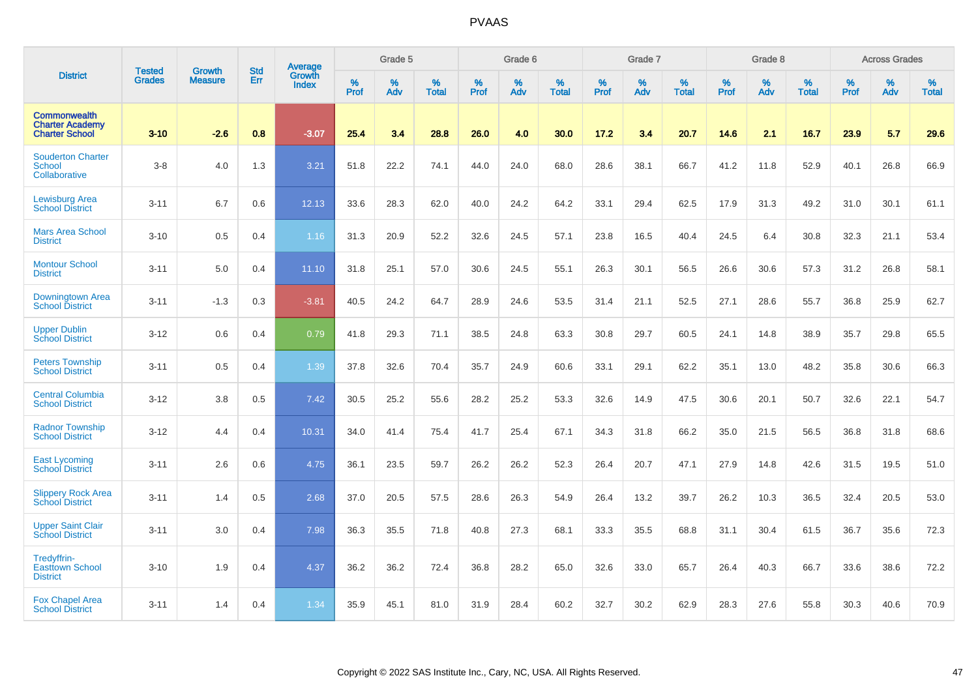|                                                                        |                                |                                 | <b>Std</b> | Average                       |           | Grade 5  |                   |           | Grade 6  |                   |           | Grade 7  |                   |           | Grade 8  |                   |           | <b>Across Grades</b> |                   |
|------------------------------------------------------------------------|--------------------------------|---------------------------------|------------|-------------------------------|-----------|----------|-------------------|-----------|----------|-------------------|-----------|----------|-------------------|-----------|----------|-------------------|-----------|----------------------|-------------------|
| <b>District</b>                                                        | <b>Tested</b><br><b>Grades</b> | <b>Growth</b><br><b>Measure</b> | Err        | <b>Growth</b><br><b>Index</b> | %<br>Prof | %<br>Adv | %<br><b>Total</b> | %<br>Prof | %<br>Adv | %<br><b>Total</b> | %<br>Prof | %<br>Adv | %<br><b>Total</b> | %<br>Prof | %<br>Adv | %<br><b>Total</b> | %<br>Prof | %<br>Adv             | %<br><b>Total</b> |
| <b>Commonwealth</b><br><b>Charter Academy</b><br><b>Charter School</b> | $3 - 10$                       | $-2.6$                          | 0.8        | $-3.07$                       | 25.4      | 3.4      | 28.8              | 26.0      | 4.0      | 30.0              | 17.2      | 3.4      | 20.7              | 14.6      | 2.1      | 16.7              | 23.9      | 5.7                  | 29.6              |
| <b>Souderton Charter</b><br><b>School</b><br>Collaborative             | $3-8$                          | 4.0                             | 1.3        | 3.21                          | 51.8      | 22.2     | 74.1              | 44.0      | 24.0     | 68.0              | 28.6      | 38.1     | 66.7              | 41.2      | 11.8     | 52.9              | 40.1      | 26.8                 | 66.9              |
| <b>Lewisburg Area</b><br><b>School District</b>                        | $3 - 11$                       | 6.7                             | 0.6        | 12.13                         | 33.6      | 28.3     | 62.0              | 40.0      | 24.2     | 64.2              | 33.1      | 29.4     | 62.5              | 17.9      | 31.3     | 49.2              | 31.0      | 30.1                 | 61.1              |
| <b>Mars Area School</b><br><b>District</b>                             | $3 - 10$                       | 0.5                             | 0.4        | 1.16                          | 31.3      | 20.9     | 52.2              | 32.6      | 24.5     | 57.1              | 23.8      | 16.5     | 40.4              | 24.5      | 6.4      | 30.8              | 32.3      | 21.1                 | 53.4              |
| <b>Montour School</b><br><b>District</b>                               | $3 - 11$                       | 5.0                             | 0.4        | 11.10                         | 31.8      | 25.1     | 57.0              | 30.6      | 24.5     | 55.1              | 26.3      | 30.1     | 56.5              | 26.6      | 30.6     | 57.3              | 31.2      | 26.8                 | 58.1              |
| Downingtown Area<br><b>School District</b>                             | $3 - 11$                       | $-1.3$                          | 0.3        | $-3.81$                       | 40.5      | 24.2     | 64.7              | 28.9      | 24.6     | 53.5              | 31.4      | 21.1     | 52.5              | 27.1      | 28.6     | 55.7              | 36.8      | 25.9                 | 62.7              |
| <b>Upper Dublin</b><br><b>School District</b>                          | $3 - 12$                       | 0.6                             | 0.4        | 0.79                          | 41.8      | 29.3     | 71.1              | 38.5      | 24.8     | 63.3              | 30.8      | 29.7     | 60.5              | 24.1      | 14.8     | 38.9              | 35.7      | 29.8                 | 65.5              |
| <b>Peters Township</b><br><b>School District</b>                       | $3 - 11$                       | 0.5                             | 0.4        | 1.39                          | 37.8      | 32.6     | 70.4              | 35.7      | 24.9     | 60.6              | 33.1      | 29.1     | 62.2              | 35.1      | 13.0     | 48.2              | 35.8      | 30.6                 | 66.3              |
| <b>Central Columbia</b><br><b>School District</b>                      | $3 - 12$                       | 3.8                             | 0.5        | 7.42                          | 30.5      | 25.2     | 55.6              | 28.2      | 25.2     | 53.3              | 32.6      | 14.9     | 47.5              | 30.6      | 20.1     | 50.7              | 32.6      | 22.1                 | 54.7              |
| <b>Radnor Township</b><br><b>School District</b>                       | $3 - 12$                       | 4.4                             | 0.4        | 10.31                         | 34.0      | 41.4     | 75.4              | 41.7      | 25.4     | 67.1              | 34.3      | 31.8     | 66.2              | 35.0      | 21.5     | 56.5              | 36.8      | 31.8                 | 68.6              |
| <b>East Lycoming</b><br>School District                                | $3 - 11$                       | 2.6                             | 0.6        | 4.75                          | 36.1      | 23.5     | 59.7              | 26.2      | 26.2     | 52.3              | 26.4      | 20.7     | 47.1              | 27.9      | 14.8     | 42.6              | 31.5      | 19.5                 | 51.0              |
| <b>Slippery Rock Area</b><br><b>School District</b>                    | $3 - 11$                       | 1.4                             | 0.5        | 2.68                          | 37.0      | 20.5     | 57.5              | 28.6      | 26.3     | 54.9              | 26.4      | 13.2     | 39.7              | 26.2      | 10.3     | 36.5              | 32.4      | 20.5                 | 53.0              |
| <b>Upper Saint Clair</b><br><b>School District</b>                     | $3 - 11$                       | 3.0                             | 0.4        | 7.98                          | 36.3      | 35.5     | 71.8              | 40.8      | 27.3     | 68.1              | 33.3      | 35.5     | 68.8              | 31.1      | 30.4     | 61.5              | 36.7      | 35.6                 | 72.3              |
| Tredyffrin-<br><b>Easttown School</b><br><b>District</b>               | $3 - 10$                       | 1.9                             | 0.4        | 4.37                          | 36.2      | 36.2     | 72.4              | 36.8      | 28.2     | 65.0              | 32.6      | 33.0     | 65.7              | 26.4      | 40.3     | 66.7              | 33.6      | 38.6                 | 72.2              |
| <b>Fox Chapel Area</b><br><b>School District</b>                       | $3 - 11$                       | 1.4                             | 0.4        | 1.34                          | 35.9      | 45.1     | 81.0              | 31.9      | 28.4     | 60.2              | 32.7      | 30.2     | 62.9              | 28.3      | 27.6     | 55.8              | 30.3      | 40.6                 | 70.9              |